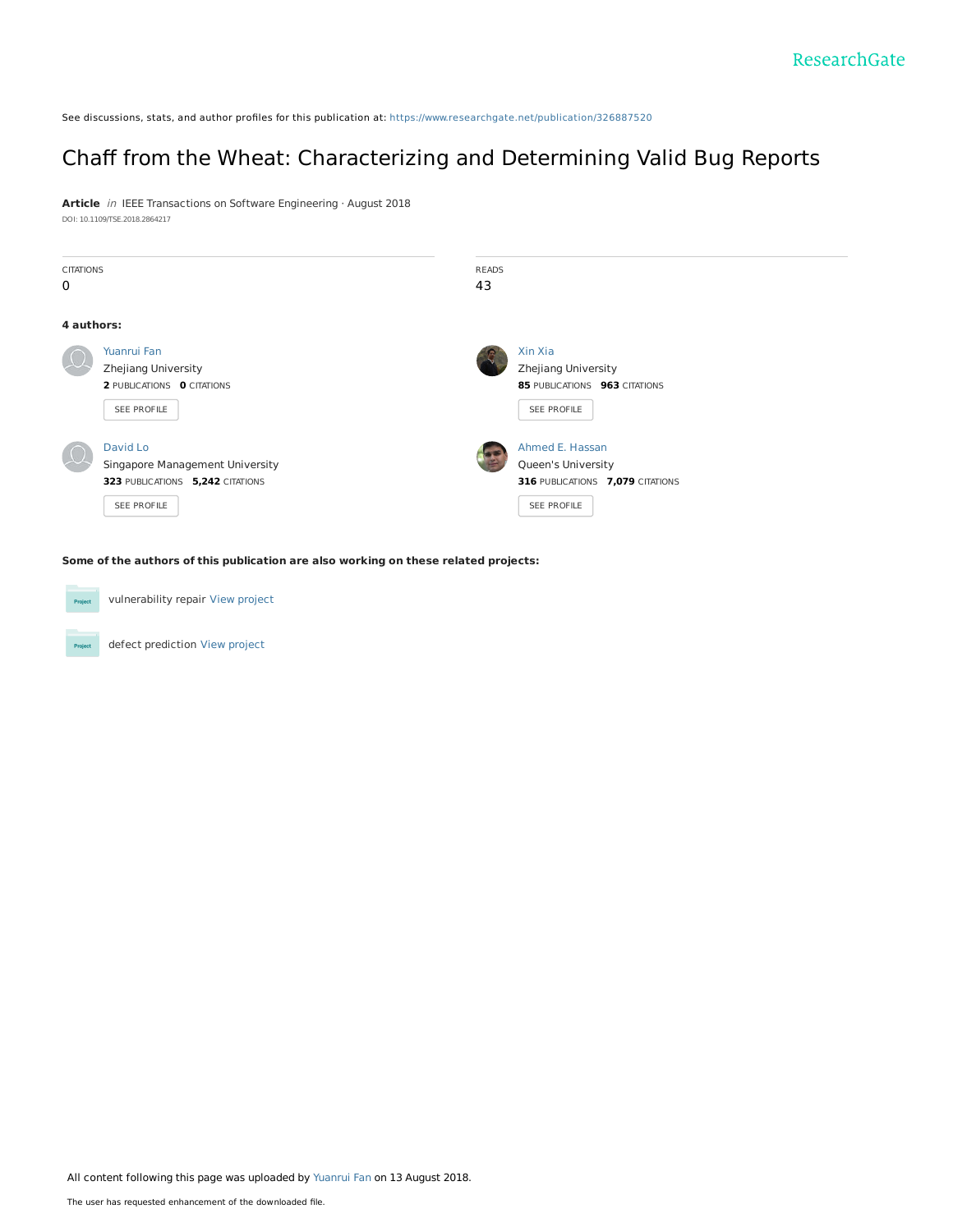See discussions, stats, and author profiles for this publication at: [https://www.researchgate.net/publication/326887520](https://www.researchgate.net/publication/326887520_Chaff_from_the_Wheat_Characterizing_and_Determining_Valid_Bug_Reports?enrichId=rgreq-43329e3415517d04c5dbeb00ba9dfc75-XXX&enrichSource=Y292ZXJQYWdlOzMyNjg4NzUyMDtBUzo2NTkxNjk2ODYzNDc3NzlAMTUzNDE2OTcwODI3NA%3D%3D&el=1_x_2&_esc=publicationCoverPdf)

## Chaff from the Wheat: [Characterizing](https://www.researchgate.net/publication/326887520_Chaff_from_the_Wheat_Characterizing_and_Determining_Valid_Bug_Reports?enrichId=rgreq-43329e3415517d04c5dbeb00ba9dfc75-XXX&enrichSource=Y292ZXJQYWdlOzMyNjg4NzUyMDtBUzo2NTkxNjk2ODYzNDc3NzlAMTUzNDE2OTcwODI3NA%3D%3D&el=1_x_3&_esc=publicationCoverPdf) and Determining Valid Bug Reports

**Article** in IEEE Transactions on Software Engineering · August 2018 DOI: 10.1109/TSE.2018.2864217

| <b>CITATIONS</b><br>$\mathbf 0$ |                                                                                                | <b>READS</b><br>43                                                             |                                  |
|---------------------------------|------------------------------------------------------------------------------------------------|--------------------------------------------------------------------------------|----------------------------------|
| 4 authors:                      |                                                                                                |                                                                                |                                  |
|                                 | Yuanrui Fan<br>Zhejiang University<br>2 PUBLICATIONS 0 CITATIONS<br>SEE PROFILE                | Xin Xia<br>Zhejiang University<br>85 PUBLICATIONS 963 CITATIONS<br>SEE PROFILE |                                  |
|                                 | David Lo<br>Singapore Management University<br>323 PUBLICATIONS 5,242 CITATIONS<br>SEE PROFILE | Ahmed E. Hassan<br>Queen's University<br>SEE PROFILE                           | 316 PUBLICATIONS 7,079 CITATIONS |

**Some of the authors of this publication are also working on these related projects:**

vulnerability repair View [project](https://www.researchgate.net/project/vulnerability-repair?enrichId=rgreq-43329e3415517d04c5dbeb00ba9dfc75-XXX&enrichSource=Y292ZXJQYWdlOzMyNjg4NzUyMDtBUzo2NTkxNjk2ODYzNDc3NzlAMTUzNDE2OTcwODI3NA%3D%3D&el=1_x_9&_esc=publicationCoverPdf) Project defect prediction View [project](https://www.researchgate.net/project/defect-prediction?enrichId=rgreq-43329e3415517d04c5dbeb00ba9dfc75-XXX&enrichSource=Y292ZXJQYWdlOzMyNjg4NzUyMDtBUzo2NTkxNjk2ODYzNDc3NzlAMTUzNDE2OTcwODI3NA%3D%3D&el=1_x_9&_esc=publicationCoverPdf) **Project** 

All content following this page was uploaded by [Yuanrui](https://www.researchgate.net/profile/Yuanrui_Fan?enrichId=rgreq-43329e3415517d04c5dbeb00ba9dfc75-XXX&enrichSource=Y292ZXJQYWdlOzMyNjg4NzUyMDtBUzo2NTkxNjk2ODYzNDc3NzlAMTUzNDE2OTcwODI3NA%3D%3D&el=1_x_10&_esc=publicationCoverPdf) Fan on 13 August 2018.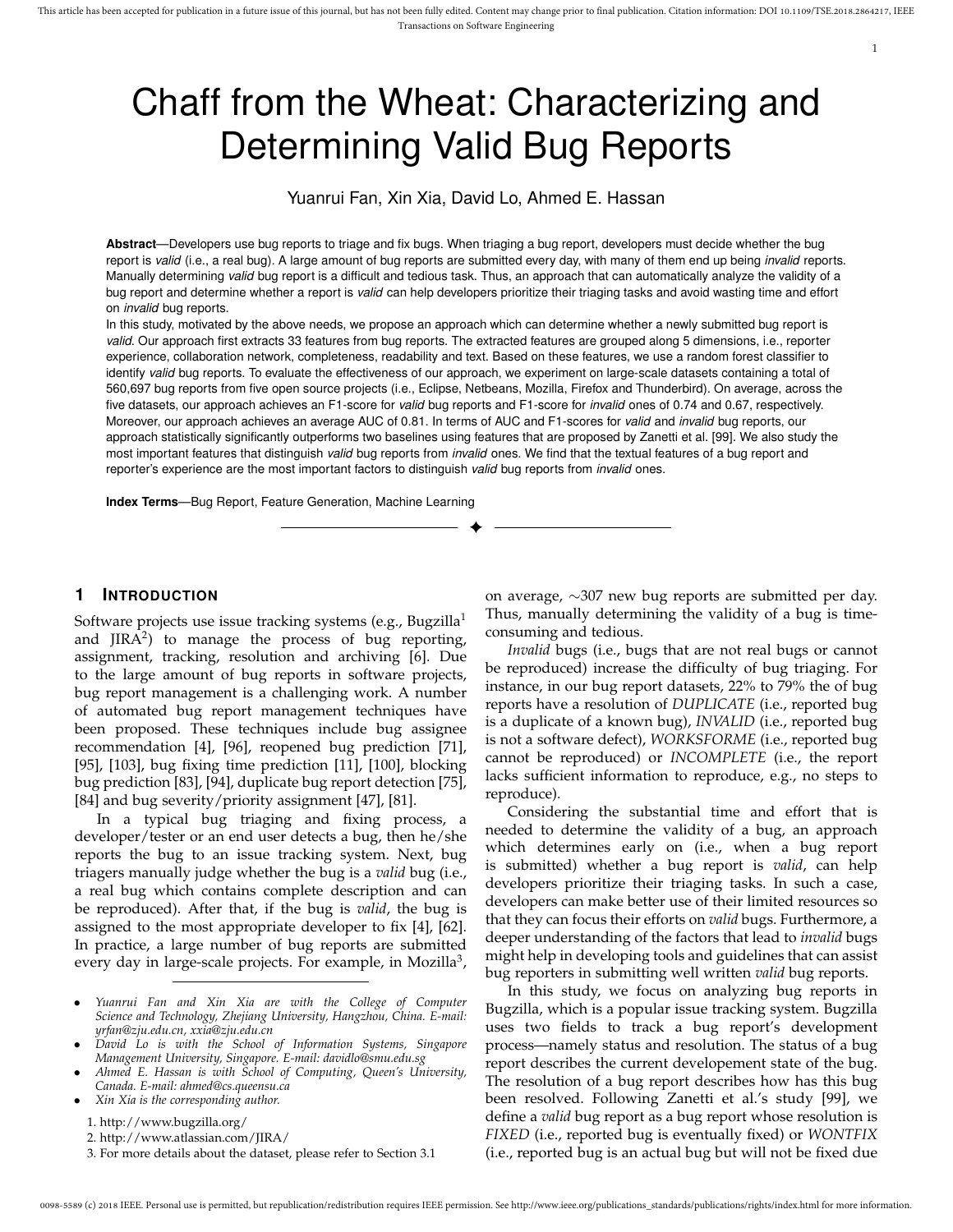#### 1

# Chaff from the Wheat: Characterizing and Determining Valid Bug Reports

Yuanrui Fan, Xin Xia, David Lo, Ahmed E. Hassan

**Abstract**—Developers use bug reports to triage and fix bugs. When triaging a bug report, developers must decide whether the bug report is *valid* (i.e., a real bug). A large amount of bug reports are submitted every day, with many of them end up being *invalid* reports. Manually determining *valid* bug report is a difficult and tedious task. Thus, an approach that can automatically analyze the validity of a bug report and determine whether a report is *valid* can help developers prioritize their triaging tasks and avoid wasting time and effort on *invalid* bug reports.

In this study, motivated by the above needs, we propose an approach which can determine whether a newly submitted bug report is *valid*. Our approach first extracts 33 features from bug reports. The extracted features are grouped along 5 dimensions, i.e., reporter experience, collaboration network, completeness, readability and text. Based on these features, we use a random forest classifier to identify *valid* bug reports. To evaluate the effectiveness of our approach, we experiment on large-scale datasets containing a total of 560,697 bug reports from five open source projects (i.e., Eclipse, Netbeans, Mozilla, Firefox and Thunderbird). On average, across the five datasets, our approach achieves an F1-score for *valid* bug reports and F1-score for *invalid* ones of 0.74 and 0.67, respectively. Moreover, our approach achieves an average AUC of 0.81. In terms of AUC and F1-scores for *valid* and *invalid* bug reports, our approach statistically significantly outperforms two baselines using features that are proposed by Zanetti et al. [99]. We also study the most important features that distinguish *valid* bug reports from *invalid* ones. We find that the textual features of a bug report and reporter's experience are the most important factors to distinguish *valid* bug reports from *invalid* ones.

✦

**Index Terms**—Bug Report, Feature Generation, Machine Learning

## **1 INTRODUCTION**

Software projects use issue tracking systems (e.g., Bugzilla<sup>1</sup> and  $JIRA<sup>2</sup>$ ) to manage the process of bug reporting, assignment, tracking, resolution and archiving [6]. Due to the large amount of bug reports in software projects, bug report management is a challenging work. A number of automated bug report management techniques have been proposed. These techniques include bug assignee recommendation [4], [96], reopened bug prediction [71], [95], [103], bug fixing time prediction [11], [100], blocking bug prediction [83], [94], duplicate bug report detection [75], [84] and bug severity/priority assignment [47], [81].

In a typical bug triaging and fixing process, a developer/tester or an end user detects a bug, then he/she reports the bug to an issue tracking system. Next, bug triagers manually judge whether the bug is a *valid* bug (i.e., a real bug which contains complete description and can be reproduced). After that, if the bug is *valid*, the bug is assigned to the most appropriate developer to fix [4], [62]. In practice, a large number of bug reports are submitted every day in large-scale projects. For example, in Mozilla<sup>3</sup>,

- *Yuanrui Fan and Xin Xia are with the College of Computer Science and Technology, Zhejiang University, Hangzhou, China. E-mail: yrfan@zju.edu.cn, xxia@zju.edu.cn*
- *David Lo is with the School of Information Systems, Singapore Management University, Singapore. E-mail: davidlo@smu.edu.sg*
- *Ahmed E. Hassan is with School of Computing, Queen's University, Canada. E-mail: ahmed@cs.queensu.ca*
- *Xin Xia is the corresponding author.*

3. For more details about the dataset, please refer to Section 3.1

on average, ∼307 new bug reports are submitted per day. Thus, manually determining the validity of a bug is timeconsuming and tedious.

*Invalid* bugs (i.e., bugs that are not real bugs or cannot be reproduced) increase the difficulty of bug triaging. For instance, in our bug report datasets, 22% to 79% the of bug reports have a resolution of *DUPLICATE* (i.e., reported bug is a duplicate of a known bug), *INVALID* (i.e., reported bug is not a software defect), *WORKSFORME* (i.e., reported bug cannot be reproduced) or *INCOMPLETE* (i.e., the report lacks sufficient information to reproduce, e.g., no steps to reproduce).

Considering the substantial time and effort that is needed to determine the validity of a bug, an approach which determines early on (i.e., when a bug report is submitted) whether a bug report is *valid*, can help developers prioritize their triaging tasks. In such a case, developers can make better use of their limited resources so that they can focus their efforts on *valid* bugs. Furthermore, a deeper understanding of the factors that lead to *invalid* bugs might help in developing tools and guidelines that can assist bug reporters in submitting well written *valid* bug reports.

In this study, we focus on analyzing bug reports in Bugzilla, which is a popular issue tracking system. Bugzilla uses two fields to track a bug report's development process—namely status and resolution. The status of a bug report describes the current developement state of the bug. The resolution of a bug report describes how has this bug been resolved. Following Zanetti et al.'s study [99], we define a *valid* bug report as a bug report whose resolution is *FIXED* (i.e., reported bug is eventually fixed) or *WONTFIX* (i.e., reported bug is an actual bug but will not be fixed due

<sup>1.</sup> http://www.bugzilla.org/

<sup>2.</sup> http://www.atlassian.com/JIRA/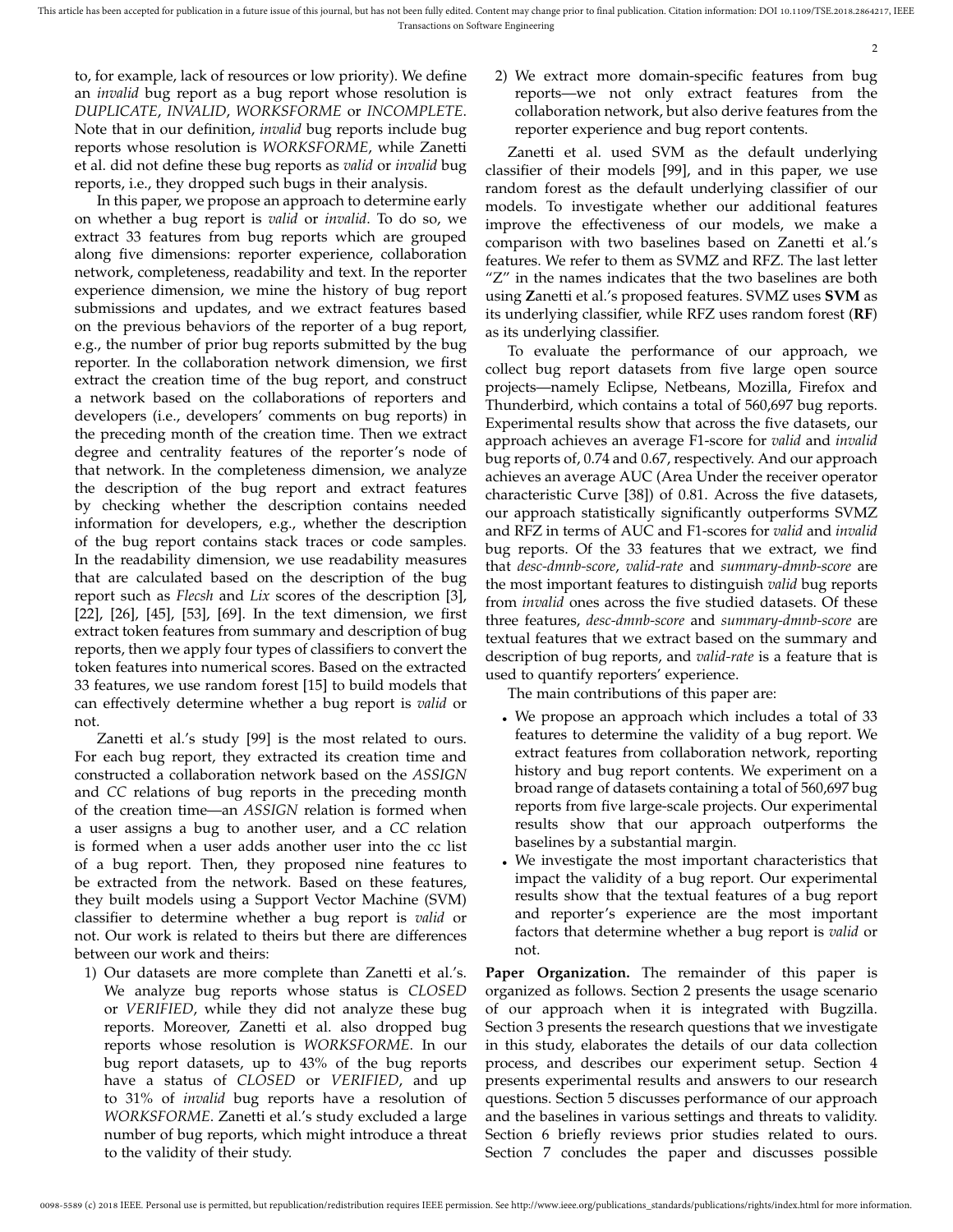to, for example, lack of resources or low priority). We define an *invalid* bug report as a bug report whose resolution is *DUPLICATE*, *INVALID*, *WORKSFORME* or *INCOMPLETE*. Note that in our definition, *invalid* bug reports include bug reports whose resolution is *WORKSFORME*, while Zanetti et al. did not define these bug reports as *valid* or *invalid* bug reports, i.e., they dropped such bugs in their analysis.

In this paper, we propose an approach to determine early on whether a bug report is *valid* or *invalid*. To do so, we extract 33 features from bug reports which are grouped along five dimensions: reporter experience, collaboration network, completeness, readability and text. In the reporter experience dimension, we mine the history of bug report submissions and updates, and we extract features based on the previous behaviors of the reporter of a bug report, e.g., the number of prior bug reports submitted by the bug reporter. In the collaboration network dimension, we first extract the creation time of the bug report, and construct a network based on the collaborations of reporters and developers (i.e., developers' comments on bug reports) in the preceding month of the creation time. Then we extract degree and centrality features of the reporter's node of that network. In the completeness dimension, we analyze the description of the bug report and extract features by checking whether the description contains needed information for developers, e.g., whether the description of the bug report contains stack traces or code samples. In the readability dimension, we use readability measures that are calculated based on the description of the bug report such as *Flecsh* and *Lix* scores of the description [3], [22], [26], [45], [53], [69]. In the text dimension, we first extract token features from summary and description of bug reports, then we apply four types of classifiers to convert the token features into numerical scores. Based on the extracted 33 features, we use random forest [15] to build models that can effectively determine whether a bug report is *valid* or not.

Zanetti et al.'s study [99] is the most related to ours. For each bug report, they extracted its creation time and constructed a collaboration network based on the *ASSIGN* and *CC* relations of bug reports in the preceding month of the creation time—an *ASSIGN* relation is formed when a user assigns a bug to another user, and a *CC* relation is formed when a user adds another user into the cc list of a bug report. Then, they proposed nine features to be extracted from the network. Based on these features, they built models using a Support Vector Machine (SVM) classifier to determine whether a bug report is *valid* or not. Our work is related to theirs but there are differences between our work and theirs:

1) Our datasets are more complete than Zanetti et al.'s. We analyze bug reports whose status is *CLOSED* or *VERIFIED*, while they did not analyze these bug reports. Moreover, Zanetti et al. also dropped bug reports whose resolution is *WORKSFORME*. In our bug report datasets, up to 43% of the bug reports have a status of *CLOSED* or *VERIFIED*, and up to 31% of *invalid* bug reports have a resolution of *WORKSFORME*. Zanetti et al.'s study excluded a large number of bug reports, which might introduce a threat to the validity of their study.

2) We extract more domain-specific features from bug reports—we not only extract features from the collaboration network, but also derive features from the reporter experience and bug report contents.

Zanetti et al. used SVM as the default underlying classifier of their models [99], and in this paper, we use random forest as the default underlying classifier of our models. To investigate whether our additional features improve the effectiveness of our models, we make a comparison with two baselines based on Zanetti et al.'s features. We refer to them as SVMZ and RFZ. The last letter "Z" in the names indicates that the two baselines are both using **Z**anetti et al.'s proposed features. SVMZ uses **SVM** as its underlying classifier, while RFZ uses random forest (**RF**) as its underlying classifier.

To evaluate the performance of our approach, we collect bug report datasets from five large open source projects—namely Eclipse, Netbeans, Mozilla, Firefox and Thunderbird, which contains a total of 560,697 bug reports. Experimental results show that across the five datasets, our approach achieves an average F1-score for *valid* and *invalid* bug reports of, 0.74 and 0.67, respectively. And our approach achieves an average AUC (Area Under the receiver operator characteristic Curve [38]) of 0.81. Across the five datasets, our approach statistically significantly outperforms SVMZ and RFZ in terms of AUC and F1-scores for *valid* and *invalid* bug reports. Of the 33 features that we extract, we find that *desc-dmnb-score*, *valid-rate* and *summary-dmnb-score* are the most important features to distinguish *valid* bug reports from *invalid* ones across the five studied datasets. Of these three features, *desc-dmnb-score* and *summary-dmnb-score* are textual features that we extract based on the summary and description of bug reports, and *valid-rate* is a feature that is used to quantify reporters' experience.

The main contributions of this paper are:

- We propose an approach which includes a total of 33 features to determine the validity of a bug report. We extract features from collaboration network, reporting history and bug report contents. We experiment on a broad range of datasets containing a total of 560,697 bug reports from five large-scale projects. Our experimental results show that our approach outperforms the baselines by a substantial margin.
- We investigate the most important characteristics that impact the validity of a bug report. Our experimental results show that the textual features of a bug report and reporter's experience are the most important factors that determine whether a bug report is *valid* or not.

**Paper Organization.** The remainder of this paper is organized as follows. Section 2 presents the usage scenario of our approach when it is integrated with Bugzilla. Section 3 presents the research questions that we investigate in this study, elaborates the details of our data collection process, and describes our experiment setup. Section 4 presents experimental results and answers to our research questions. Section 5 discusses performance of our approach and the baselines in various settings and threats to validity. Section 6 briefly reviews prior studies related to ours. Section 7 concludes the paper and discusses possible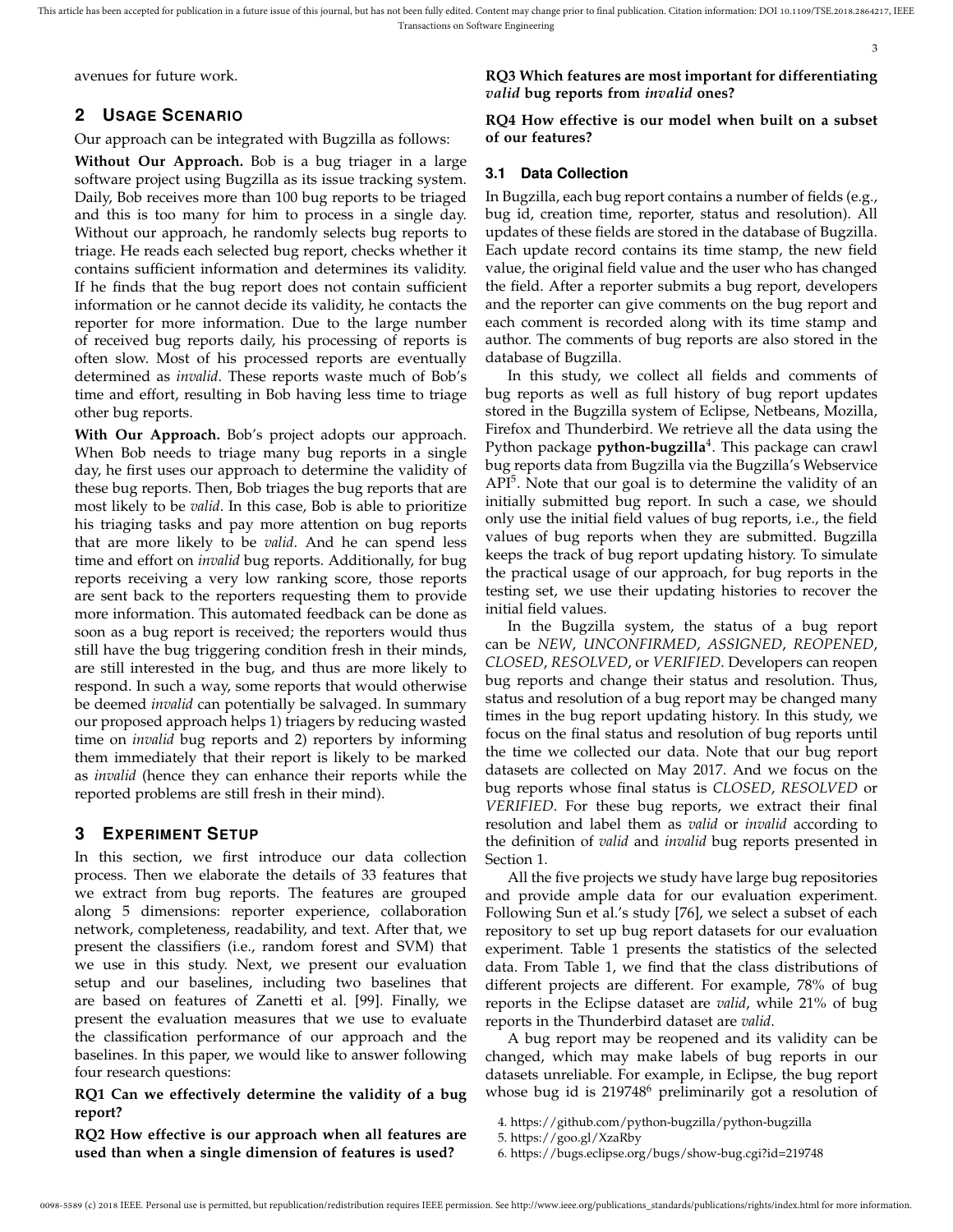avenues for future work.

## **2 USAGE SCENARIO**

Our approach can be integrated with Bugzilla as follows:

**Without Our Approach.** Bob is a bug triager in a large software project using Bugzilla as its issue tracking system. Daily, Bob receives more than 100 bug reports to be triaged and this is too many for him to process in a single day. Without our approach, he randomly selects bug reports to triage. He reads each selected bug report, checks whether it contains sufficient information and determines its validity. If he finds that the bug report does not contain sufficient information or he cannot decide its validity, he contacts the reporter for more information. Due to the large number of received bug reports daily, his processing of reports is often slow. Most of his processed reports are eventually determined as *invalid*. These reports waste much of Bob's time and effort, resulting in Bob having less time to triage other bug reports.

**With Our Approach.** Bob's project adopts our approach. When Bob needs to triage many bug reports in a single day, he first uses our approach to determine the validity of these bug reports. Then, Bob triages the bug reports that are most likely to be *valid*. In this case, Bob is able to prioritize his triaging tasks and pay more attention on bug reports that are more likely to be *valid*. And he can spend less time and effort on *invalid* bug reports. Additionally, for bug reports receiving a very low ranking score, those reports are sent back to the reporters requesting them to provide more information. This automated feedback can be done as soon as a bug report is received; the reporters would thus still have the bug triggering condition fresh in their minds, are still interested in the bug, and thus are more likely to respond. In such a way, some reports that would otherwise be deemed *invalid* can potentially be salvaged. In summary our proposed approach helps 1) triagers by reducing wasted time on *invalid* bug reports and 2) reporters by informing them immediately that their report is likely to be marked as *invalid* (hence they can enhance their reports while the reported problems are still fresh in their mind).

## **3 EXPERIMENT SETUP**

In this section, we first introduce our data collection process. Then we elaborate the details of 33 features that we extract from bug reports. The features are grouped along 5 dimensions: reporter experience, collaboration network, completeness, readability, and text. After that, we present the classifiers (i.e., random forest and SVM) that we use in this study. Next, we present our evaluation setup and our baselines, including two baselines that are based on features of Zanetti et al. [99]. Finally, we present the evaluation measures that we use to evaluate the classification performance of our approach and the baselines. In this paper, we would like to answer following four research questions:

**RQ1 Can we effectively determine the validity of a bug report?**

**RQ2 How effective is our approach when all features are used than when a single dimension of features is used?**

**RQ3 Which features are most important for differentiating** *valid* **bug reports from** *invalid* **ones?**

3

#### **RQ4 How effective is our model when built on a subset of our features?**

## **3.1 Data Collection**

In Bugzilla, each bug report contains a number of fields (e.g., bug id, creation time, reporter, status and resolution). All updates of these fields are stored in the database of Bugzilla. Each update record contains its time stamp, the new field value, the original field value and the user who has changed the field. After a reporter submits a bug report, developers and the reporter can give comments on the bug report and each comment is recorded along with its time stamp and author. The comments of bug reports are also stored in the database of Bugzilla.

In this study, we collect all fields and comments of bug reports as well as full history of bug report updates stored in the Bugzilla system of Eclipse, Netbeans, Mozilla, Firefox and Thunderbird. We retrieve all the data using the Python package **python-bugzilla**<sup>4</sup> . This package can crawl bug reports data from Bugzilla via the Bugzilla's Webservice  $API<sup>5</sup>$ . Note that our goal is to determine the validity of an initially submitted bug report. In such a case, we should only use the initial field values of bug reports, i.e., the field values of bug reports when they are submitted. Bugzilla keeps the track of bug report updating history. To simulate the practical usage of our approach, for bug reports in the testing set, we use their updating histories to recover the initial field values.

In the Bugzilla system, the status of a bug report can be *NEW*, *UNCONFIRMED*, *ASSIGNED*, *REOPENED*, *CLOSED*, *RESOLVED*, or *VERIFIED*. Developers can reopen bug reports and change their status and resolution. Thus, status and resolution of a bug report may be changed many times in the bug report updating history. In this study, we focus on the final status and resolution of bug reports until the time we collected our data. Note that our bug report datasets are collected on May 2017. And we focus on the bug reports whose final status is *CLOSED*, *RESOLVED* or *VERIFIED*. For these bug reports, we extract their final resolution and label them as *valid* or *invalid* according to the definition of *valid* and *invalid* bug reports presented in Section 1.

All the five projects we study have large bug repositories and provide ample data for our evaluation experiment. Following Sun et al.'s study [76], we select a subset of each repository to set up bug report datasets for our evaluation experiment. Table 1 presents the statistics of the selected data. From Table 1, we find that the class distributions of different projects are different. For example, 78% of bug reports in the Eclipse dataset are *valid*, while 21% of bug reports in the Thunderbird dataset are *valid*.

A bug report may be reopened and its validity can be changed, which may make labels of bug reports in our datasets unreliable. For example, in Eclipse, the bug report whose bug id is 219748<sup>6</sup> preliminarily got a resolution of

<sup>4.</sup> https://github.com/python-bugzilla/python-bugzilla

<sup>5.</sup> https://goo.gl/XzaRby

<sup>6.</sup> https://bugs.eclipse.org/bugs/show-bug.cgi?id=219748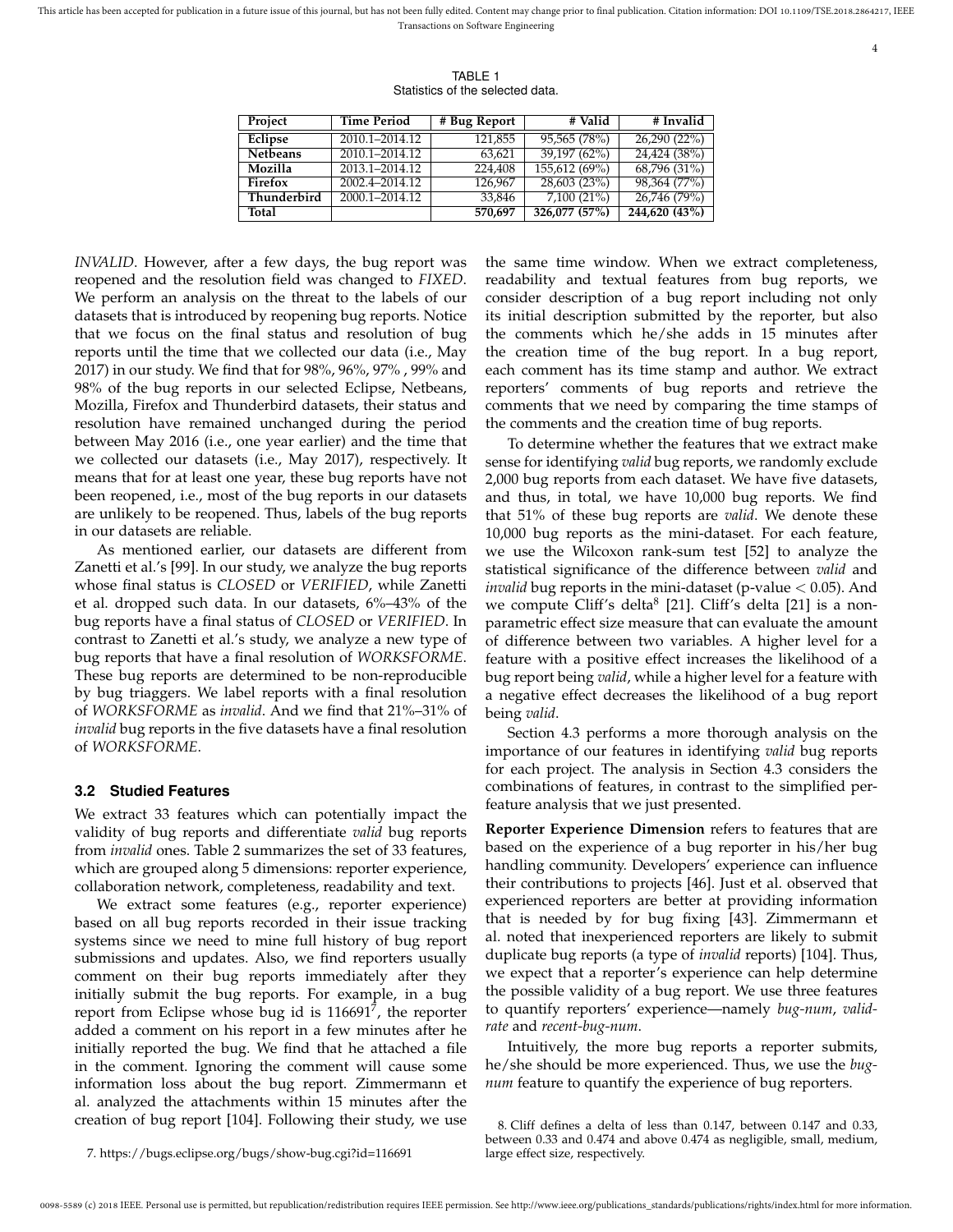4

TABLE 1 Statistics of the selected data.

| Project         | <b>Time Period</b> | # Bug Report | # Valid       | # Invalid     |
|-----------------|--------------------|--------------|---------------|---------------|
| Eclipse         | 2010.1-2014.12     | 121,855      | 95,565 (78%)  | 26,290 (22%)  |
| <b>Netbeans</b> | 2010.1-2014.12     | 63,621       | 39,197 (62%)  | 24,424 (38%)  |
| Mozilla         | 2013.1-2014.12     | 224,408      | 155,612 (69%) | 68,796 (31%)  |
| Firefox         | 2002.4-2014.12     | 126.967      | 28,603 (23%)  | 98,364 (77%)  |
| Thunderbird     | 2000.1-2014.12     | 33,846       | $7,100(21\%)$ | 26,746 (79%)  |
| Total           |                    | 570,697      | 326,077 (57%) | 244.620 (43%) |

*INVALID*. However, after a few days, the bug report was reopened and the resolution field was changed to *FIXED*. We perform an analysis on the threat to the labels of our datasets that is introduced by reopening bug reports. Notice that we focus on the final status and resolution of bug reports until the time that we collected our data (i.e., May 2017) in our study. We find that for 98%, 96%, 97% , 99% and 98% of the bug reports in our selected Eclipse, Netbeans, Mozilla, Firefox and Thunderbird datasets, their status and resolution have remained unchanged during the period between May 2016 (i.e., one year earlier) and the time that we collected our datasets (i.e., May 2017), respectively. It means that for at least one year, these bug reports have not been reopened, i.e., most of the bug reports in our datasets are unlikely to be reopened. Thus, labels of the bug reports in our datasets are reliable.

As mentioned earlier, our datasets are different from Zanetti et al.'s [99]. In our study, we analyze the bug reports whose final status is *CLOSED* or *VERIFIED*, while Zanetti et al. dropped such data. In our datasets, 6%–43% of the bug reports have a final status of *CLOSED* or *VERIFIED*. In contrast to Zanetti et al.'s study, we analyze a new type of bug reports that have a final resolution of *WORKSFORME*. These bug reports are determined to be non-reproducible by bug triaggers. We label reports with a final resolution of *WORKSFORME* as *invalid*. And we find that 21%–31% of *invalid* bug reports in the five datasets have a final resolution of *WORKSFORME*.

#### **3.2 Studied Features**

We extract 33 features which can potentially impact the validity of bug reports and differentiate *valid* bug reports from *invalid* ones. Table 2 summarizes the set of 33 features, which are grouped along 5 dimensions: reporter experience, collaboration network, completeness, readability and text.

We extract some features (e.g., reporter experience) based on all bug reports recorded in their issue tracking systems since we need to mine full history of bug report submissions and updates. Also, we find reporters usually comment on their bug reports immediately after they initially submit the bug reports. For example, in a bug report from Eclipse whose bug id is  $116691^7$ , the reporter added a comment on his report in a few minutes after he initially reported the bug. We find that he attached a file in the comment. Ignoring the comment will cause some information loss about the bug report. Zimmermann et al. analyzed the attachments within 15 minutes after the creation of bug report [104]. Following their study, we use

the same time window. When we extract completeness, readability and textual features from bug reports, we consider description of a bug report including not only its initial description submitted by the reporter, but also the comments which he/she adds in 15 minutes after the creation time of the bug report. In a bug report, each comment has its time stamp and author. We extract reporters' comments of bug reports and retrieve the comments that we need by comparing the time stamps of the comments and the creation time of bug reports.

To determine whether the features that we extract make sense for identifying *valid* bug reports, we randomly exclude 2,000 bug reports from each dataset. We have five datasets, and thus, in total, we have 10,000 bug reports. We find that 51% of these bug reports are *valid*. We denote these 10,000 bug reports as the mini-dataset. For each feature, we use the Wilcoxon rank-sum test [52] to analyze the statistical significance of the difference between *valid* and *invalid* bug reports in the mini-dataset (p-value < 0.05). And we compute Cliff's delta<sup>8</sup> [21]. Cliff's delta [21] is a nonparametric effect size measure that can evaluate the amount of difference between two variables. A higher level for a feature with a positive effect increases the likelihood of a bug report being *valid*, while a higher level for a feature with a negative effect decreases the likelihood of a bug report being *valid*.

Section 4.3 performs a more thorough analysis on the importance of our features in identifying *valid* bug reports for each project. The analysis in Section 4.3 considers the combinations of features, in contrast to the simplified perfeature analysis that we just presented.

**Reporter Experience Dimension** refers to features that are based on the experience of a bug reporter in his/her bug handling community. Developers' experience can influence their contributions to projects [46]. Just et al. observed that experienced reporters are better at providing information that is needed by for bug fixing [43]. Zimmermann et al. noted that inexperienced reporters are likely to submit duplicate bug reports (a type of *invalid* reports) [104]. Thus, we expect that a reporter's experience can help determine the possible validity of a bug report. We use three features to quantify reporters' experience—namely *bug-num*, *validrate* and *recent-bug-num*.

Intuitively, the more bug reports a reporter submits, he/she should be more experienced. Thus, we use the *bugnum* feature to quantify the experience of bug reporters.

8. Cliff defines a delta of less than 0.147, between 0.147 and 0.33, between 0.33 and 0.474 and above 0.474 as negligible, small, medium, large effect size, respectively.

7. https://bugs.eclipse.org/bugs/show-bug.cgi?id=116691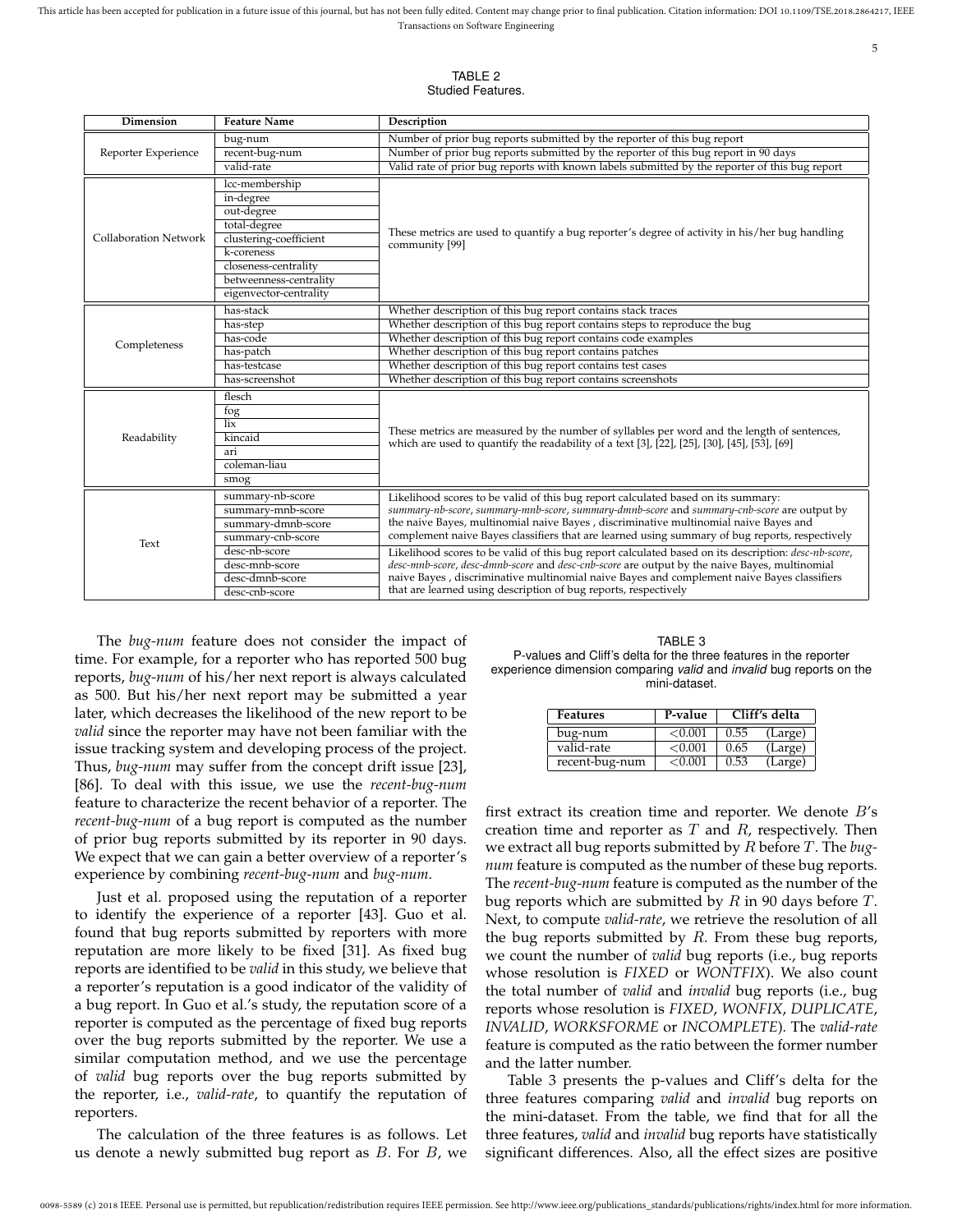| ۰.<br>۹          |
|------------------|
| I<br>I<br>×<br>٧ |

TABLE 2 Studied Features.

| Number of prior bug reports submitted by the reporter of this bug report<br>bug-num<br>Number of prior bug reports submitted by the reporter of this bug report in 90 days<br>recent-bug-num<br>Reporter Experience<br>Valid rate of prior bug reports with known labels submitted by the reporter of this bug report<br>valid-rate<br>lcc-membership<br>in-degree<br>out-degree<br>total-degree<br>These metrics are used to quantify a bug reporter's degree of activity in his/her bug handling<br>clustering-coefficient<br><b>Collaboration Network</b><br>community [99]<br>k-coreness<br>closeness-centrality<br>betweenness-centrality<br>eigenvector-centrality<br>Whether description of this bug report contains stack traces<br>has-stack<br>Whether description of this bug report contains steps to reproduce the bug<br>has-step<br>Whether description of this bug report contains code examples<br>has-code<br>Completeness<br>Whether description of this bug report contains patches<br>has-patch<br>Whether description of this bug report contains test cases<br>has-testcase<br>Whether description of this bug report contains screenshots<br>has-screenshot<br>flesch<br>fog<br>$\overline{\mathbf{h}}$<br>These metrics are measured by the number of syllables per word and the length of sentences,<br>Readability<br>kincaid<br>which are used to quantify the readability of a text [3], [22], [25], [30], [45], [53], [69]<br>ari<br>coleman-liau<br>smog<br>summary-nb-score<br>Likelihood scores to be valid of this bug report calculated based on its summary:<br>summary-nb-score, summary-mnb-score, summary-dmnb-score and summary-cnb-score are output by<br>summary-mnb-score<br>the naive Bayes, multinomial naive Bayes, discriminative multinomial naive Bayes and<br>summary-dmnb-score<br>complement naive Bayes classifiers that are learned using summary of bug reports, respectively<br>summary-cnb-score<br>Text<br>desc-nb-score<br>Likelihood scores to be valid of this bug report calculated based on its description: desc-nb-score,<br>desc-mnb-score, desc-dmnb-score and desc-cnb-score are output by the naive Bayes, multinomial<br>desc-mnb-score<br>naive Bayes , discriminative multinomial naive Bayes and complement naive Bayes classifiers<br>desc-dmnb-score<br>that are learned using description of bug reports, respectively<br>desc-cnb-score | Dimension | <b>Feature Name</b> | Description |  |  |  |
|----------------------------------------------------------------------------------------------------------------------------------------------------------------------------------------------------------------------------------------------------------------------------------------------------------------------------------------------------------------------------------------------------------------------------------------------------------------------------------------------------------------------------------------------------------------------------------------------------------------------------------------------------------------------------------------------------------------------------------------------------------------------------------------------------------------------------------------------------------------------------------------------------------------------------------------------------------------------------------------------------------------------------------------------------------------------------------------------------------------------------------------------------------------------------------------------------------------------------------------------------------------------------------------------------------------------------------------------------------------------------------------------------------------------------------------------------------------------------------------------------------------------------------------------------------------------------------------------------------------------------------------------------------------------------------------------------------------------------------------------------------------------------------------------------------------------------------------------------------------------------------------------------------------------------------------------------------------------------------------------------------------------------------------------------------------------------------------------------------------------------------------------------------------------------------------------------------------------------------------------------------------------------------------------------------------------------------------------------------------------------------------------------------------------|-----------|---------------------|-------------|--|--|--|
|                                                                                                                                                                                                                                                                                                                                                                                                                                                                                                                                                                                                                                                                                                                                                                                                                                                                                                                                                                                                                                                                                                                                                                                                                                                                                                                                                                                                                                                                                                                                                                                                                                                                                                                                                                                                                                                                                                                                                                                                                                                                                                                                                                                                                                                                                                                                                                                                                      |           |                     |             |  |  |  |
|                                                                                                                                                                                                                                                                                                                                                                                                                                                                                                                                                                                                                                                                                                                                                                                                                                                                                                                                                                                                                                                                                                                                                                                                                                                                                                                                                                                                                                                                                                                                                                                                                                                                                                                                                                                                                                                                                                                                                                                                                                                                                                                                                                                                                                                                                                                                                                                                                      |           |                     |             |  |  |  |
|                                                                                                                                                                                                                                                                                                                                                                                                                                                                                                                                                                                                                                                                                                                                                                                                                                                                                                                                                                                                                                                                                                                                                                                                                                                                                                                                                                                                                                                                                                                                                                                                                                                                                                                                                                                                                                                                                                                                                                                                                                                                                                                                                                                                                                                                                                                                                                                                                      |           |                     |             |  |  |  |
|                                                                                                                                                                                                                                                                                                                                                                                                                                                                                                                                                                                                                                                                                                                                                                                                                                                                                                                                                                                                                                                                                                                                                                                                                                                                                                                                                                                                                                                                                                                                                                                                                                                                                                                                                                                                                                                                                                                                                                                                                                                                                                                                                                                                                                                                                                                                                                                                                      |           |                     |             |  |  |  |
|                                                                                                                                                                                                                                                                                                                                                                                                                                                                                                                                                                                                                                                                                                                                                                                                                                                                                                                                                                                                                                                                                                                                                                                                                                                                                                                                                                                                                                                                                                                                                                                                                                                                                                                                                                                                                                                                                                                                                                                                                                                                                                                                                                                                                                                                                                                                                                                                                      |           |                     |             |  |  |  |
|                                                                                                                                                                                                                                                                                                                                                                                                                                                                                                                                                                                                                                                                                                                                                                                                                                                                                                                                                                                                                                                                                                                                                                                                                                                                                                                                                                                                                                                                                                                                                                                                                                                                                                                                                                                                                                                                                                                                                                                                                                                                                                                                                                                                                                                                                                                                                                                                                      |           |                     |             |  |  |  |
|                                                                                                                                                                                                                                                                                                                                                                                                                                                                                                                                                                                                                                                                                                                                                                                                                                                                                                                                                                                                                                                                                                                                                                                                                                                                                                                                                                                                                                                                                                                                                                                                                                                                                                                                                                                                                                                                                                                                                                                                                                                                                                                                                                                                                                                                                                                                                                                                                      |           |                     |             |  |  |  |
|                                                                                                                                                                                                                                                                                                                                                                                                                                                                                                                                                                                                                                                                                                                                                                                                                                                                                                                                                                                                                                                                                                                                                                                                                                                                                                                                                                                                                                                                                                                                                                                                                                                                                                                                                                                                                                                                                                                                                                                                                                                                                                                                                                                                                                                                                                                                                                                                                      |           |                     |             |  |  |  |
|                                                                                                                                                                                                                                                                                                                                                                                                                                                                                                                                                                                                                                                                                                                                                                                                                                                                                                                                                                                                                                                                                                                                                                                                                                                                                                                                                                                                                                                                                                                                                                                                                                                                                                                                                                                                                                                                                                                                                                                                                                                                                                                                                                                                                                                                                                                                                                                                                      |           |                     |             |  |  |  |
|                                                                                                                                                                                                                                                                                                                                                                                                                                                                                                                                                                                                                                                                                                                                                                                                                                                                                                                                                                                                                                                                                                                                                                                                                                                                                                                                                                                                                                                                                                                                                                                                                                                                                                                                                                                                                                                                                                                                                                                                                                                                                                                                                                                                                                                                                                                                                                                                                      |           |                     |             |  |  |  |
|                                                                                                                                                                                                                                                                                                                                                                                                                                                                                                                                                                                                                                                                                                                                                                                                                                                                                                                                                                                                                                                                                                                                                                                                                                                                                                                                                                                                                                                                                                                                                                                                                                                                                                                                                                                                                                                                                                                                                                                                                                                                                                                                                                                                                                                                                                                                                                                                                      |           |                     |             |  |  |  |
|                                                                                                                                                                                                                                                                                                                                                                                                                                                                                                                                                                                                                                                                                                                                                                                                                                                                                                                                                                                                                                                                                                                                                                                                                                                                                                                                                                                                                                                                                                                                                                                                                                                                                                                                                                                                                                                                                                                                                                                                                                                                                                                                                                                                                                                                                                                                                                                                                      |           |                     |             |  |  |  |
|                                                                                                                                                                                                                                                                                                                                                                                                                                                                                                                                                                                                                                                                                                                                                                                                                                                                                                                                                                                                                                                                                                                                                                                                                                                                                                                                                                                                                                                                                                                                                                                                                                                                                                                                                                                                                                                                                                                                                                                                                                                                                                                                                                                                                                                                                                                                                                                                                      |           |                     |             |  |  |  |
|                                                                                                                                                                                                                                                                                                                                                                                                                                                                                                                                                                                                                                                                                                                                                                                                                                                                                                                                                                                                                                                                                                                                                                                                                                                                                                                                                                                                                                                                                                                                                                                                                                                                                                                                                                                                                                                                                                                                                                                                                                                                                                                                                                                                                                                                                                                                                                                                                      |           |                     |             |  |  |  |
|                                                                                                                                                                                                                                                                                                                                                                                                                                                                                                                                                                                                                                                                                                                                                                                                                                                                                                                                                                                                                                                                                                                                                                                                                                                                                                                                                                                                                                                                                                                                                                                                                                                                                                                                                                                                                                                                                                                                                                                                                                                                                                                                                                                                                                                                                                                                                                                                                      |           |                     |             |  |  |  |
|                                                                                                                                                                                                                                                                                                                                                                                                                                                                                                                                                                                                                                                                                                                                                                                                                                                                                                                                                                                                                                                                                                                                                                                                                                                                                                                                                                                                                                                                                                                                                                                                                                                                                                                                                                                                                                                                                                                                                                                                                                                                                                                                                                                                                                                                                                                                                                                                                      |           |                     |             |  |  |  |
|                                                                                                                                                                                                                                                                                                                                                                                                                                                                                                                                                                                                                                                                                                                                                                                                                                                                                                                                                                                                                                                                                                                                                                                                                                                                                                                                                                                                                                                                                                                                                                                                                                                                                                                                                                                                                                                                                                                                                                                                                                                                                                                                                                                                                                                                                                                                                                                                                      |           |                     |             |  |  |  |
|                                                                                                                                                                                                                                                                                                                                                                                                                                                                                                                                                                                                                                                                                                                                                                                                                                                                                                                                                                                                                                                                                                                                                                                                                                                                                                                                                                                                                                                                                                                                                                                                                                                                                                                                                                                                                                                                                                                                                                                                                                                                                                                                                                                                                                                                                                                                                                                                                      |           |                     |             |  |  |  |
|                                                                                                                                                                                                                                                                                                                                                                                                                                                                                                                                                                                                                                                                                                                                                                                                                                                                                                                                                                                                                                                                                                                                                                                                                                                                                                                                                                                                                                                                                                                                                                                                                                                                                                                                                                                                                                                                                                                                                                                                                                                                                                                                                                                                                                                                                                                                                                                                                      |           |                     |             |  |  |  |
|                                                                                                                                                                                                                                                                                                                                                                                                                                                                                                                                                                                                                                                                                                                                                                                                                                                                                                                                                                                                                                                                                                                                                                                                                                                                                                                                                                                                                                                                                                                                                                                                                                                                                                                                                                                                                                                                                                                                                                                                                                                                                                                                                                                                                                                                                                                                                                                                                      |           |                     |             |  |  |  |
|                                                                                                                                                                                                                                                                                                                                                                                                                                                                                                                                                                                                                                                                                                                                                                                                                                                                                                                                                                                                                                                                                                                                                                                                                                                                                                                                                                                                                                                                                                                                                                                                                                                                                                                                                                                                                                                                                                                                                                                                                                                                                                                                                                                                                                                                                                                                                                                                                      |           |                     |             |  |  |  |
|                                                                                                                                                                                                                                                                                                                                                                                                                                                                                                                                                                                                                                                                                                                                                                                                                                                                                                                                                                                                                                                                                                                                                                                                                                                                                                                                                                                                                                                                                                                                                                                                                                                                                                                                                                                                                                                                                                                                                                                                                                                                                                                                                                                                                                                                                                                                                                                                                      |           |                     |             |  |  |  |
|                                                                                                                                                                                                                                                                                                                                                                                                                                                                                                                                                                                                                                                                                                                                                                                                                                                                                                                                                                                                                                                                                                                                                                                                                                                                                                                                                                                                                                                                                                                                                                                                                                                                                                                                                                                                                                                                                                                                                                                                                                                                                                                                                                                                                                                                                                                                                                                                                      |           |                     |             |  |  |  |
|                                                                                                                                                                                                                                                                                                                                                                                                                                                                                                                                                                                                                                                                                                                                                                                                                                                                                                                                                                                                                                                                                                                                                                                                                                                                                                                                                                                                                                                                                                                                                                                                                                                                                                                                                                                                                                                                                                                                                                                                                                                                                                                                                                                                                                                                                                                                                                                                                      |           |                     |             |  |  |  |
|                                                                                                                                                                                                                                                                                                                                                                                                                                                                                                                                                                                                                                                                                                                                                                                                                                                                                                                                                                                                                                                                                                                                                                                                                                                                                                                                                                                                                                                                                                                                                                                                                                                                                                                                                                                                                                                                                                                                                                                                                                                                                                                                                                                                                                                                                                                                                                                                                      |           |                     |             |  |  |  |
|                                                                                                                                                                                                                                                                                                                                                                                                                                                                                                                                                                                                                                                                                                                                                                                                                                                                                                                                                                                                                                                                                                                                                                                                                                                                                                                                                                                                                                                                                                                                                                                                                                                                                                                                                                                                                                                                                                                                                                                                                                                                                                                                                                                                                                                                                                                                                                                                                      |           |                     |             |  |  |  |
|                                                                                                                                                                                                                                                                                                                                                                                                                                                                                                                                                                                                                                                                                                                                                                                                                                                                                                                                                                                                                                                                                                                                                                                                                                                                                                                                                                                                                                                                                                                                                                                                                                                                                                                                                                                                                                                                                                                                                                                                                                                                                                                                                                                                                                                                                                                                                                                                                      |           |                     |             |  |  |  |
|                                                                                                                                                                                                                                                                                                                                                                                                                                                                                                                                                                                                                                                                                                                                                                                                                                                                                                                                                                                                                                                                                                                                                                                                                                                                                                                                                                                                                                                                                                                                                                                                                                                                                                                                                                                                                                                                                                                                                                                                                                                                                                                                                                                                                                                                                                                                                                                                                      |           |                     |             |  |  |  |
|                                                                                                                                                                                                                                                                                                                                                                                                                                                                                                                                                                                                                                                                                                                                                                                                                                                                                                                                                                                                                                                                                                                                                                                                                                                                                                                                                                                                                                                                                                                                                                                                                                                                                                                                                                                                                                                                                                                                                                                                                                                                                                                                                                                                                                                                                                                                                                                                                      |           |                     |             |  |  |  |
|                                                                                                                                                                                                                                                                                                                                                                                                                                                                                                                                                                                                                                                                                                                                                                                                                                                                                                                                                                                                                                                                                                                                                                                                                                                                                                                                                                                                                                                                                                                                                                                                                                                                                                                                                                                                                                                                                                                                                                                                                                                                                                                                                                                                                                                                                                                                                                                                                      |           |                     |             |  |  |  |
|                                                                                                                                                                                                                                                                                                                                                                                                                                                                                                                                                                                                                                                                                                                                                                                                                                                                                                                                                                                                                                                                                                                                                                                                                                                                                                                                                                                                                                                                                                                                                                                                                                                                                                                                                                                                                                                                                                                                                                                                                                                                                                                                                                                                                                                                                                                                                                                                                      |           |                     |             |  |  |  |
|                                                                                                                                                                                                                                                                                                                                                                                                                                                                                                                                                                                                                                                                                                                                                                                                                                                                                                                                                                                                                                                                                                                                                                                                                                                                                                                                                                                                                                                                                                                                                                                                                                                                                                                                                                                                                                                                                                                                                                                                                                                                                                                                                                                                                                                                                                                                                                                                                      |           |                     |             |  |  |  |
|                                                                                                                                                                                                                                                                                                                                                                                                                                                                                                                                                                                                                                                                                                                                                                                                                                                                                                                                                                                                                                                                                                                                                                                                                                                                                                                                                                                                                                                                                                                                                                                                                                                                                                                                                                                                                                                                                                                                                                                                                                                                                                                                                                                                                                                                                                                                                                                                                      |           |                     |             |  |  |  |

The *bug-num* feature does not consider the impact of time. For example, for a reporter who has reported 500 bug reports, *bug-num* of his/her next report is always calculated as 500. But his/her next report may be submitted a year later, which decreases the likelihood of the new report to be *valid* since the reporter may have not been familiar with the issue tracking system and developing process of the project. Thus, *bug-num* may suffer from the concept drift issue [23], [86]. To deal with this issue, we use the *recent-bug-num* feature to characterize the recent behavior of a reporter. The *recent-bug-num* of a bug report is computed as the number of prior bug reports submitted by its reporter in 90 days. We expect that we can gain a better overview of a reporter's experience by combining *recent-bug-num* and *bug-num*.

Just et al. proposed using the reputation of a reporter to identify the experience of a reporter [43]. Guo et al. found that bug reports submitted by reporters with more reputation are more likely to be fixed [31]. As fixed bug reports are identified to be *valid* in this study, we believe that a reporter's reputation is a good indicator of the validity of a bug report. In Guo et al.'s study, the reputation score of a reporter is computed as the percentage of fixed bug reports over the bug reports submitted by the reporter. We use a similar computation method, and we use the percentage of *valid* bug reports over the bug reports submitted by the reporter, i.e., *valid-rate*, to quantify the reputation of reporters.

The calculation of the three features is as follows. Let us denote a newly submitted bug report as  $B$ . For  $B$ , we

TABLE 3 P-values and Cliff's delta for the three features in the reporter experience dimension comparing *valid* and *invalid* bug reports on the mini-dataset.

| <b>Features</b> | P-value    |      | Cliff's delta |
|-----------------|------------|------|---------------|
| bug-num         | ${<}0.001$ | 0.55 | (Large)       |
| valid-rate      | ${<}0.001$ | 0.65 | (Large)       |
| recent-bug-num  | ${<}0.001$ | 0.53 | (Large)       |

first extract its creation time and reporter. We denote  $B$ 's creation time and reporter as  $T$  and  $R$ , respectively. Then we extract all bug reports submitted by R before T. The *bugnum* feature is computed as the number of these bug reports. The *recent-bug-num* feature is computed as the number of the bug reports which are submitted by  $R$  in 90 days before  $T$ . Next, to compute *valid-rate*, we retrieve the resolution of all the bug reports submitted by  $R$ . From these bug reports, we count the number of *valid* bug reports (i.e., bug reports whose resolution is *FIXED* or *WONTFIX*). We also count the total number of *valid* and *invalid* bug reports (i.e., bug reports whose resolution is *FIXED*, *WONFIX*, *DUPLICATE*, *INVALID*, *WORKSFORME* or *INCOMPLETE*). The *valid-rate* feature is computed as the ratio between the former number and the latter number.

Table 3 presents the p-values and Cliff's delta for the three features comparing *valid* and *invalid* bug reports on the mini-dataset. From the table, we find that for all the three features, *valid* and *invalid* bug reports have statistically significant differences. Also, all the effect sizes are positive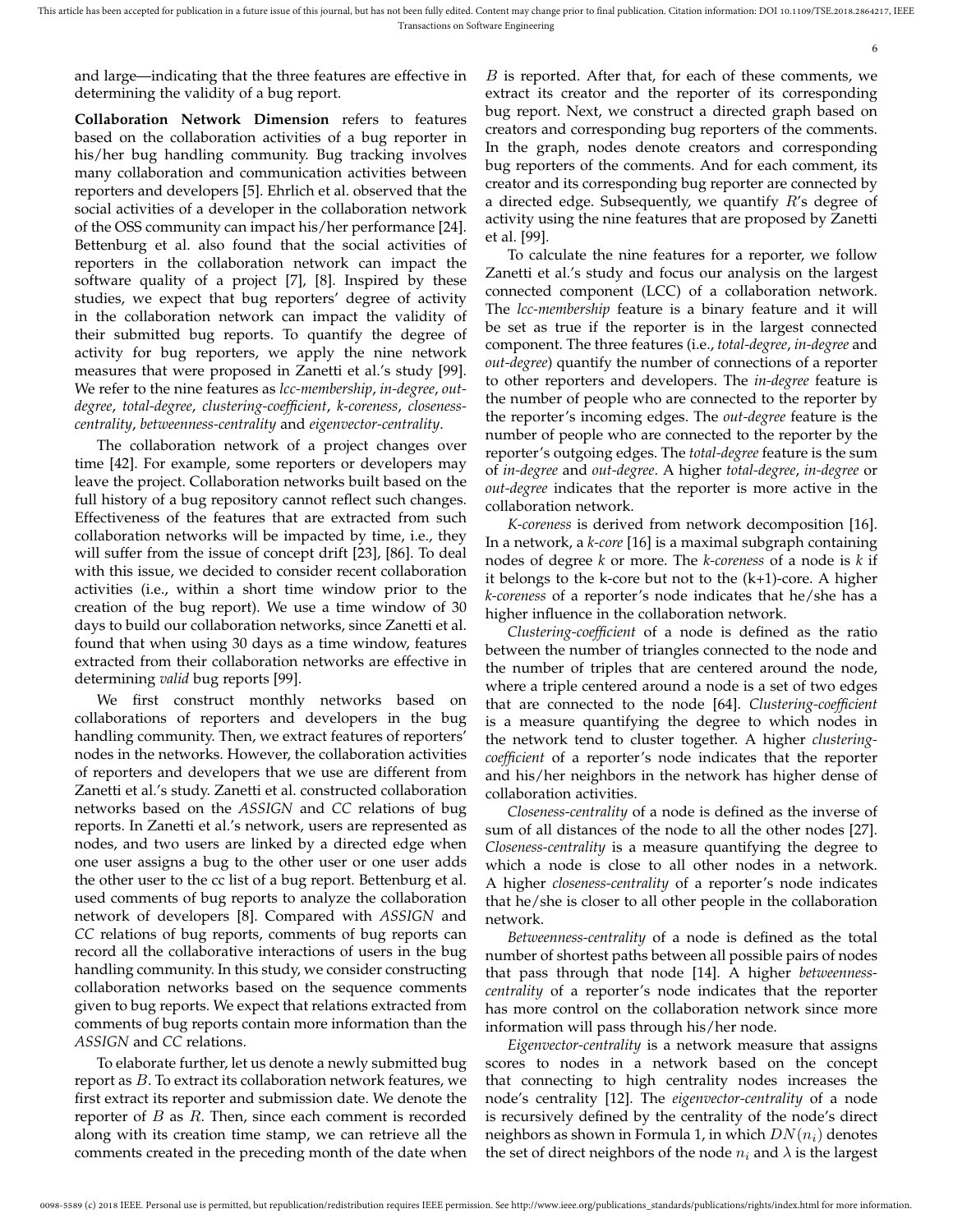6

and large—indicating that the three features are effective in determining the validity of a bug report.

**Collaboration Network Dimension** refers to features based on the collaboration activities of a bug reporter in his/her bug handling community. Bug tracking involves many collaboration and communication activities between reporters and developers [5]. Ehrlich et al. observed that the social activities of a developer in the collaboration network of the OSS community can impact his/her performance [24]. Bettenburg et al. also found that the social activities of reporters in the collaboration network can impact the software quality of a project [7], [8]. Inspired by these studies, we expect that bug reporters' degree of activity in the collaboration network can impact the validity of their submitted bug reports. To quantify the degree of activity for bug reporters, we apply the nine network measures that were proposed in Zanetti et al.'s study [99]. We refer to the nine features as *lcc-membership*, *in-degree*, *outdegree*, *total-degree*, *clustering-coefficient*, *k-coreness*, *closenesscentrality*, *betweenness-centrality* and *eigenvector-centrality*.

The collaboration network of a project changes over time [42]. For example, some reporters or developers may leave the project. Collaboration networks built based on the full history of a bug repository cannot reflect such changes. Effectiveness of the features that are extracted from such collaboration networks will be impacted by time, i.e., they will suffer from the issue of concept drift [23], [86]. To deal with this issue, we decided to consider recent collaboration activities (i.e., within a short time window prior to the creation of the bug report). We use a time window of 30 days to build our collaboration networks, since Zanetti et al. found that when using 30 days as a time window, features extracted from their collaboration networks are effective in determining *valid* bug reports [99].

We first construct monthly networks based collaborations of reporters and developers in the bug handling community. Then, we extract features of reporters' nodes in the networks. However, the collaboration activities of reporters and developers that we use are different from Zanetti et al.'s study. Zanetti et al. constructed collaboration networks based on the *ASSIGN* and *CC* relations of bug reports. In Zanetti et al.'s network, users are represented as nodes, and two users are linked by a directed edge when one user assigns a bug to the other user or one user adds the other user to the cc list of a bug report. Bettenburg et al. used comments of bug reports to analyze the collaboration network of developers [8]. Compared with *ASSIGN* and *CC* relations of bug reports, comments of bug reports can record all the collaborative interactions of users in the bug handling community. In this study, we consider constructing collaboration networks based on the sequence comments given to bug reports. We expect that relations extracted from comments of bug reports contain more information than the *ASSIGN* and *CC* relations.

To elaborate further, let us denote a newly submitted bug report as  $B$ . To extract its collaboration network features, we first extract its reporter and submission date. We denote the reporter of  $B$  as  $R$ . Then, since each comment is recorded along with its creation time stamp, we can retrieve all the comments created in the preceding month of the date when

 $B$  is reported. After that, for each of these comments, we extract its creator and the reporter of its corresponding bug report. Next, we construct a directed graph based on creators and corresponding bug reporters of the comments. In the graph, nodes denote creators and corresponding bug reporters of the comments. And for each comment, its creator and its corresponding bug reporter are connected by a directed edge. Subsequently, we quantify  $R$ 's degree of activity using the nine features that are proposed by Zanetti et al. [99].

To calculate the nine features for a reporter, we follow Zanetti et al.'s study and focus our analysis on the largest connected component (LCC) of a collaboration network. The *lcc-membership* feature is a binary feature and it will be set as true if the reporter is in the largest connected component. The three features (i.e., *total-degree*, *in-degree* and *out-degree*) quantify the number of connections of a reporter to other reporters and developers. The *in-degree* feature is the number of people who are connected to the reporter by the reporter's incoming edges. The *out-degree* feature is the number of people who are connected to the reporter by the reporter's outgoing edges. The *total-degree* feature is the sum of *in-degree* and *out-degree*. A higher *total-degree*, *in-degree* or *out-degree* indicates that the reporter is more active in the collaboration network.

*K-coreness* is derived from network decomposition [16]. In a network, a *k-core* [16] is a maximal subgraph containing nodes of degree *k* or more. The *k-coreness* of a node is *k* if it belongs to the k-core but not to the (k+1)-core. A higher *k-coreness* of a reporter's node indicates that he/she has a higher influence in the collaboration network.

*Clustering-coefficient* of a node is defined as the ratio between the number of triangles connected to the node and the number of triples that are centered around the node, where a triple centered around a node is a set of two edges that are connected to the node [64]. *Clustering-coefficient* is a measure quantifying the degree to which nodes in the network tend to cluster together. A higher *clusteringcoefficient* of a reporter's node indicates that the reporter and his/her neighbors in the network has higher dense of collaboration activities.

*Closeness-centrality* of a node is defined as the inverse of sum of all distances of the node to all the other nodes [27]. *Closeness-centrality* is a measure quantifying the degree to which a node is close to all other nodes in a network. A higher *closeness-centrality* of a reporter's node indicates that he/she is closer to all other people in the collaboration network.

*Betweenness-centrality* of a node is defined as the total number of shortest paths between all possible pairs of nodes that pass through that node [14]. A higher *betweennesscentrality* of a reporter's node indicates that the reporter has more control on the collaboration network since more information will pass through his/her node.

*Eigenvector-centrality* is a network measure that assigns scores to nodes in a network based on the concept that connecting to high centrality nodes increases the node's centrality [12]. The *eigenvector-centrality* of a node is recursively defined by the centrality of the node's direct neighbors as shown in Formula 1, in which  $DN(n_i)$  denotes the set of direct neighbors of the node  $n_i$  and  $\lambda$  is the largest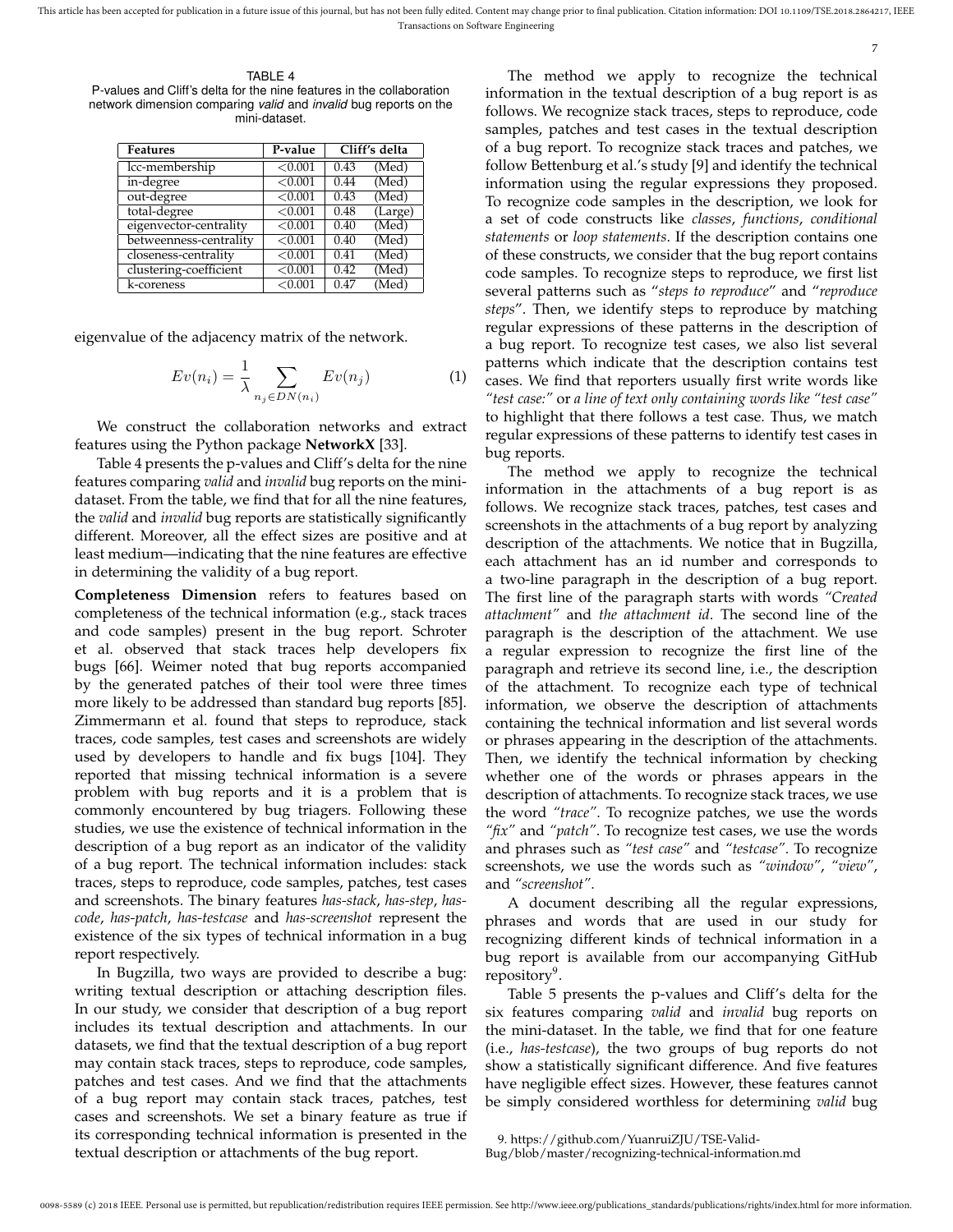7

TABLE 4 P-values and Cliff's delta for the nine features in the collaboration network dimension comparing *valid* and *invalid* bug reports on the mini-dataset.

| Features               | P-value |      | Cliff's delta |
|------------------------|---------|------|---------------|
| lcc-membership         | < 0.001 | 0.43 | (Med)         |
| in-degree              | < 0.001 | 0.44 | (Med)         |
| out-degree             | < 0.001 | 0.43 | (Med)         |
| total-degree           | < 0.001 | 0.48 | (Large)       |
| eigenvector-centrality | < 0.001 | 0.40 | (Med)         |
| betweenness-centrality | < 0.001 | 0.40 | (Med)         |
| closeness-centrality   | < 0.001 | 0.41 | (Med)         |
| clustering-coefficient | < 0.001 | 0.42 | (Med)         |
| k-coreness             | < 0.001 | 0.47 | (Med)         |

eigenvalue of the adjacency matrix of the network.

$$
Ev(n_i) = \frac{1}{\lambda} \sum_{n_j \in DN(n_i)} Ev(n_j)
$$
 (1)

We construct the collaboration networks and extract features using the Python package **NetworkX** [33].

Table 4 presents the p-values and Cliff's delta for the nine features comparing *valid* and *invalid* bug reports on the minidataset. From the table, we find that for all the nine features, the *valid* and *invalid* bug reports are statistically significantly different. Moreover, all the effect sizes are positive and at least medium—indicating that the nine features are effective in determining the validity of a bug report.

**Completeness Dimension** refers to features based on completeness of the technical information (e.g., stack traces and code samples) present in the bug report. Schroter et al. observed that stack traces help developers fix bugs [66]. Weimer noted that bug reports accompanied by the generated patches of their tool were three times more likely to be addressed than standard bug reports [85]. Zimmermann et al. found that steps to reproduce, stack traces, code samples, test cases and screenshots are widely used by developers to handle and fix bugs [104]. They reported that missing technical information is a severe problem with bug reports and it is a problem that is commonly encountered by bug triagers. Following these studies, we use the existence of technical information in the description of a bug report as an indicator of the validity of a bug report. The technical information includes: stack traces, steps to reproduce, code samples, patches, test cases and screenshots. The binary features *has-stack*, *has-step*, *hascode*, *has-patch*, *has-testcase* and *has-screenshot* represent the existence of the six types of technical information in a bug report respectively.

In Bugzilla, two ways are provided to describe a bug: writing textual description or attaching description files. In our study, we consider that description of a bug report includes its textual description and attachments. In our datasets, we find that the textual description of a bug report may contain stack traces, steps to reproduce, code samples, patches and test cases. And we find that the attachments of a bug report may contain stack traces, patches, test cases and screenshots. We set a binary feature as true if its corresponding technical information is presented in the textual description or attachments of the bug report.

The method we apply to recognize the technical information in the textual description of a bug report is as follows. We recognize stack traces, steps to reproduce, code samples, patches and test cases in the textual description of a bug report. To recognize stack traces and patches, we follow Bettenburg et al.'s study [9] and identify the technical information using the regular expressions they proposed. To recognize code samples in the description, we look for a set of code constructs like *classes*, *functions*, *conditional statements* or *loop statements*. If the description contains one of these constructs, we consider that the bug report contains code samples. To recognize steps to reproduce, we first list several patterns such as "*steps to reproduce*" and "*reproduce steps*". Then, we identify steps to reproduce by matching regular expressions of these patterns in the description of a bug report. To recognize test cases, we also list several patterns which indicate that the description contains test cases. We find that reporters usually first write words like *"test case:"* or *a line of text only containing words like "test case"* to highlight that there follows a test case. Thus, we match regular expressions of these patterns to identify test cases in bug reports.

The method we apply to recognize the technical information in the attachments of a bug report is as follows. We recognize stack traces, patches, test cases and screenshots in the attachments of a bug report by analyzing description of the attachments. We notice that in Bugzilla, each attachment has an id number and corresponds to a two-line paragraph in the description of a bug report. The first line of the paragraph starts with words *"Created attachment"* and *the attachment id*. The second line of the paragraph is the description of the attachment. We use a regular expression to recognize the first line of the paragraph and retrieve its second line, i.e., the description of the attachment. To recognize each type of technical information, we observe the description of attachments containing the technical information and list several words or phrases appearing in the description of the attachments. Then, we identify the technical information by checking whether one of the words or phrases appears in the description of attachments. To recognize stack traces, we use the word *"trace"*. To recognize patches, we use the words *"fix"* and *"patch"*. To recognize test cases, we use the words and phrases such as *"test case"* and *"testcase"*. To recognize screenshots, we use the words such as *"window"*, *"view"*, and *"screenshot"*.

A document describing all the regular expressions, phrases and words that are used in our study for recognizing different kinds of technical information in a bug report is available from our accompanying GitHub repository<sup>9</sup>.

Table 5 presents the p-values and Cliff's delta for the six features comparing *valid* and *invalid* bug reports on the mini-dataset. In the table, we find that for one feature (i.e., *has-testcase*), the two groups of bug reports do not show a statistically significant difference. And five features have negligible effect sizes. However, these features cannot be simply considered worthless for determining *valid* bug

<sup>9.</sup> https://github.com/YuanruiZJU/TSE-Valid-

Bug/blob/master/recognizing-technical-information.md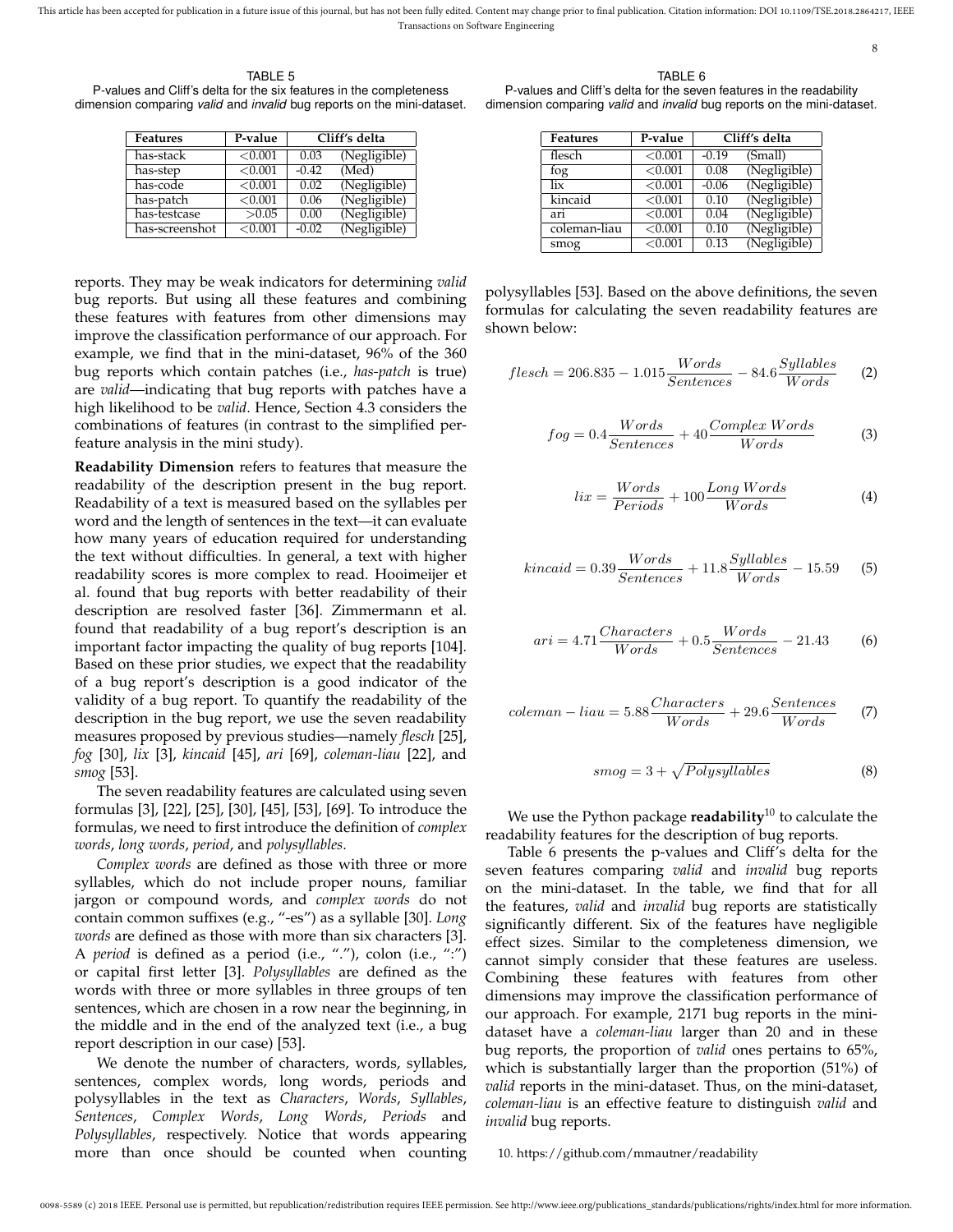TABLE 5 P-values and Cliff's delta for the six features in the completeness dimension comparing *valid* and *invalid* bug reports on the mini-dataset.

| Features       | P-value |         | Cliff's delta |
|----------------|---------|---------|---------------|
| has-stack      | < 0.001 | 0.03    | (Negligible)  |
| has-step       | < 0.001 | $-0.42$ | (Med)         |
| has-code       | < 0.001 | 0.02    | (Negligible)  |
| has-patch      | < 0.001 | 0.06    | (Negligible)  |
| has-testcase   | >0.05   | 0.00    | (Negligible)  |
| has-screenshot | < 0.001 | $-0.02$ | (Negligible)  |

reports. They may be weak indicators for determining *valid* bug reports. But using all these features and combining these features with features from other dimensions may improve the classification performance of our approach. For example, we find that in the mini-dataset, 96% of the 360 bug reports which contain patches (i.e., *has-patch* is true) are *valid*—indicating that bug reports with patches have a high likelihood to be *valid*. Hence, Section 4.3 considers the combinations of features (in contrast to the simplified perfeature analysis in the mini study).

**Readability Dimension** refers to features that measure the readability of the description present in the bug report. Readability of a text is measured based on the syllables per word and the length of sentences in the text—it can evaluate how many years of education required for understanding the text without difficulties. In general, a text with higher readability scores is more complex to read. Hooimeijer et al. found that bug reports with better readability of their description are resolved faster [36]. Zimmermann et al. found that readability of a bug report's description is an important factor impacting the quality of bug reports [104]. Based on these prior studies, we expect that the readability of a bug report's description is a good indicator of the validity of a bug report. To quantify the readability of the description in the bug report, we use the seven readability measures proposed by previous studies—namely *flesch* [25], *fog* [30], *lix* [3], *kincaid* [45], *ari* [69], *coleman-liau* [22], and *smog* [53].

The seven readability features are calculated using seven formulas [3], [22], [25], [30], [45], [53], [69]. To introduce the formulas, we need to first introduce the definition of *complex words*, *long words*, *period*, and *polysyllables*.

*Complex words* are defined as those with three or more syllables, which do not include proper nouns, familiar jargon or compound words, and *complex words* do not contain common suffixes (e.g., "-es") as a syllable [30]. *Long words* are defined as those with more than six characters [3]. A *period* is defined as a period (i.e., "."), colon (i.e., ":") or capital first letter [3]. *Polysyllables* are defined as the words with three or more syllables in three groups of ten sentences, which are chosen in a row near the beginning, in the middle and in the end of the analyzed text (i.e., a bug report description in our case) [53].

We denote the number of characters, words, syllables, sentences, complex words, long words, periods and polysyllables in the text as *Characters*, *Words*, *Syllables*, *Sentences*, *Complex Words*, *Long Words*, *Periods* and *Polysyllables*, respectively. Notice that words appearing more than once should be counted when counting

TABLE 6

8

P-values and Cliff's delta for the seven features in the readability dimension comparing *valid* and *invalid* bug reports on the mini-dataset.

| Features     | P-value    | Cliff's delta |              |  |
|--------------|------------|---------------|--------------|--|
| flesch       | < 0.001    | $-0.19$       | (Small)      |  |
| fog          | < 0.001    | 0.08          | (Negligible) |  |
| lix          | < 0.001    | $-0.06$       | (Negligible) |  |
| kincaid      | < 0.001    | 0.10          | (Negligible) |  |
| ari          | < 0.001    | 0.04          | (Negligible) |  |
| coleman-liau | < 0.001    | 0.10          | (Negligible) |  |
| smog         | ${<}0.001$ | 0.13          | (Negligible) |  |

polysyllables [53]. Based on the above definitions, the seven formulas for calculating the seven readability features are shown below:

$$
flesch = 206.835 - 1.015 \frac{Words}{Sentences} - 84.6 \frac{Syllables}{Words}
$$
 (2)

$$
fog = 0.4 \frac{Words}{Sentences} + 40 \frac{Complex\ Words}{Words}
$$
 (3)

$$
lix = \frac{Words}{Periods} + 100 \frac{Long\ Words}{Words}
$$
 (4)

$$
kincaid = 0.39 \frac{Words}{Sentences} + 11.8 \frac{Syllables}{Words} - 15.59
$$
 (5)

$$
ari = 4.71 \frac{Characters}{Words} + 0.5 \frac{Words}{Sentences} - 21.43
$$
 (6)

$$
coleman - liau = 5.88 \frac{Characters}{Words} + 29.6 \frac{Sentences}{Words} \tag{7}
$$

$$
smog = 3 + \sqrt{Polysyllables}
$$
 (8)

We use the Python package **readability**<sup>10</sup> to calculate the readability features for the description of bug reports.

Table 6 presents the p-values and Cliff's delta for the seven features comparing *valid* and *invalid* bug reports on the mini-dataset. In the table, we find that for all the features, *valid* and *invalid* bug reports are statistically significantly different. Six of the features have negligible effect sizes. Similar to the completeness dimension, we cannot simply consider that these features are useless. Combining these features with features from other dimensions may improve the classification performance of our approach. For example, 2171 bug reports in the minidataset have a *coleman-liau* larger than 20 and in these bug reports, the proportion of *valid* ones pertains to 65%, which is substantially larger than the proportion (51%) of *valid* reports in the mini-dataset. Thus, on the mini-dataset, *coleman-liau* is an effective feature to distinguish *valid* and *invalid* bug reports.

#### 10. https://github.com/mmautner/readability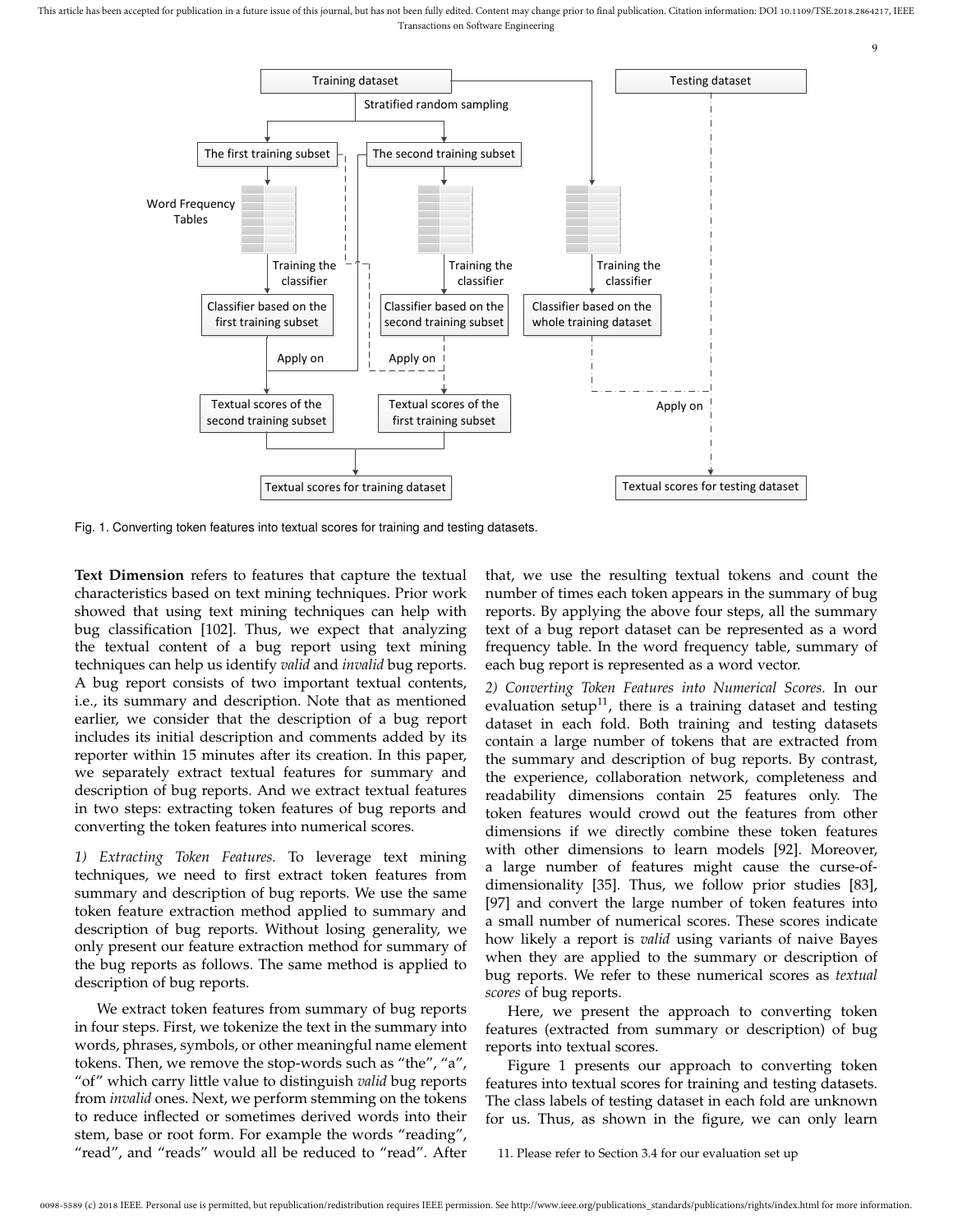

Fig. 1. Converting token features into textual scores for training and testing datasets.

**Text Dimension** refers to features that capture the textual characteristics based on text mining techniques. Prior work showed that using text mining techniques can help with bug classification [102]. Thus, we expect that analyzing the textual content of a bug report using text mining techniques can help us identify *valid* and *invalid* bug reports. A bug report consists of two important textual contents, i.e., its summary and description. Note that as mentioned earlier, we consider that the description of a bug report includes its initial description and comments added by its reporter within 15 minutes after its creation. In this paper, we separately extract textual features for summary and description of bug reports. And we extract textual features in two steps: extracting token features of bug reports and converting the token features into numerical scores.

*1) Extracting Token Features.* To leverage text mining techniques, we need to first extract token features from summary and description of bug reports. We use the same token feature extraction method applied to summary and description of bug reports. Without losing generality, we only present our feature extraction method for summary of the bug reports as follows. The same method is applied to description of bug reports.

We extract token features from summary of bug reports in four steps. First, we tokenize the text in the summary into words, phrases, symbols, or other meaningful name element tokens. Then, we remove the stop-words such as "the", "a", "of" which carry little value to distinguish *valid* bug reports from *invalid* ones. Next, we perform stemming on the tokens to reduce inflected or sometimes derived words into their stem, base or root form. For example the words "reading", "read", and "reads" would all be reduced to "read". After

that, we use the resulting textual tokens and count the number of times each token appears in the summary of bug reports. By applying the above four steps, all the summary text of a bug report dataset can be represented as a word frequency table. In the word frequency table, summary of each bug report is represented as a word vector.

9

*2) Converting Token Features into Numerical Scores.* In our evaluation setup<sup>11</sup>, there is a training dataset and testing dataset in each fold. Both training and testing datasets contain a large number of tokens that are extracted from the summary and description of bug reports. By contrast, the experience, collaboration network, completeness and readability dimensions contain 25 features only. The token features would crowd out the features from other dimensions if we directly combine these token features with other dimensions to learn models [92]. Moreover, a large number of features might cause the curse-ofdimensionality [35]. Thus, we follow prior studies [83], [97] and convert the large number of token features into a small number of numerical scores. These scores indicate how likely a report is *valid* using variants of naive Bayes when they are applied to the summary or description of bug reports. We refer to these numerical scores as *textual scores* of bug reports.

Here, we present the approach to converting token features (extracted from summary or description) of bug reports into textual scores.

Figure 1 presents our approach to converting token features into textual scores for training and testing datasets. The class labels of testing dataset in each fold are unknown for us. Thus, as shown in the figure, we can only learn

11. Please refer to Section 3.4 for our evaluation set up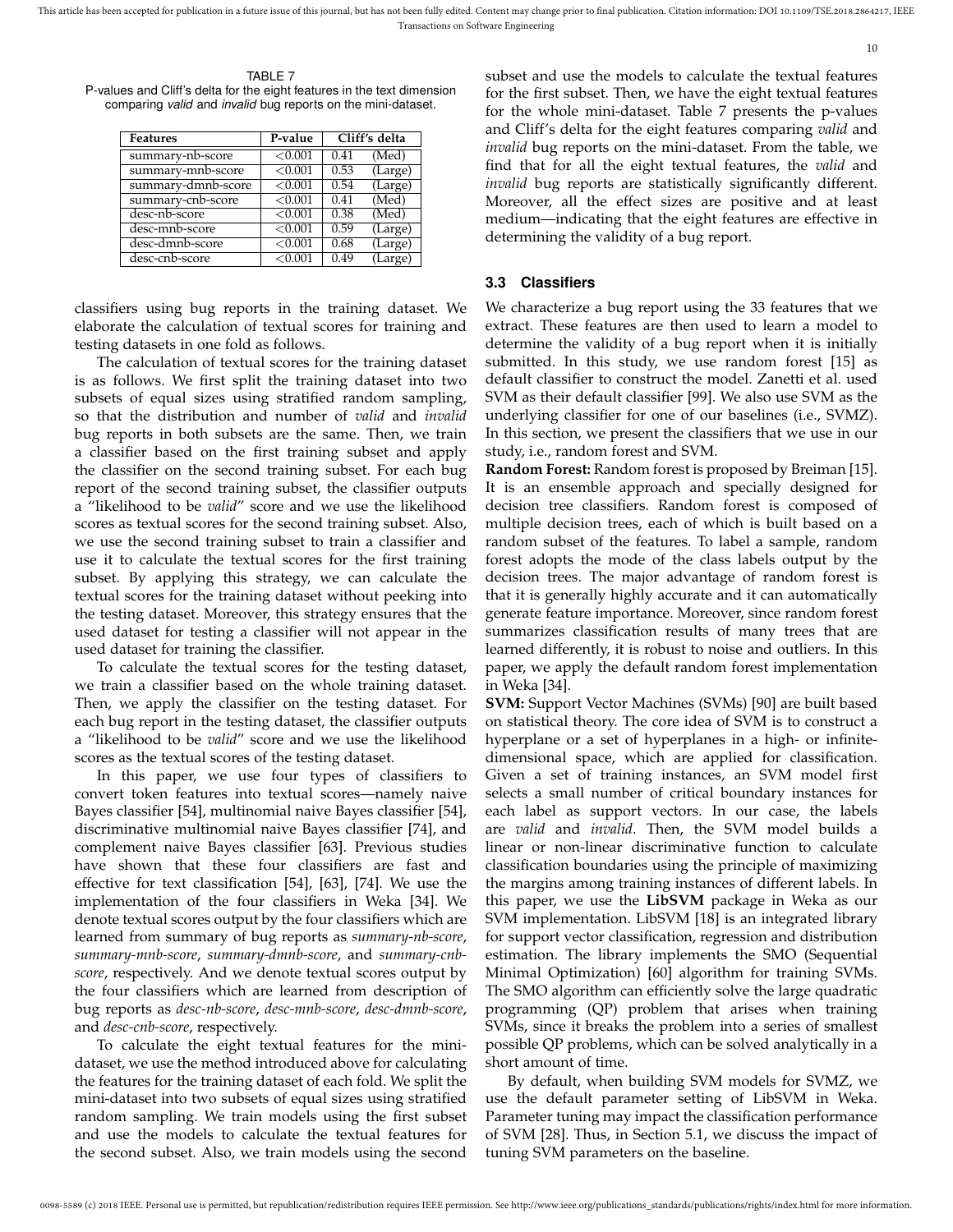10

TABLE 7 P-values and Cliff's delta for the eight features in the text dimension comparing *valid* and *invalid* bug reports on the mini-dataset.

| <b>Features</b>    | P-value |      | Cliff's delta |
|--------------------|---------|------|---------------|
| summary-nb-score   | < 0.001 | 0.41 | (Med)         |
| summary-mnb-score  | < 0.001 | 0.53 | (Large)       |
| summary-dmnb-score | < 0.001 | 0.54 | (Large)       |
| summary-cnb-score  | < 0.001 | 0.41 | (Med)         |
| desc-nb-score      | < 0.001 | 0.38 | (Med)         |
| desc-mnb-score     | < 0.001 | 0.59 | (Large)       |
| desc-dmnb-score    | < 0.001 | 0.68 | (Large)       |
| desc-cnb-score     | < 0.001 | 0.49 | (Large)       |

classifiers using bug reports in the training dataset. We elaborate the calculation of textual scores for training and testing datasets in one fold as follows.

The calculation of textual scores for the training dataset is as follows. We first split the training dataset into two subsets of equal sizes using stratified random sampling, so that the distribution and number of *valid* and *invalid* bug reports in both subsets are the same. Then, we train a classifier based on the first training subset and apply the classifier on the second training subset. For each bug report of the second training subset, the classifier outputs a "likelihood to be *valid*" score and we use the likelihood scores as textual scores for the second training subset. Also, we use the second training subset to train a classifier and use it to calculate the textual scores for the first training subset. By applying this strategy, we can calculate the textual scores for the training dataset without peeking into the testing dataset. Moreover, this strategy ensures that the used dataset for testing a classifier will not appear in the used dataset for training the classifier.

To calculate the textual scores for the testing dataset, we train a classifier based on the whole training dataset. Then, we apply the classifier on the testing dataset. For each bug report in the testing dataset, the classifier outputs a "likelihood to be *valid*" score and we use the likelihood scores as the textual scores of the testing dataset.

In this paper, we use four types of classifiers to convert token features into textual scores—namely naive Bayes classifier [54], multinomial naive Bayes classifier [54], discriminative multinomial naive Bayes classifier [74], and complement naive Bayes classifier [63]. Previous studies have shown that these four classifiers are fast and effective for text classification [54], [63], [74]. We use the implementation of the four classifiers in Weka [34]. We denote textual scores output by the four classifiers which are learned from summary of bug reports as *summary-nb-score*, *summary-mnb-score*, *summary-dmnb-score*, and *summary-cnbscore*, respectively. And we denote textual scores output by the four classifiers which are learned from description of bug reports as *desc-nb-score*, *desc-mnb-score*, *desc-dmnb-score*, and *desc-cnb-score*, respectively.

To calculate the eight textual features for the minidataset, we use the method introduced above for calculating the features for the training dataset of each fold. We split the mini-dataset into two subsets of equal sizes using stratified random sampling. We train models using the first subset and use the models to calculate the textual features for the second subset. Also, we train models using the second

subset and use the models to calculate the textual features for the first subset. Then, we have the eight textual features for the whole mini-dataset. Table 7 presents the p-values and Cliff's delta for the eight features comparing *valid* and *invalid* bug reports on the mini-dataset. From the table, we find that for all the eight textual features, the *valid* and *invalid* bug reports are statistically significantly different. Moreover, all the effect sizes are positive and at least medium—indicating that the eight features are effective in determining the validity of a bug report.

#### **3.3 Classifiers**

We characterize a bug report using the 33 features that we extract. These features are then used to learn a model to determine the validity of a bug report when it is initially submitted. In this study, we use random forest [15] as default classifier to construct the model. Zanetti et al. used SVM as their default classifier [99]. We also use SVM as the underlying classifier for one of our baselines (i.e., SVMZ). In this section, we present the classifiers that we use in our study, i.e., random forest and SVM.

**Random Forest:** Random forest is proposed by Breiman [15]. It is an ensemble approach and specially designed for decision tree classifiers. Random forest is composed of multiple decision trees, each of which is built based on a random subset of the features. To label a sample, random forest adopts the mode of the class labels output by the decision trees. The major advantage of random forest is that it is generally highly accurate and it can automatically generate feature importance. Moreover, since random forest summarizes classification results of many trees that are learned differently, it is robust to noise and outliers. In this paper, we apply the default random forest implementation in Weka [34].

**SVM:** Support Vector Machines (SVMs) [90] are built based on statistical theory. The core idea of SVM is to construct a hyperplane or a set of hyperplanes in a high- or infinitedimensional space, which are applied for classification. Given a set of training instances, an SVM model first selects a small number of critical boundary instances for each label as support vectors. In our case, the labels are *valid* and *invalid*. Then, the SVM model builds a linear or non-linear discriminative function to calculate classification boundaries using the principle of maximizing the margins among training instances of different labels. In this paper, we use the **LibSVM** package in Weka as our SVM implementation. LibSVM [18] is an integrated library for support vector classification, regression and distribution estimation. The library implements the SMO (Sequential Minimal Optimization) [60] algorithm for training SVMs. The SMO algorithm can efficiently solve the large quadratic programming (QP) problem that arises when training SVMs, since it breaks the problem into a series of smallest possible QP problems, which can be solved analytically in a short amount of time.

By default, when building SVM models for SVMZ, we use the default parameter setting of LibSVM in Weka. Parameter tuning may impact the classification performance of SVM [28]. Thus, in Section 5.1, we discuss the impact of tuning SVM parameters on the baseline.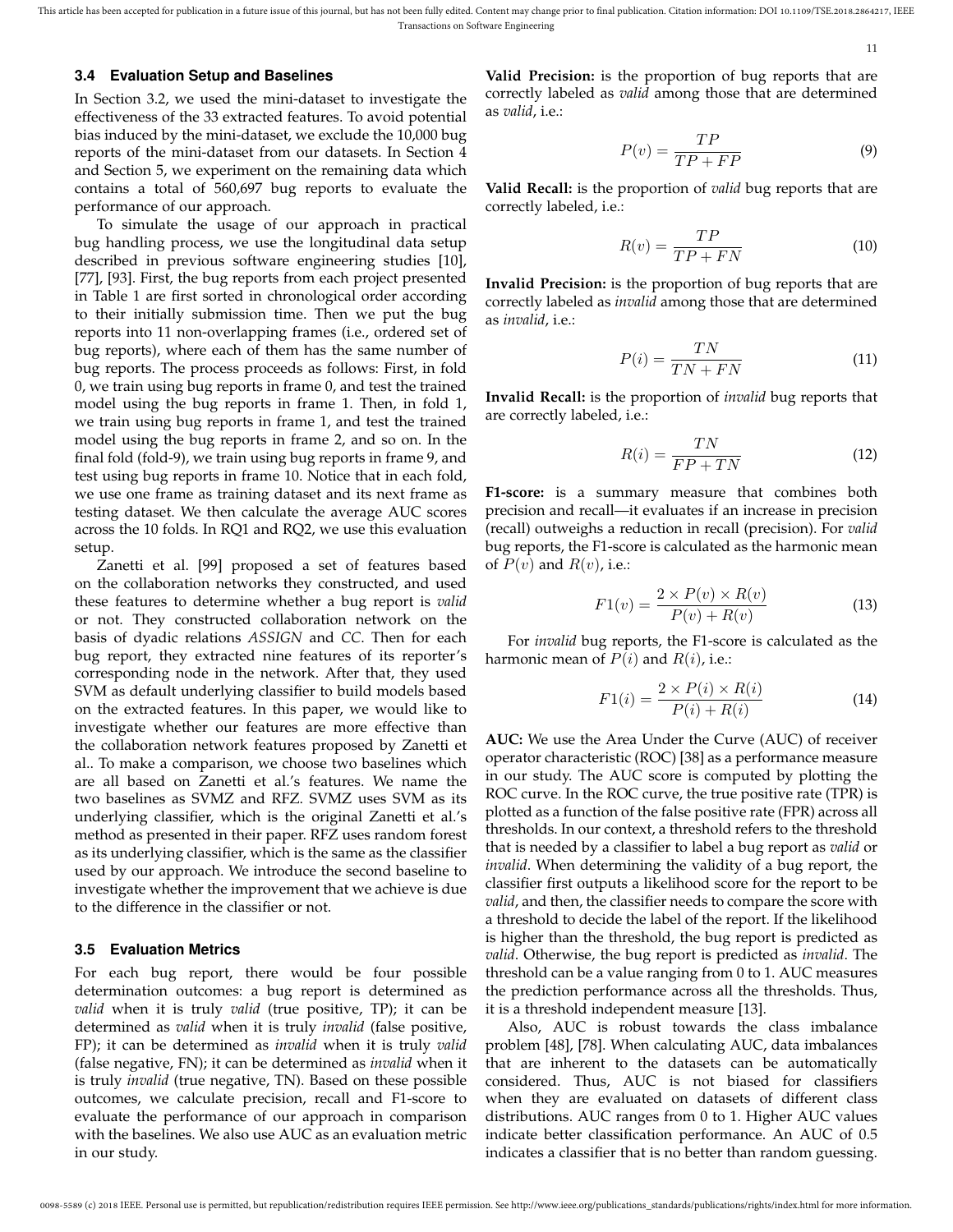11

**3.4 Evaluation Setup and Baselines**

In Section 3.2, we used the mini-dataset to investigate the effectiveness of the 33 extracted features. To avoid potential bias induced by the mini-dataset, we exclude the 10,000 bug reports of the mini-dataset from our datasets. In Section 4 and Section 5, we experiment on the remaining data which contains a total of 560,697 bug reports to evaluate the performance of our approach.

To simulate the usage of our approach in practical bug handling process, we use the longitudinal data setup described in previous software engineering studies [10], [77], [93]. First, the bug reports from each project presented in Table 1 are first sorted in chronological order according to their initially submission time. Then we put the bug reports into 11 non-overlapping frames (i.e., ordered set of bug reports), where each of them has the same number of bug reports. The process proceeds as follows: First, in fold 0, we train using bug reports in frame 0, and test the trained model using the bug reports in frame 1. Then, in fold 1, we train using bug reports in frame 1, and test the trained model using the bug reports in frame 2, and so on. In the final fold (fold-9), we train using bug reports in frame 9, and test using bug reports in frame 10. Notice that in each fold, we use one frame as training dataset and its next frame as testing dataset. We then calculate the average AUC scores across the 10 folds. In RQ1 and RQ2, we use this evaluation setup.

Zanetti et al. [99] proposed a set of features based on the collaboration networks they constructed, and used these features to determine whether a bug report is *valid* or not. They constructed collaboration network on the basis of dyadic relations *ASSIGN* and *CC*. Then for each bug report, they extracted nine features of its reporter's corresponding node in the network. After that, they used SVM as default underlying classifier to build models based on the extracted features. In this paper, we would like to investigate whether our features are more effective than the collaboration network features proposed by Zanetti et al.. To make a comparison, we choose two baselines which are all based on Zanetti et al.'s features. We name the two baselines as SVMZ and RFZ. SVMZ uses SVM as its underlying classifier, which is the original Zanetti et al.'s method as presented in their paper. RFZ uses random forest as its underlying classifier, which is the same as the classifier used by our approach. We introduce the second baseline to investigate whether the improvement that we achieve is due to the difference in the classifier or not.

#### **3.5 Evaluation Metrics**

For each bug report, there would be four possible determination outcomes: a bug report is determined as *valid* when it is truly *valid* (true positive, TP); it can be determined as *valid* when it is truly *invalid* (false positive, FP); it can be determined as *invalid* when it is truly *valid* (false negative, FN); it can be determined as *invalid* when it is truly *invalid* (true negative, TN). Based on these possible outcomes, we calculate precision, recall and F1-score to evaluate the performance of our approach in comparison with the baselines. We also use AUC as an evaluation metric in our study.

**Valid Precision:** is the proportion of bug reports that are correctly labeled as *valid* among those that are determined as *valid*, i.e.:

$$
P(v) = \frac{TP}{TP + FP} \tag{9}
$$

**Valid Recall:** is the proportion of *valid* bug reports that are correctly labeled, i.e.:

$$
R(v) = \frac{TP}{TP + FN} \tag{10}
$$

**Invalid Precision:** is the proportion of bug reports that are correctly labeled as *invalid* among those that are determined as *invalid*, i.e.:

$$
P(i) = \frac{TN}{TN + FN} \tag{11}
$$

**Invalid Recall:** is the proportion of *invalid* bug reports that are correctly labeled, i.e.:

$$
R(i) = \frac{TN}{FP + TN}
$$
\n(12)

**F1-score:** is a summary measure that combines both precision and recall—it evaluates if an increase in precision (recall) outweighs a reduction in recall (precision). For *valid* bug reports, the F1-score is calculated as the harmonic mean of  $P(v)$  and  $R(v)$ , i.e.:

$$
F1(v) = \frac{2 \times P(v) \times R(v)}{P(v) + R(v)}
$$
(13)

For *invalid* bug reports, the F1-score is calculated as the harmonic mean of  $P(i)$  and  $R(i)$ , i.e.:

$$
F1(i) = \frac{2 \times P(i) \times R(i)}{P(i) + R(i)}
$$
(14)

**AUC:** We use the Area Under the Curve (AUC) of receiver operator characteristic (ROC) [38] as a performance measure in our study. The AUC score is computed by plotting the ROC curve. In the ROC curve, the true positive rate (TPR) is plotted as a function of the false positive rate (FPR) across all thresholds. In our context, a threshold refers to the threshold that is needed by a classifier to label a bug report as *valid* or *invalid*. When determining the validity of a bug report, the classifier first outputs a likelihood score for the report to be *valid*, and then, the classifier needs to compare the score with a threshold to decide the label of the report. If the likelihood is higher than the threshold, the bug report is predicted as *valid*. Otherwise, the bug report is predicted as *invalid*. The threshold can be a value ranging from 0 to 1. AUC measures the prediction performance across all the thresholds. Thus, it is a threshold independent measure [13].

Also, AUC is robust towards the class imbalance problem [48], [78]. When calculating AUC, data imbalances that are inherent to the datasets can be automatically considered. Thus, AUC is not biased for classifiers when they are evaluated on datasets of different class distributions. AUC ranges from 0 to 1. Higher AUC values indicate better classification performance. An AUC of 0.5 indicates a classifier that is no better than random guessing.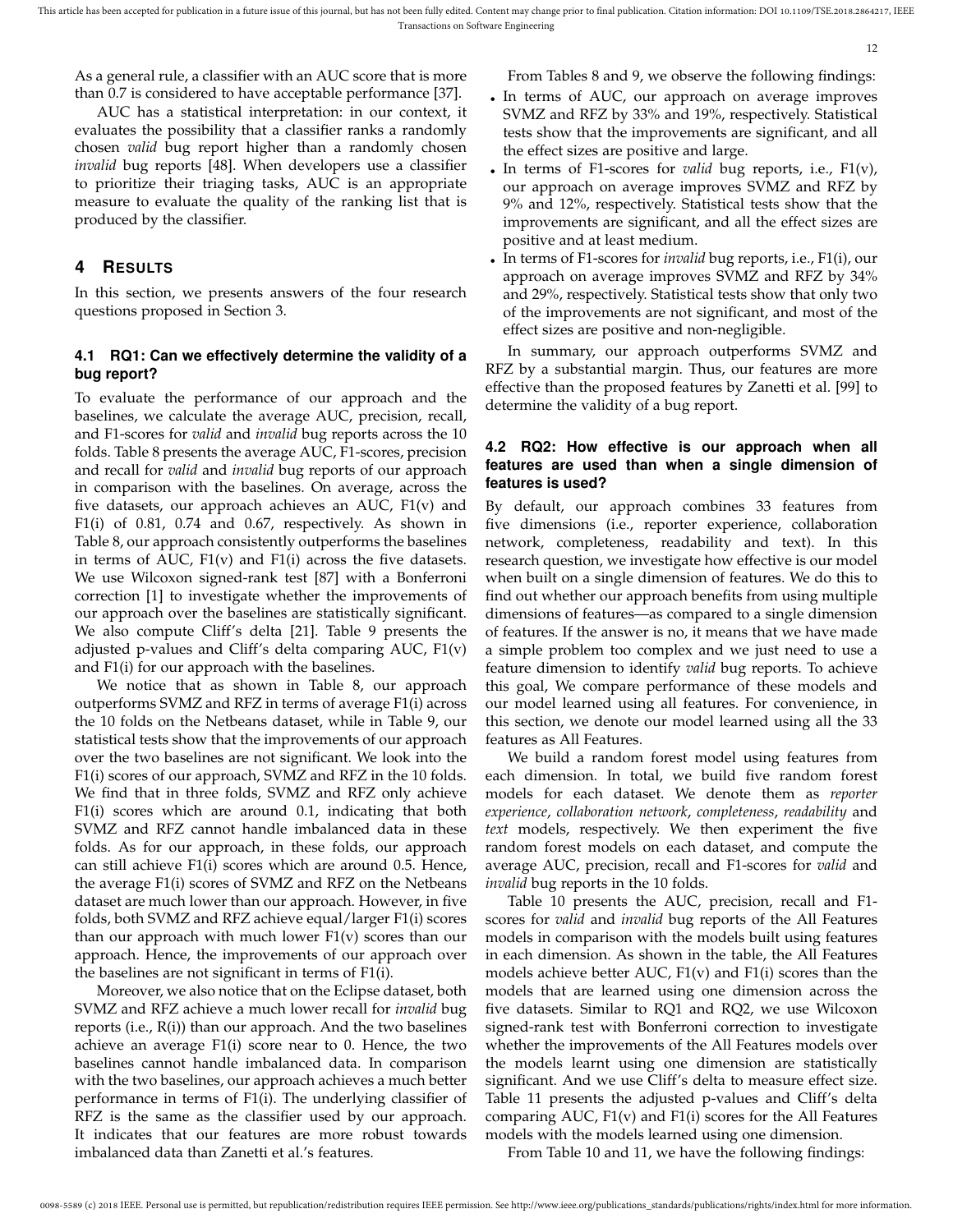As a general rule, a classifier with an AUC score that is more than 0.7 is considered to have acceptable performance [37].

AUC has a statistical interpretation: in our context, it evaluates the possibility that a classifier ranks a randomly chosen *valid* bug report higher than a randomly chosen *invalid* bug reports [48]. When developers use a classifier to prioritize their triaging tasks, AUC is an appropriate measure to evaluate the quality of the ranking list that is produced by the classifier.

## **4 RESULTS**

In this section, we presents answers of the four research questions proposed in Section 3.

## **4.1 RQ1: Can we effectively determine the validity of a bug report?**

To evaluate the performance of our approach and the baselines, we calculate the average AUC, precision, recall, and F1-scores for *valid* and *invalid* bug reports across the 10 folds. Table 8 presents the average AUC, F1-scores, precision and recall for *valid* and *invalid* bug reports of our approach in comparison with the baselines. On average, across the five datasets, our approach achieves an AUC, F1(v) and F1(i) of 0.81, 0.74 and 0.67, respectively. As shown in Table 8, our approach consistently outperforms the baselines in terms of AUC,  $F1(v)$  and  $F1(i)$  across the five datasets. We use Wilcoxon signed-rank test [87] with a Bonferroni correction [1] to investigate whether the improvements of our approach over the baselines are statistically significant. We also compute Cliff's delta [21]. Table 9 presents the adjusted p-values and Cliff's delta comparing AUC, F1(v) and F1(i) for our approach with the baselines.

We notice that as shown in Table 8, our approach outperforms SVMZ and RFZ in terms of average F1(i) across the 10 folds on the Netbeans dataset, while in Table 9, our statistical tests show that the improvements of our approach over the two baselines are not significant. We look into the F1(i) scores of our approach, SVMZ and RFZ in the 10 folds. We find that in three folds, SVMZ and RFZ only achieve F1(i) scores which are around 0.1, indicating that both SVMZ and RFZ cannot handle imbalanced data in these folds. As for our approach, in these folds, our approach can still achieve F1(i) scores which are around 0.5. Hence, the average F1(i) scores of SVMZ and RFZ on the Netbeans dataset are much lower than our approach. However, in five folds, both SVMZ and RFZ achieve equal/larger F1(i) scores than our approach with much lower  $F1(v)$  scores than our approach. Hence, the improvements of our approach over the baselines are not significant in terms of F1(i).

Moreover, we also notice that on the Eclipse dataset, both SVMZ and RFZ achieve a much lower recall for *invalid* bug reports (i.e., R(i)) than our approach. And the two baselines achieve an average F1(i) score near to 0. Hence, the two baselines cannot handle imbalanced data. In comparison with the two baselines, our approach achieves a much better performance in terms of F1(i). The underlying classifier of RFZ is the same as the classifier used by our approach. It indicates that our features are more robust towards imbalanced data than Zanetti et al.'s features.

From Tables 8 and 9, we observe the following findings:

12

- In terms of AUC, our approach on average improves SVMZ and RFZ by 33% and 19%, respectively. Statistical tests show that the improvements are significant, and all the effect sizes are positive and large.
- In terms of F1-scores for *valid* bug reports, i.e., F1(v), our approach on average improves SVMZ and RFZ by 9% and 12%, respectively. Statistical tests show that the improvements are significant, and all the effect sizes are positive and at least medium.
- In terms of F1-scores for *invalid* bug reports, i.e., F1(i), our approach on average improves SVMZ and RFZ by 34% and 29%, respectively. Statistical tests show that only two of the improvements are not significant, and most of the effect sizes are positive and non-negligible.

In summary, our approach outperforms SVMZ and RFZ by a substantial margin. Thus, our features are more effective than the proposed features by Zanetti et al. [99] to determine the validity of a bug report.

## **4.2 RQ2: How effective is our approach when all features are used than when a single dimension of features is used?**

By default, our approach combines 33 features from five dimensions (i.e., reporter experience, collaboration network, completeness, readability and text). In this research question, we investigate how effective is our model when built on a single dimension of features. We do this to find out whether our approach benefits from using multiple dimensions of features—as compared to a single dimension of features. If the answer is no, it means that we have made a simple problem too complex and we just need to use a feature dimension to identify *valid* bug reports. To achieve this goal, We compare performance of these models and our model learned using all features. For convenience, in this section, we denote our model learned using all the 33 features as All Features.

We build a random forest model using features from each dimension. In total, we build five random forest models for each dataset. We denote them as *reporter experience*, *collaboration network*, *completeness*, *readability* and *text* models, respectively. We then experiment the five random forest models on each dataset, and compute the average AUC, precision, recall and F1-scores for *valid* and *invalid* bug reports in the 10 folds.

Table 10 presents the AUC, precision, recall and F1 scores for *valid* and *invalid* bug reports of the All Features models in comparison with the models built using features in each dimension. As shown in the table, the All Features models achieve better AUC, F1(v) and F1(i) scores than the models that are learned using one dimension across the five datasets. Similar to RQ1 and RQ2, we use Wilcoxon signed-rank test with Bonferroni correction to investigate whether the improvements of the All Features models over the models learnt using one dimension are statistically significant. And we use Cliff's delta to measure effect size. Table 11 presents the adjusted p-values and Cliff's delta comparing AUC, F1(v) and F1(i) scores for the All Features models with the models learned using one dimension.

From Table 10 and 11, we have the following findings: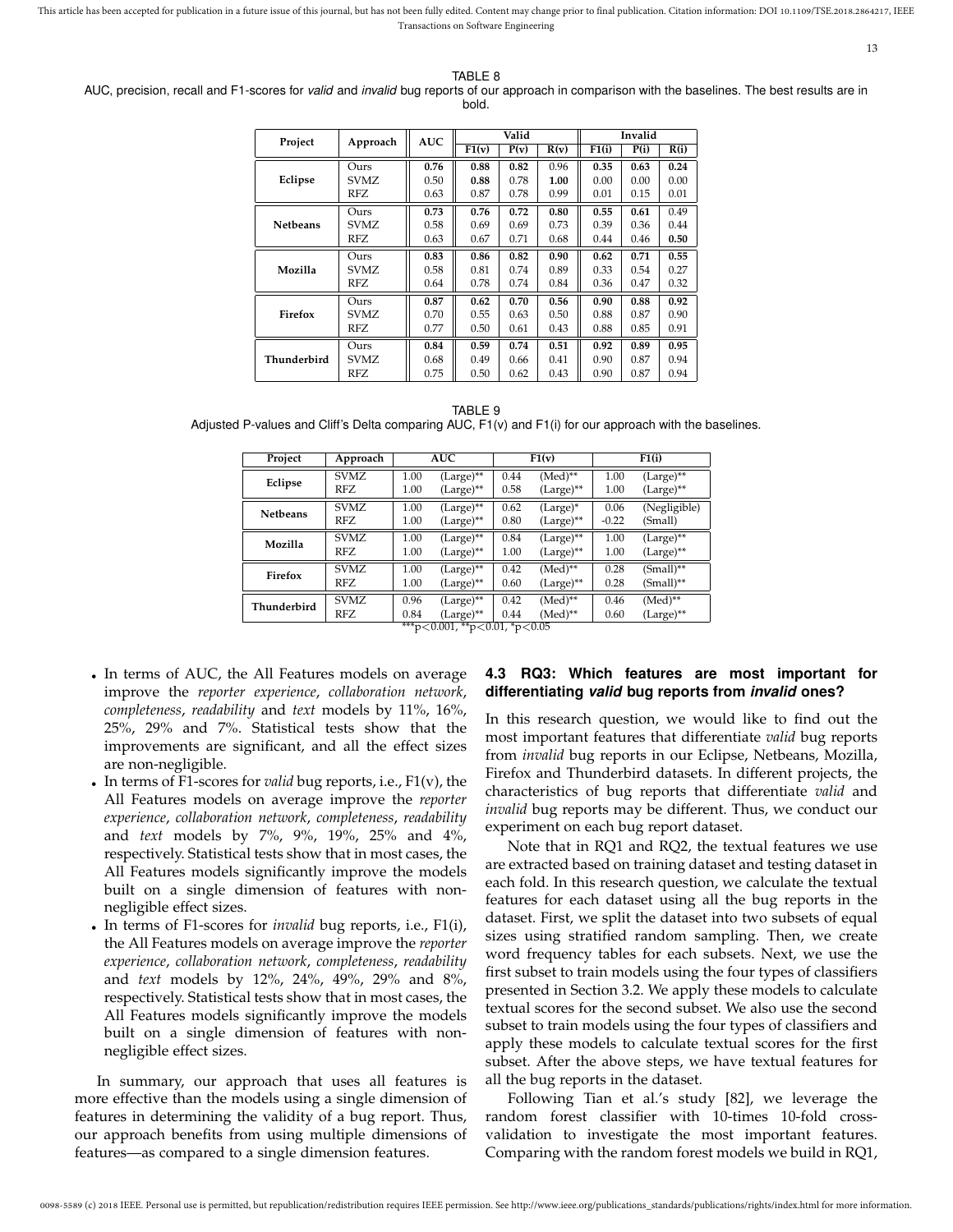13

TABLE 8

AUC, precision, recall and F1-scores for *valid* and *invalid* bug reports of our approach in comparison with the baselines. The best results are in bold.

| Project         | Approach | <b>AUC</b> |                    | Valid |      | Invalid |      |      |
|-----------------|----------|------------|--------------------|-------|------|---------|------|------|
|                 |          |            | $\overline{F1}(v)$ | P(v)  | R(v) | F1(i)   | P(i) | R(i) |
|                 | Ours     | 0.76       | 0.88               | 0.82  | 0.96 | 0.35    | 0.63 | 0.24 |
| Eclipse         | SVMZ.    | 0.50       | 0.88               | 0.78  | 1.00 | 0.00    | 0.00 | 0.00 |
|                 | RFZ.     | 0.63       | 0.87               | 0.78  | 0.99 | 0.01    | 0.15 | 0.01 |
|                 | Ours     | 0.73       | 0.76               | 0.72  | 0.80 | 0.55    | 0.61 | 0.49 |
| <b>Netbeans</b> | SVMZ.    | 0.58       | 0.69               | 0.69  | 0.73 | 0.39    | 0.36 | 0.44 |
|                 | RFZ      | 0.63       | 0.67               | 0.71  | 0.68 | 0.44    | 0.46 | 0.50 |
|                 | Ours     | 0.83       | 0.86               | 0.82  | 0.90 | 0.62    | 0.71 | 0.55 |
| Mozilla         | SVMZ.    | 0.58       | 0.81               | 0.74  | 0.89 | 0.33    | 0.54 | 0.27 |
|                 | RFZ      | 0.64       | 0.78               | 0.74  | 0.84 | 0.36    | 0.47 | 0.32 |
|                 | Ours     | 0.87       | 0.62               | 0.70  | 0.56 | 0.90    | 0.88 | 0.92 |
| Firefox         | SVMZ.    | 0.70       | 0.55               | 0.63  | 0.50 | 0.88    | 0.87 | 0.90 |
|                 | RFZ      | 0.77       | 0.50               | 0.61  | 0.43 | 0.88    | 0.85 | 0.91 |
|                 | Ours     | 0.84       | 0.59               | 0.74  | 0.51 | 0.92    | 0.89 | 0.95 |
| Thunderbird     | SVMZ.    | 0.68       | 0.49               | 0.66  | 0.41 | 0.90    | 0.87 | 0.94 |
|                 | RFZ      | 0.75       | 0.50               | 0.62  | 0.43 | 0.90    | 0.87 | 0.94 |

TABLE 9 Adjusted P-values and Cliff's Delta comparing AUC, F1(v) and F1(i) for our approach with the baselines.

| Project         | Approach    |      | <b>AUC</b>   | F1(v) |              | F1(i)   |              |
|-----------------|-------------|------|--------------|-------|--------------|---------|--------------|
|                 | SVMZ.       | 1.00 | $(Large)$ ** | 0.44  | $(Med)**$    | 1.00    | $(Large)$ ** |
| Eclipse         | RFZ.        | 1.00 | $(Large)$ ** | 0.58  | $(Large)$ ** | 1.00    | $(Large)$ ** |
| <b>Netbeans</b> | SVMZ.       | 1.00 | $(Large)$ ** | 0.62  | (Large)*     | 0.06    | (Negligible) |
|                 | RFZ.        | 1.00 | $(Large)$ ** | 0.80  | $(Large)$ ** | $-0.22$ | (Small)      |
| Mozilla         | <b>SVMZ</b> | 1.00 | $(Large)$ ** | 0.84  | $(Large)$ ** | 1.00    | $(Large)$ ** |
|                 | RFZ.        | 1.00 | $(Large)$ ** | 1.00  | $(Large)$ ** | 1.00    | $(Large)$ ** |
| Firefox         | SVMZ.       | 1.00 | $(Large)$ ** | 0.42  | (Med)**      | 0.28    | (Small)**    |
|                 | RFZ.        | 1.00 | $(Large)$ ** | 0.60  | (Large)**    | 0.28    | (Small)**    |
| Thunderbird     | <b>SVMZ</b> | 0.96 | $(Large)$ ** | 0.42  | (Med)**      | 0.46    | $(Med)**$    |
|                 | RFZ         | 0.84 | $(Large)$ ** | 0.44  | $(Med)**$    | 0.60    | $(Large)$ ** |

\*\*\*p<0.001, \*\*p<0.01, \*p<0.05

- In terms of AUC, the All Features models on average improve the *reporter experience*, *collaboration network*, *completeness*, *readability* and *text* models by 11%, 16%, 25%, 29% and 7%. Statistical tests show that the improvements are significant, and all the effect sizes are non-negligible.
- In terms of F1-scores for *valid* bug reports, i.e., F1(v), the All Features models on average improve the *reporter experience*, *collaboration network*, *completeness*, *readability* and *text* models by 7%, 9%, 19%, 25% and 4%, respectively. Statistical tests show that in most cases, the All Features models significantly improve the models built on a single dimension of features with nonnegligible effect sizes.
- In terms of F1-scores for *invalid* bug reports, i.e., F1(i), the All Features models on average improve the *reporter experience*, *collaboration network*, *completeness*, *readability* and *text* models by 12%, 24%, 49%, 29% and 8%, respectively. Statistical tests show that in most cases, the All Features models significantly improve the models built on a single dimension of features with nonnegligible effect sizes.

In summary, our approach that uses all features is more effective than the models using a single dimension of features in determining the validity of a bug report. Thus, our approach benefits from using multiple dimensions of features—as compared to a single dimension features.

#### **4.3 RQ3: Which features are most important for differentiating** *valid* **bug reports from** *invalid* **ones?**

In this research question, we would like to find out the most important features that differentiate *valid* bug reports from *invalid* bug reports in our Eclipse, Netbeans, Mozilla, Firefox and Thunderbird datasets. In different projects, the characteristics of bug reports that differentiate *valid* and *invalid* bug reports may be different. Thus, we conduct our experiment on each bug report dataset.

Note that in RQ1 and RQ2, the textual features we use are extracted based on training dataset and testing dataset in each fold. In this research question, we calculate the textual features for each dataset using all the bug reports in the dataset. First, we split the dataset into two subsets of equal sizes using stratified random sampling. Then, we create word frequency tables for each subsets. Next, we use the first subset to train models using the four types of classifiers presented in Section 3.2. We apply these models to calculate textual scores for the second subset. We also use the second subset to train models using the four types of classifiers and apply these models to calculate textual scores for the first subset. After the above steps, we have textual features for all the bug reports in the dataset.

Following Tian et al.'s study [82], we leverage the random forest classifier with 10-times 10-fold crossvalidation to investigate the most important features. Comparing with the random forest models we build in RQ1,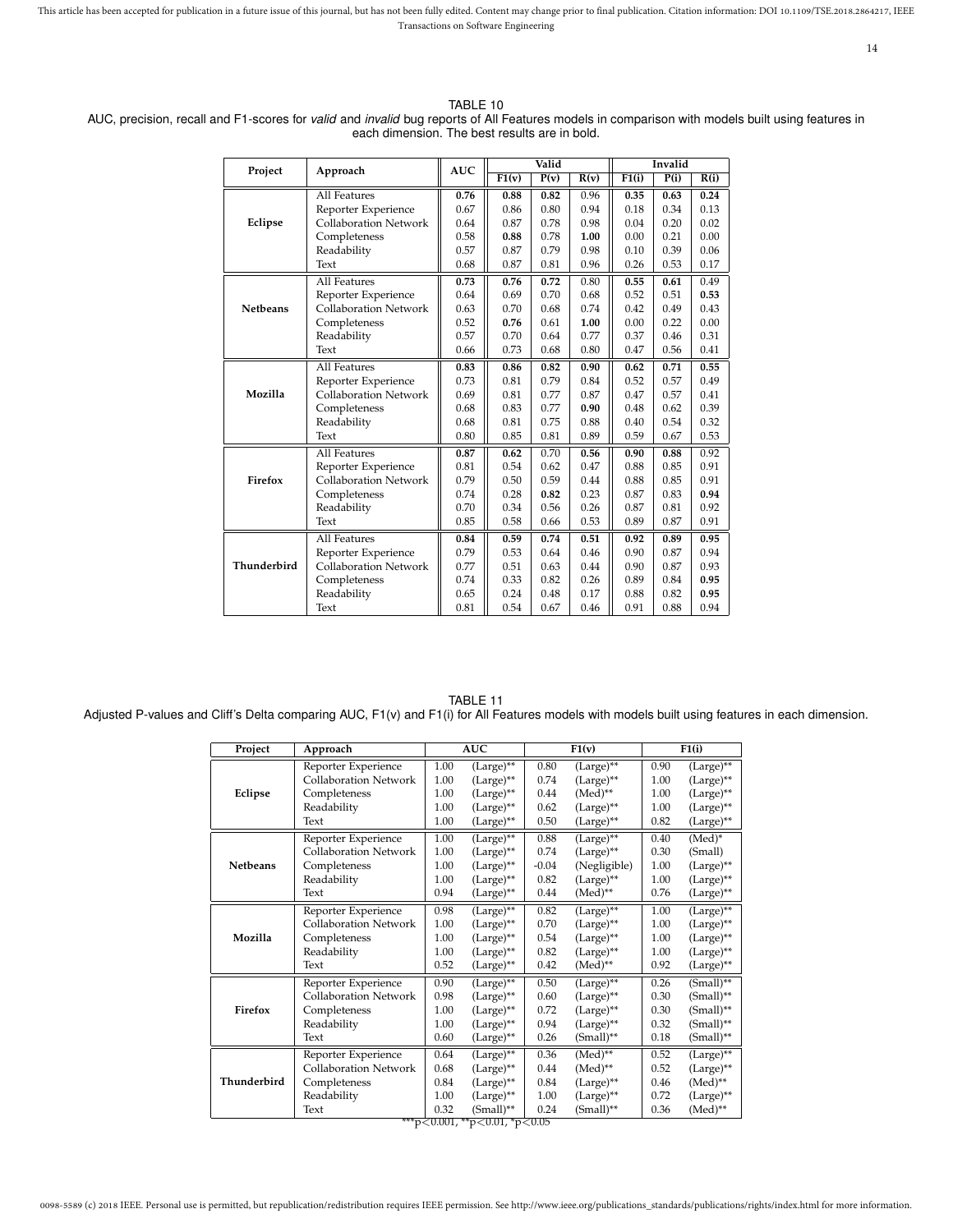14

|                 |                              | <b>AUC</b> |                    | Valid |      |       | Invalid |      |
|-----------------|------------------------------|------------|--------------------|-------|------|-------|---------|------|
| Project         | Approach                     |            | $\overline{F1(v)}$ | P(v)  | R(v) | F1(i) | P(i)    | R(i) |
|                 | All Features                 | 0.76       | 0.88               | 0.82  | 0.96 | 0.35  | 0.63    | 0.24 |
|                 | Reporter Experience          | 0.67       | 0.86               | 0.80  | 0.94 | 0.18  | 0.34    | 0.13 |
| Eclipse         | <b>Collaboration Network</b> | 0.64       | 0.87               | 0.78  | 0.98 | 0.04  | 0.20    | 0.02 |
|                 | Completeness                 | 0.58       | 0.88               | 0.78  | 1.00 | 0.00  | 0.21    | 0.00 |
|                 | Readability                  | 0.57       | 0.87               | 0.79  | 0.98 | 0.10  | 0.39    | 0.06 |
|                 | Text                         | 0.68       | 0.87               | 0.81  | 0.96 | 0.26  | 0.53    | 0.17 |
|                 | All Features                 | 0.73       | 0.76               | 0.72  | 0.80 | 0.55  | 0.61    | 0.49 |
|                 | Reporter Experience          | 0.64       | 0.69               | 0.70  | 0.68 | 0.52  | 0.51    | 0.53 |
| <b>Netbeans</b> | <b>Collaboration Network</b> | 0.63       | 0.70               | 0.68  | 0.74 | 0.42  | 0.49    | 0.43 |
|                 | Completeness                 | 0.52       | 0.76               | 0.61  | 1.00 | 0.00  | 0.22    | 0.00 |
|                 | Readability                  | 0.57       | 0.70               | 0.64  | 0.77 | 0.37  | 0.46    | 0.31 |
|                 | Text                         | 0.66       | 0.73               | 0.68  | 0.80 | 0.47  | 0.56    | 0.41 |
|                 | All Features                 | 0.83       | 0.86               | 0.82  | 0.90 | 0.62  | 0.71    | 0.55 |
|                 | Reporter Experience          | 0.73       | 0.81               | 0.79  | 0.84 | 0.52  | 0.57    | 0.49 |
| Mozilla         | <b>Collaboration Network</b> | 0.69       | 0.81               | 0.77  | 0.87 | 0.47  | 0.57    | 0.41 |
|                 | Completeness                 | 0.68       | 0.83               | 0.77  | 0.90 | 0.48  | 0.62    | 0.39 |
|                 | Readability                  | 0.68       | 0.81               | 0.75  | 0.88 | 0.40  | 0.54    | 0.32 |
|                 | Text                         | 0.80       | 0.85               | 0.81  | 0.89 | 0.59  | 0.67    | 0.53 |
|                 | All Features                 | 0.87       | 0.62               | 0.70  | 0.56 | 0.90  | 0.88    | 0.92 |
|                 | Reporter Experience          | 0.81       | 0.54               | 0.62  | 0.47 | 0.88  | 0.85    | 0.91 |
| Firefox         | <b>Collaboration Network</b> | 0.79       | 0.50               | 0.59  | 0.44 | 0.88  | 0.85    | 0.91 |
|                 | Completeness                 | 0.74       | 0.28               | 0.82  | 0.23 | 0.87  | 0.83    | 0.94 |
|                 | Readability                  | 0.70       | 0.34               | 0.56  | 0.26 | 0.87  | 0.81    | 0.92 |
|                 | Text                         | 0.85       | 0.58               | 0.66  | 0.53 | 0.89  | 0.87    | 0.91 |
|                 | All Features                 | 0.84       | 0.59               | 0.74  | 0.51 | 0.92  | 0.89    | 0.95 |
|                 | Reporter Experience          | 0.79       | 0.53               | 0.64  | 0.46 | 0.90  | 0.87    | 0.94 |
| Thunderbird     | <b>Collaboration Network</b> | 0.77       | 0.51               | 0.63  | 0.44 | 0.90  | 0.87    | 0.93 |
|                 | Completeness                 | 0.74       | 0.33               | 0.82  | 0.26 | 0.89  | 0.84    | 0.95 |
|                 | Readability                  | 0.65       | 0.24               | 0.48  | 0.17 | 0.88  | 0.82    | 0.95 |
|                 | Text                         | 0.81       | 0.54               | 0.67  | 0.46 | 0.91  | 0.88    | 0.94 |

TABLE 10 AUC, precision, recall and F1-scores for *valid* and *invalid* bug reports of All Features models in comparison with models built using features in each dimension. The best results are in bold.

| TABLE 11                                                                                                                                       |
|------------------------------------------------------------------------------------------------------------------------------------------------|
| Adjusted P-values and Cliff's Delta comparing AUC, F1(v) and F1(i) for All Features models with models built using features in each dimension. |

| Project         | Approach                     |      | AUC                                                     |         | F1(v)          | F1(i) |                |  |
|-----------------|------------------------------|------|---------------------------------------------------------|---------|----------------|-------|----------------|--|
|                 | Reporter Experience          | 1.00 | $(Large)$ **                                            | 0.80    | $(Large)$ **   | 0.90  | (Large)**      |  |
|                 | <b>Collaboration Network</b> | 1.00 | $(Large)$ **                                            | 0.74    | $(Large)$ **   | 1.00  | $(Large)$ **   |  |
| Eclipse         | Completeness                 | 1.00 | $(Large)$ **                                            | 0.44    | $(Med)^{**}$   | 1.00  | $(Large)$ **   |  |
|                 | Readability                  | 1.00 | $(Large)$ **                                            | 0.62    | $(Large)$ **   | 1.00  | (Large)**      |  |
|                 | Text                         | 1.00 | $(Large)$ **                                            | 0.50    | $(Large)$ **   | 0.82  | $(Large)$ **   |  |
|                 | Reporter Experience          | 1.00 | (Large)**                                               | 0.88    | (Large)**      | 0.40  | $(Med)^*$      |  |
|                 | <b>Collaboration Network</b> | 1.00 | $(Large)$ **                                            | 0.74    | $(Large)$ **   | 0.30  | (Small)        |  |
| <b>Netbeans</b> | Completeness                 | 1.00 | $(Large)$ **                                            | $-0.04$ | (Negligible)   | 1.00  | $(Large)$ **   |  |
|                 | Readability                  | 1.00 | $(Large)$ **                                            | 0.82    | (Large)**      | 1.00  | $(Large)$ **   |  |
|                 | Text                         | 0.94 | $(Large)$ **                                            | 0.44    | $(Med)^{**}$   | 0.76  | $(Large)$ **   |  |
|                 | Reporter Experience          | 0.98 | (Large)**                                               | 0.82    | (Large)**      | 1.00  | (Large)**      |  |
|                 | <b>Collaboration Network</b> | 1.00 | $(Large)$ **                                            | 0.70    | $(Large)$ **   | 1.00  | (Large)**      |  |
| Mozilla         | Completeness                 | 1.00 | $(Large)$ **                                            | 0.54    | $(Large)$ **   | 1.00  | $(Large)$ **   |  |
|                 | Readability                  | 1.00 | $(Large)$ **                                            | 0.82    | $(Large)$ **   | 1.00  | $(Large)$ **   |  |
|                 | Text                         | 0.52 | $(Large)$ **                                            | 0.42    | $(Med)**$      | 0.92  | $(Large)$ **   |  |
|                 | Reporter Experience          | 0.90 | $(Large)$ **                                            | 0.50    | (Large)**      | 0.26  | $(Small)$ **   |  |
|                 | <b>Collaboration Network</b> | 0.98 | $(Large)$ **                                            | 0.60    | (Large)**      | 0.30  | $(Small)^{**}$ |  |
| Firefox         | Completeness                 | 1.00 | $(Large)$ **                                            | 0.72    | $(Large)$ **   | 0.30  | $(Small)^{**}$ |  |
|                 | Readability                  | 1.00 | $(Large)$ **                                            | 0.94    | $(Large)$ **   | 0.32  | $(Small)^{**}$ |  |
|                 | Text                         | 0.60 | $(Large)$ **                                            | 0.26    | (Small)**      | 0.18  | $(Small)^{**}$ |  |
|                 | Reporter Experience          | 0.64 | $(Large)$ **                                            | 0.36    | $(Med)^{**}$   | 0.52  | (Large)**      |  |
| Thunderbird     | <b>Collaboration Network</b> | 0.68 | (Large)**                                               | 0.44    | $(Med)^{**}$   | 0.52  | (Large)**      |  |
|                 | Completeness                 | 0.84 | $(Large)$ **                                            | 0.84    | $(Large)$ **   | 0.46  | $(Med)^{**}$   |  |
|                 | Readability                  | 1.00 | $(Large)$ **                                            | 1.00    | $(Large)$ **   | 0.72  | $(Large)$ **   |  |
|                 | Text                         | 0.32 | $(Small)^{**}$<br>$***\sim0.001**\sim0.01*_{p}\sim0.05$ | 0.24    | $(Small)^{**}$ | 0.36  | $(Med)^{**}$   |  |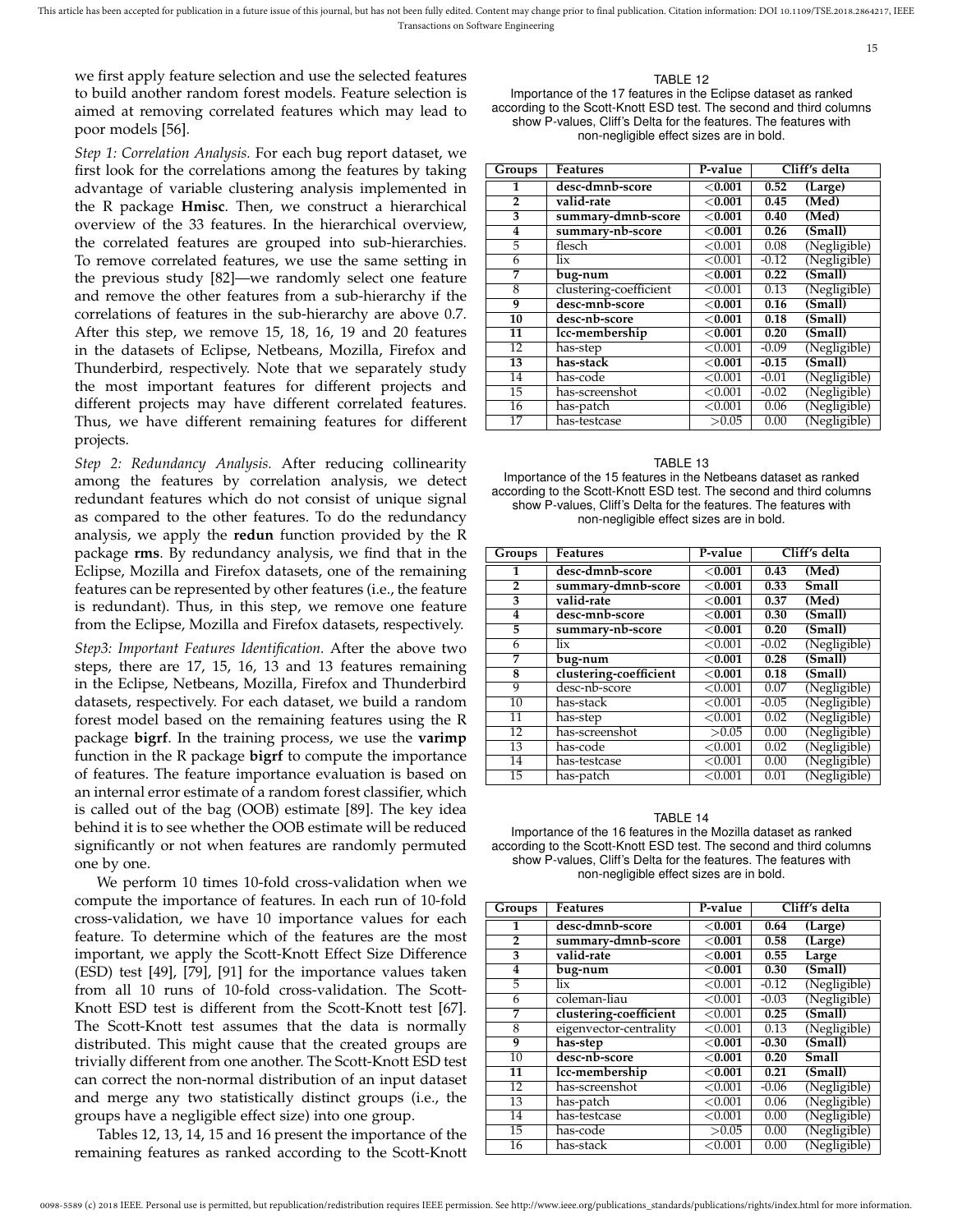we first apply feature selection and use the selected features to build another random forest models. Feature selection is aimed at removing correlated features which may lead to poor models [56].

*Step 1: Correlation Analysis.* For each bug report dataset, we first look for the correlations among the features by taking advantage of variable clustering analysis implemented in the R package **Hmisc**. Then, we construct a hierarchical overview of the 33 features. In the hierarchical overview, the correlated features are grouped into sub-hierarchies. To remove correlated features, we use the same setting in the previous study [82]—we randomly select one feature and remove the other features from a sub-hierarchy if the correlations of features in the sub-hierarchy are above 0.7. After this step, we remove 15, 18, 16, 19 and 20 features in the datasets of Eclipse, Netbeans, Mozilla, Firefox and Thunderbird, respectively. Note that we separately study the most important features for different projects and different projects may have different correlated features. Thus, we have different remaining features for different projects.

*Step 2: Redundancy Analysis.* After reducing collinearity among the features by correlation analysis, we detect redundant features which do not consist of unique signal as compared to the other features. To do the redundancy analysis, we apply the **redun** function provided by the R package **rms**. By redundancy analysis, we find that in the Eclipse, Mozilla and Firefox datasets, one of the remaining features can be represented by other features (i.e., the feature is redundant). Thus, in this step, we remove one feature from the Eclipse, Mozilla and Firefox datasets, respectively.

*Step3: Important Features Identification.* After the above two steps, there are 17, 15, 16, 13 and 13 features remaining in the Eclipse, Netbeans, Mozilla, Firefox and Thunderbird datasets, respectively. For each dataset, we build a random forest model based on the remaining features using the R package **bigrf**. In the training process, we use the **varimp** function in the R package **bigrf** to compute the importance of features. The feature importance evaluation is based on an internal error estimate of a random forest classifier, which is called out of the bag (OOB) estimate [89]. The key idea behind it is to see whether the OOB estimate will be reduced significantly or not when features are randomly permuted one by one.

We perform 10 times 10-fold cross-validation when we compute the importance of features. In each run of 10-fold cross-validation, we have 10 importance values for each feature. To determine which of the features are the most important, we apply the Scott-Knott Effect Size Difference (ESD) test [49], [79], [91] for the importance values taken from all 10 runs of 10-fold cross-validation. The Scott-Knott ESD test is different from the Scott-Knott test [67]. The Scott-Knott test assumes that the data is normally distributed. This might cause that the created groups are trivially different from one another. The Scott-Knott ESD test can correct the non-normal distribution of an input dataset and merge any two statistically distinct groups (i.e., the groups have a negligible effect size) into one group.

Tables 12, 13, 14, 15 and 16 present the importance of the remaining features as ranked according to the Scott-Knott

TABLE 12 Importance of the 17 features in the Eclipse dataset as ranked according to the Scott-Knott ESD test. The second and third columns show P-values, Cliff's Delta for the features. The features with non-negligible effect sizes are in bold.

15

| Cliff's delta<br>desc-dmnb-score<br>$<$ 0.001<br>0.52<br>1<br>(Large)<br>(Med)<br>valid-rate<br>$\overline{2}$<br>0.45<br>$<$ 0.001<br>3<br>summary-dmnb-score<br>(Med)<br>$<$ 0.001<br>0.40<br>summary-nb-score<br>4<br>(Smal)<br>$<$ 0.001<br>0.26<br>5<br>(Negligible)<br>flesch<br>< 0.001<br>0.08<br>(Negligible)<br>lix<br>< 0.001<br>$-0.12$<br>6<br>(Smal)<br>7<br>< 0.001<br>0.22<br>bug-num<br>(Negligible)<br>$\overline{8}$<br>clustering-coefficient<br>< 0.001<br>0.13<br>(Smal)<br>desc-mnb-score<br>9<br>< 0.001<br>0.16<br>desc-nb-score<br>10<br>$<$ 0.001<br>0.18<br>(Small)<br>lcc-membership<br>11<br>< 0.001<br>0.20<br>(Small)<br>(Negligible)<br>$\overline{12}$<br>< 0.001<br>$-0.09$<br>has-step<br>has-stack<br>(Small)<br>13<br>$<$ 0.001<br>$-0.15$<br>(Negligible)<br>14<br>< 0.001<br>$-0.01$<br>has-code<br>(Negligible)<br>15<br>$-0.02$<br>has-screenshot<br>${<}0.001$<br>(Negligible)<br>16<br>0.06<br>has-patch<br>< 0.001<br>(Negligible)<br>17<br>has-testcase<br>0.00<br>>0.05 |        |          |         |  |
|------------------------------------------------------------------------------------------------------------------------------------------------------------------------------------------------------------------------------------------------------------------------------------------------------------------------------------------------------------------------------------------------------------------------------------------------------------------------------------------------------------------------------------------------------------------------------------------------------------------------------------------------------------------------------------------------------------------------------------------------------------------------------------------------------------------------------------------------------------------------------------------------------------------------------------------------------------------------------------------------------------------------|--------|----------|---------|--|
|                                                                                                                                                                                                                                                                                                                                                                                                                                                                                                                                                                                                                                                                                                                                                                                                                                                                                                                                                                                                                        | Groups | Features | P-value |  |
|                                                                                                                                                                                                                                                                                                                                                                                                                                                                                                                                                                                                                                                                                                                                                                                                                                                                                                                                                                                                                        |        |          |         |  |
|                                                                                                                                                                                                                                                                                                                                                                                                                                                                                                                                                                                                                                                                                                                                                                                                                                                                                                                                                                                                                        |        |          |         |  |
|                                                                                                                                                                                                                                                                                                                                                                                                                                                                                                                                                                                                                                                                                                                                                                                                                                                                                                                                                                                                                        |        |          |         |  |
|                                                                                                                                                                                                                                                                                                                                                                                                                                                                                                                                                                                                                                                                                                                                                                                                                                                                                                                                                                                                                        |        |          |         |  |
|                                                                                                                                                                                                                                                                                                                                                                                                                                                                                                                                                                                                                                                                                                                                                                                                                                                                                                                                                                                                                        |        |          |         |  |
|                                                                                                                                                                                                                                                                                                                                                                                                                                                                                                                                                                                                                                                                                                                                                                                                                                                                                                                                                                                                                        |        |          |         |  |
|                                                                                                                                                                                                                                                                                                                                                                                                                                                                                                                                                                                                                                                                                                                                                                                                                                                                                                                                                                                                                        |        |          |         |  |
|                                                                                                                                                                                                                                                                                                                                                                                                                                                                                                                                                                                                                                                                                                                                                                                                                                                                                                                                                                                                                        |        |          |         |  |
|                                                                                                                                                                                                                                                                                                                                                                                                                                                                                                                                                                                                                                                                                                                                                                                                                                                                                                                                                                                                                        |        |          |         |  |
|                                                                                                                                                                                                                                                                                                                                                                                                                                                                                                                                                                                                                                                                                                                                                                                                                                                                                                                                                                                                                        |        |          |         |  |
|                                                                                                                                                                                                                                                                                                                                                                                                                                                                                                                                                                                                                                                                                                                                                                                                                                                                                                                                                                                                                        |        |          |         |  |
|                                                                                                                                                                                                                                                                                                                                                                                                                                                                                                                                                                                                                                                                                                                                                                                                                                                                                                                                                                                                                        |        |          |         |  |
|                                                                                                                                                                                                                                                                                                                                                                                                                                                                                                                                                                                                                                                                                                                                                                                                                                                                                                                                                                                                                        |        |          |         |  |
|                                                                                                                                                                                                                                                                                                                                                                                                                                                                                                                                                                                                                                                                                                                                                                                                                                                                                                                                                                                                                        |        |          |         |  |
|                                                                                                                                                                                                                                                                                                                                                                                                                                                                                                                                                                                                                                                                                                                                                                                                                                                                                                                                                                                                                        |        |          |         |  |
|                                                                                                                                                                                                                                                                                                                                                                                                                                                                                                                                                                                                                                                                                                                                                                                                                                                                                                                                                                                                                        |        |          |         |  |
|                                                                                                                                                                                                                                                                                                                                                                                                                                                                                                                                                                                                                                                                                                                                                                                                                                                                                                                                                                                                                        |        |          |         |  |

TABLE 13 Importance of the 15 features in the Netbeans dataset as ranked according to the Scott-Knott ESD test. The second and third columns show P-values, Cliff's Delta for the features. The features with non-negligible effect sizes are in bold.

| Groups         | <b>Features</b>        | P-value    |         | Cliff's delta |
|----------------|------------------------|------------|---------|---------------|
| 1              | desc-dmnb-score        | < 0.001    | 0.43    | (Med)         |
| $\overline{2}$ | summary-dmnb-score     | < 0.001    | 0.33    | Small         |
| 3              | valid-rate             | $<$ 0.001  | 0.37    | (Med)         |
| 4              | desc-mnb-score         | $<$ 0.001  | 0.30    | (Small)       |
| 5              | summary-nb-score       | $<$ 0.001  | 0.20    | (Small)       |
| 6              | lix                    | < 0.001    | $-0.02$ | (Negligible)  |
| 7              | bug-num                | $<$ 0.001  | 0.28    | (Small)       |
| 8              | clustering-coefficient | $<$ 0.001  | 0.18    | (Small)       |
| 9              | desc-nb-score          | ${<}0.001$ | 0.07    | (Negligible)  |
| 10             | has-stack              | < 0.001    | $-0.05$ | (Negligible)  |
| 11             | has-step               | < 0.001    | 0.02    | (Negligible)  |
| 12             | has-screenshot         | >0.05      | 0.00    | (Negligible)  |
| 13             | has-code               | ${<}0.001$ | 0.02    | (Negligible)  |
| 14             | has-testcase           | ${<}0.001$ | 0.00    | (Negligible)  |
| 15             | has-patch              | < 0.001    | 0.01    | (Negligible)  |

TABLE 14 Importance of the 16 features in the Mozilla dataset as ranked according to the Scott-Knott ESD test. The second and third columns show P-values, Cliff's Delta for the features. The features with non-negligible effect sizes are in bold.

| Groups          | Features               | P-value   |         | Cliff's delta |
|-----------------|------------------------|-----------|---------|---------------|
| 1               | desc-dmnb-score        | < 0.001   | 0.64    | (Large)       |
| $\overline{2}$  | summary-dmnb-score     | $<$ 0.001 | 0.58    | (Large)       |
| 3               | valid-rate             | < 0.001   | 0.55    | Large         |
| 4               | bug-num                | < 0.001   | 0.30    | (Small)       |
| 5               | $\frac{1}{x}$          | < 0.001   | $-0.12$ | (Negligible)  |
| 6               | coleman-liau           | < 0.001   | $-0.03$ | (Negligible)  |
| 7               | clustering-coefficient | < 0.001   | 0.25    | (Small)       |
| 8               | eigenvector-centrality | < 0.001   | 0.13    | (Negligible)  |
| 9               | has-step               | < 0.001   | $-0.30$ | (Smal)        |
| 10              | desc-nb-score          | < 0.001   | 0.20    | Small         |
| 11              | lcc-membership         | < 0.001   | 0.21    | (Small)       |
| $\overline{12}$ | has-screenshot         | < 0.001   | $-0.06$ | (Negligible)  |
| 13              | has-patch              | < 0.001   | 0.06    | (Negligible)  |
| 14              | has-testcase           | < 0.001   | 0.00    | (Negligible)  |
| $\overline{15}$ | has-code               | >0.05     | 0.00    | (Negligible)  |
| 16              | has-stack              | < 0.001   | 0.00    | (Negligible)  |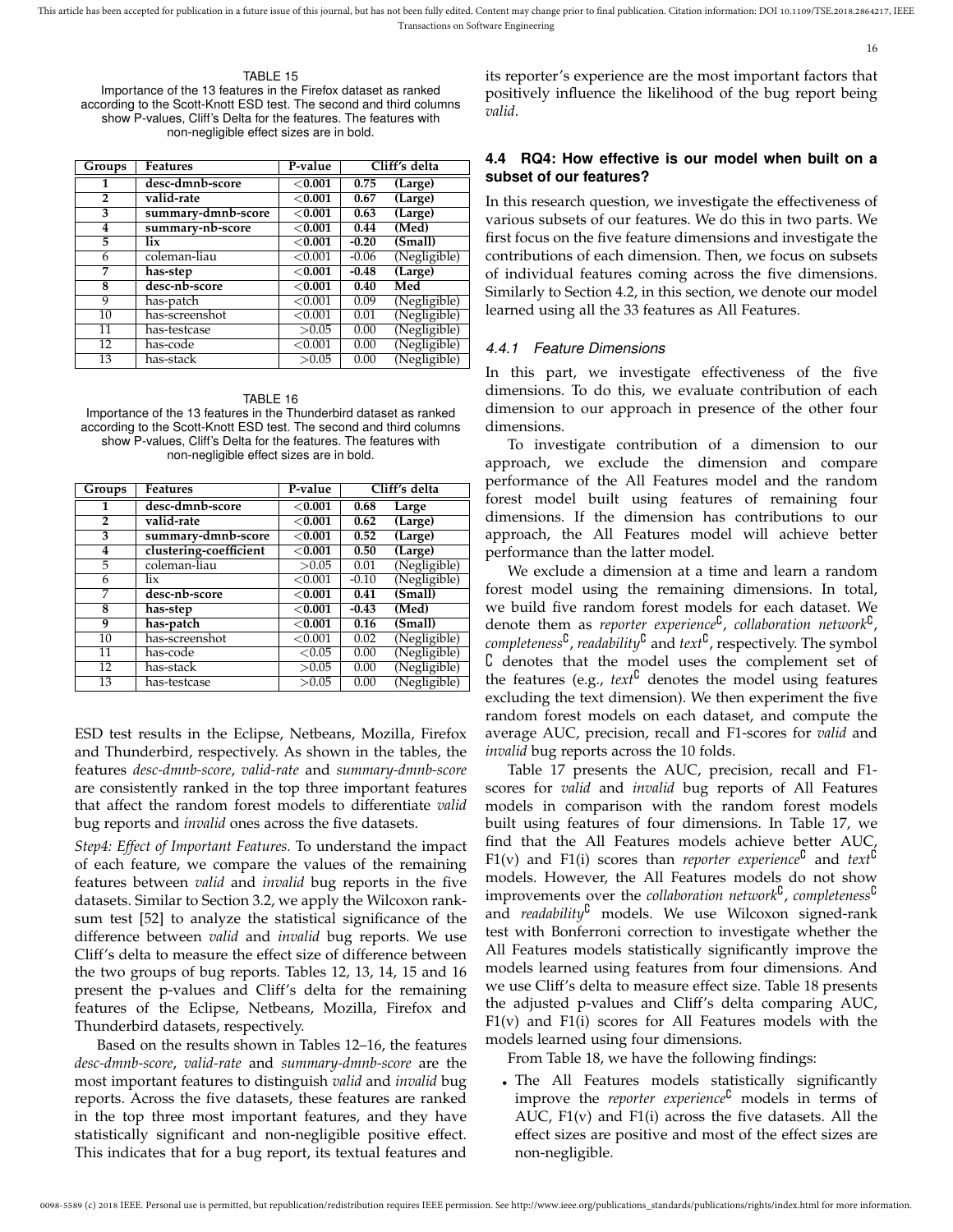TABLE 15 Importance of the 13 features in the Firefox dataset as ranked according to the Scott-Knott ESD test. The second and third columns show P-values, Cliff's Delta for the features. The features with non-negligible effect sizes are in bold.

| Groups       | <b>Features</b>    | P-value   |         | Cliff's delta |
|--------------|--------------------|-----------|---------|---------------|
| 1            | desc-dmnb-score    | < 0.001   | 0.75    | (Large)       |
| $\mathbf{2}$ | valid-rate         | $<$ 0.001 | 0.67    | (Large)       |
| 3            | summary-dmnb-score | < 0.001   | 0.63    | (Large)       |
| 4            | summary-nb-score   | < 0.001   | 0.44    | (Med)         |
| 5            | lix                | $<$ 0.001 | $-0.20$ | (Small)       |
| 6            | coleman-liau       | < 0.001   | $-0.06$ | (Negligible)  |
| 7            | has-step           | $<$ 0.001 | $-0.48$ | (Large)       |
| 8            | desc-nb-score      | $<$ 0.001 | 0.40    | Med           |
| 9            | has-patch          | < 0.001   | 0.09    | (Negligible)  |
| 10           | has-screenshot     | < 0.001   | 0.01    | (Negligible)  |
| 11           | has-testcase       | >0.05     | 0.00    | (Negligible)  |
| 12           | has-code           | < 0.001   | 0.00    | (Negligible)  |
| 13           | has-stack          | >0.05     | 0.00    | (Negligible)  |

TABLE 16 Importance of the 13 features in the Thunderbird dataset as ranked according to the Scott-Knott ESD test. The second and third columns show P-values, Cliff's Delta for the features. The features with non-negligible effect sizes are in bold.

| Groups          | <b>Features</b>        | P-value    |         | Cliff's delta |
|-----------------|------------------------|------------|---------|---------------|
| 1               | desc-dmnb-score        | $<$ 0.001  | 0.68    | Large         |
| $\overline{2}$  | valid-rate             | < 0.001    | 0.62    | (Large)       |
| 3               | summary-dmnb-score     | $<$ 0.001  | 0.52    | (Large)       |
| 4               | clustering-coefficient | $<$ 0.001  | 0.50    | (Large)       |
| 5               | coleman-liau           | >0.05      | 0.01    | (Negligible)  |
| 6               | $\frac{1}{x}$          | ${<}0.001$ | $-0.10$ | (Negligible)  |
| 7               | desc-nb-score          | $<$ 0.001  | 0.41    | (Small)       |
| 8               | has-step               | < 0.001    | $-0.43$ | (Med)         |
| 9               | has-patch              | $<$ 0.001  | 0.16    | (Small)       |
| 10              | has-screenshot         | ${<}0.001$ | 0.02    | (Negligible)  |
| $\overline{11}$ | has-code               | < 0.05     | 0.00    | (Negligible)  |
| $\overline{12}$ | has-stack              | >0.05      | 0.00    | (Negligible)  |
| 13              | has-testcase           | >0.05      | 0.00    | (Negligible)  |

ESD test results in the Eclipse, Netbeans, Mozilla, Firefox and Thunderbird, respectively. As shown in the tables, the features *desc-dmnb-score*, *valid-rate* and *summary-dmnb-score* are consistently ranked in the top three important features that affect the random forest models to differentiate *valid* bug reports and *invalid* ones across the five datasets.

*Step4: Effect of Important Features.* To understand the impact of each feature, we compare the values of the remaining features between *valid* and *invalid* bug reports in the five datasets. Similar to Section 3.2, we apply the Wilcoxon ranksum test [52] to analyze the statistical significance of the difference between *valid* and *invalid* bug reports. We use Cliff's delta to measure the effect size of difference between the two groups of bug reports. Tables 12, 13, 14, 15 and 16 present the p-values and Cliff's delta for the remaining features of the Eclipse, Netbeans, Mozilla, Firefox and Thunderbird datasets, respectively.

Based on the results shown in Tables 12–16, the features *desc-dmnb-score*, *valid-rate* and *summary-dmnb-score* are the most important features to distinguish *valid* and *invalid* bug reports. Across the five datasets, these features are ranked in the top three most important features, and they have statistically significant and non-negligible positive effect. This indicates that for a bug report, its textual features and

its reporter's experience are the most important factors that positively influence the likelihood of the bug report being *valid*.

## **4.4 RQ4: How effective is our model when built on a subset of our features?**

In this research question, we investigate the effectiveness of various subsets of our features. We do this in two parts. We first focus on the five feature dimensions and investigate the contributions of each dimension. Then, we focus on subsets of individual features coming across the five dimensions. Similarly to Section 4.2, in this section, we denote our model learned using all the 33 features as All Features.

#### *4.4.1 Feature Dimensions*

In this part, we investigate effectiveness of the five dimensions. To do this, we evaluate contribution of each dimension to our approach in presence of the other four dimensions.

To investigate contribution of a dimension to our approach, we exclude the dimension and compare performance of the All Features model and the random forest model built using features of remaining four dimensions. If the dimension has contributions to our approach, the All Features model will achieve better performance than the latter model.

We exclude a dimension at a time and learn a random forest model using the remaining dimensions. In total, we build five random forest models for each dataset. We denote them as *reporter experience*<sup>C</sup>, collaboration network<sup>C</sup>, *completeness*{ , *readability*{ and *text*{ , respectively. The symbol  ${\cal C}$  denotes that the model uses the complement set of the features (e.g.,  $text{text}$ <sup> $\mathcal{C}$ </sup> denotes the model using features excluding the text dimension). We then experiment the five random forest models on each dataset, and compute the average AUC, precision, recall and F1-scores for *valid* and *invalid* bug reports across the 10 folds.

Table 17 presents the AUC, precision, recall and F1 scores for *valid* and *invalid* bug reports of All Features models in comparison with the random forest models built using features of four dimensions. In Table 17, we find that the All Features models achieve better AUC, F1(v) and F1(i) scores than *reporter experience*<sup>C</sup> and *text*<sup>C</sup> models. However, the All Features models do not show improvements over the *collaboration network*<sup>C</sup>, *completeness*<sup>C</sup> and *readability*<sup>6</sup> models. We use Wilcoxon signed-rank test with Bonferroni correction to investigate whether the All Features models statistically significantly improve the models learned using features from four dimensions. And we use Cliff's delta to measure effect size. Table 18 presents the adjusted p-values and Cliff's delta comparing AUC,  $F1(v)$  and  $F1(i)$  scores for All Features models with the models learned using four dimensions.

From Table 18, we have the following findings:

• The All Features models statistically significantly improve the *reporter experience*<sup>C</sup> models in terms of AUC,  $F1(v)$  and  $F1(i)$  across the five datasets. All the effect sizes are positive and most of the effect sizes are non-negligible.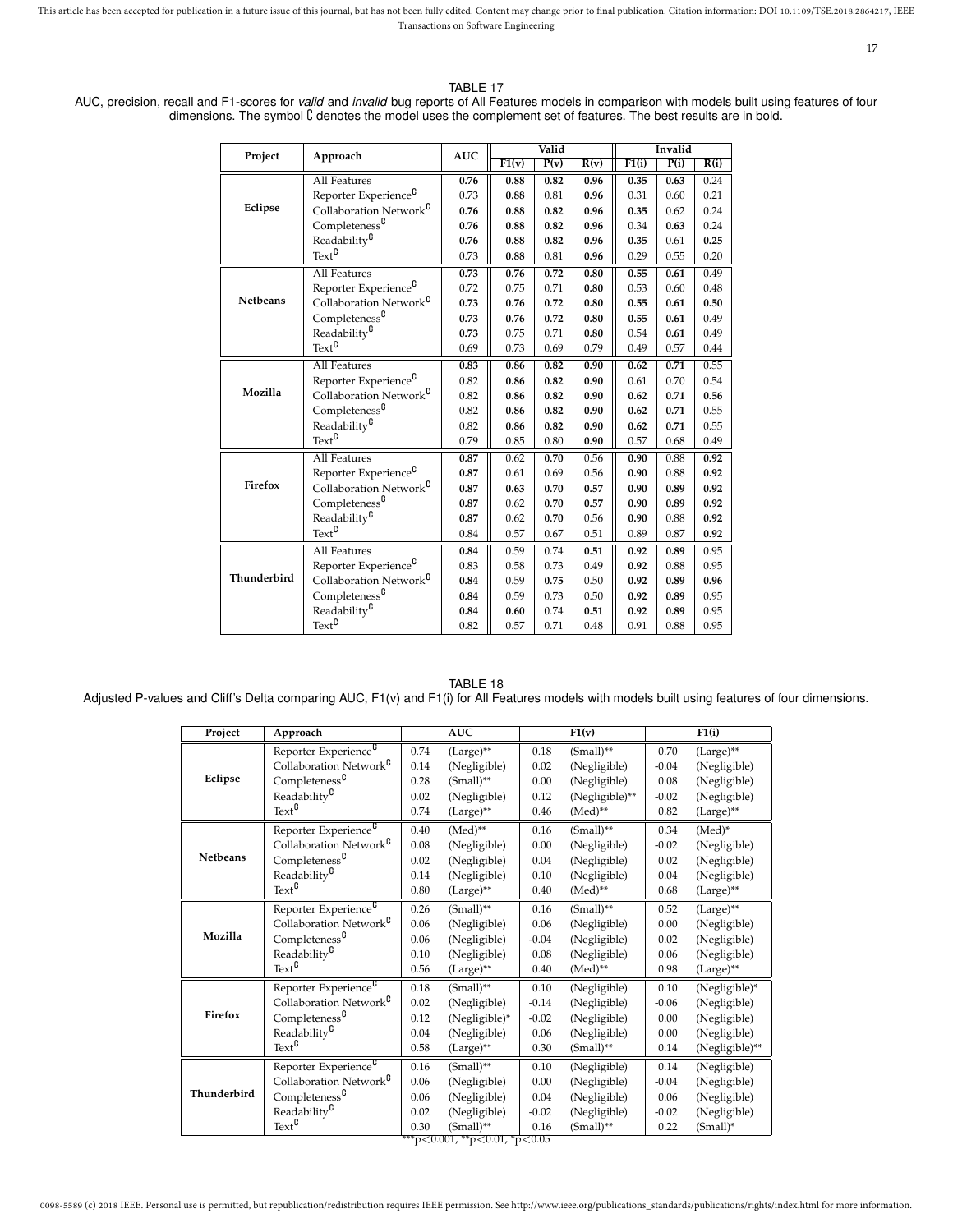17

## TABLE 17

AUC, precision, recall and F1-scores for *valid* and *invalid* bug reports of All Features models in comparison with models built using features of four dimensions. The symbol C denotes the model uses the complement set of features. The best results are in bold.

|                 |                                    |            |       | Valid |      | Invalid |      |      |  |
|-----------------|------------------------------------|------------|-------|-------|------|---------|------|------|--|
| Project         | Approach                           | <b>AUC</b> | F1(v) | P(v)  | R(v) | F1(i)   | P(i) | R(i) |  |
|                 | All Features                       | 0.76       | 0.88  | 0.82  | 0.96 | 0.35    | 0.63 | 0.24 |  |
|                 | Reporter Experience <sup>C</sup>   | 0.73       | 0.88  | 0.81  | 0.96 | 0.31    | 0.60 | 0.21 |  |
| Eclipse         | Collaboration Network <sup>C</sup> | 0.76       | 0.88  | 0.82  | 0.96 | 0.35    | 0.62 | 0.24 |  |
|                 | Completeness <sup>C</sup>          | 0.76       | 0.88  | 0.82  | 0.96 | 0.34    | 0.63 | 0.24 |  |
|                 | Readability <sup>C</sup>           | 0.76       | 0.88  | 0.82  | 0.96 | 0.35    | 0.61 | 0.25 |  |
|                 | Text <sup>C</sup>                  | 0.73       | 0.88  | 0.81  | 0.96 | 0.29    | 0.55 | 0.20 |  |
|                 | All Features                       | 0.73       | 0.76  | 0.72  | 0.80 | 0.55    | 0.61 | 0.49 |  |
|                 | Reporter Experience <sup>C</sup>   | 0.72       | 0.75  | 0.71  | 0.80 | 0.53    | 0.60 | 0.48 |  |
| <b>Netbeans</b> | Collaboration Network <sup>C</sup> | 0.73       | 0.76  | 0.72  | 0.80 | 0.55    | 0.61 | 0.50 |  |
|                 | Completeness <sup>C</sup>          | 0.73       | 0.76  | 0.72  | 0.80 | 0.55    | 0.61 | 0.49 |  |
|                 | Readability <sup>C</sup>           | 0.73       | 0.75  | 0.71  | 0.80 | 0.54    | 0.61 | 0.49 |  |
|                 | $Text^{\complement}$               | 0.69       | 0.73  | 0.69  | 0.79 | 0.49    | 0.57 | 0.44 |  |
|                 | All Features                       | 0.83       | 0.86  | 0.82  | 0.90 | 0.62    | 0.71 | 0.55 |  |
|                 | Reporter Experience <sup>C</sup>   | 0.82       | 0.86  | 0.82  | 0.90 | 0.61    | 0.70 | 0.54 |  |
| Mozilla         | Collaboration Network <sup>C</sup> | 0.82       | 0.86  | 0.82  | 0.90 | 0.62    | 0.71 | 0.56 |  |
|                 | Completeness <sup>C</sup>          | 0.82       | 0.86  | 0.82  | 0.90 | 0.62    | 0.71 | 0.55 |  |
|                 | Readability <sup>C</sup>           | 0.82       | 0.86  | 0.82  | 0.90 | 0.62    | 0.71 | 0.55 |  |
|                 | Text <sup>C</sup>                  | 0.79       | 0.85  | 0.80  | 0.90 | 0.57    | 0.68 | 0.49 |  |
|                 | All Features                       | 0.87       | 0.62  | 0.70  | 0.56 | 0.90    | 0.88 | 0.92 |  |
|                 | Reporter Experience <sup>C</sup>   | 0.87       | 0.61  | 0.69  | 0.56 | 0.90    | 0.88 | 0.92 |  |
| Firefox         | Collaboration Network <sup>C</sup> | 0.87       | 0.63  | 0.70  | 0.57 | 0.90    | 0.89 | 0.92 |  |
|                 | Completeness <sup>C</sup>          | 0.87       | 0.62  | 0.70  | 0.57 | 0.90    | 0.89 | 0.92 |  |
|                 | Readability <sup>C</sup>           | 0.87       | 0.62  | 0.70  | 0.56 | 0.90    | 0.88 | 0.92 |  |
|                 | Text <sup>C</sup>                  | 0.84       | 0.57  | 0.67  | 0.51 | 0.89    | 0.87 | 0.92 |  |
|                 | <b>All Features</b>                | 0.84       | 0.59  | 0.74  | 0.51 | 0.92    | 0.89 | 0.95 |  |
|                 | Reporter Experience <sup>C</sup>   | 0.83       | 0.58  | 0.73  | 0.49 | 0.92    | 0.88 | 0.95 |  |
| Thunderbird     | Collaboration Network <sup>C</sup> | 0.84       | 0.59  | 0.75  | 0.50 | 0.92    | 0.89 | 0.96 |  |
|                 | Completeness <sup>C</sup>          | 0.84       | 0.59  | 0.73  | 0.50 | 0.92    | 0.89 | 0.95 |  |
|                 | Readability <sup>C</sup>           | 0.84       | 0.60  | 0.74  | 0.51 | 0.92    | 0.89 | 0.95 |  |
|                 | $Text^{\complement}$               | 0.82       | 0.57  | 0.71  | 0.48 | 0.91    | 0.88 | 0.95 |  |

#### TABLE 18

Adjusted P-values and Cliff's Delta comparing AUC, F1(v) and F1(i) for All Features models with models built using features of four dimensions.

| Project                       | Approach                            |      | <b>AUC</b>     |         | F1(v)          |         | F1(i)          |  |  |
|-------------------------------|-------------------------------------|------|----------------|---------|----------------|---------|----------------|--|--|
|                               | Reporter Experience <sup>C</sup>    | 0.74 | (Large)**      | 0.18    | $(Small)^{**}$ | 0.70    | $(Large)$ **   |  |  |
| Eclipse                       | Collaboration Network <sup>C</sup>  | 0.14 | (Negligible)   | 0.02    | (Negligible)   | $-0.04$ | (Negligible)   |  |  |
|                               | $Completeness^{\complement}$        | 0.28 | $(Small)^{**}$ | 0.00    | (Negligible)   | 0.08    | (Negligible)   |  |  |
|                               | Readability <sup>C</sup>            | 0.02 | (Negligible)   | 0.12    | (Negligible)** | $-0.02$ | (Negligible)   |  |  |
|                               | $\text{Text}^{\complement}$         | 0.74 | (Large)**      | 0.46    | $(Med)$ **     | 0.82    | (Large)**      |  |  |
|                               | Reporter Experience <sup>C</sup>    | 0.40 | $(Med)**$      | 0.16    | $(Small)^{**}$ | 0.34    | $(Med)^*$      |  |  |
|                               | Collaboration Network <sup>C</sup>  | 0.08 | (Negligible)   | 0.00    | (Negligible)   | $-0.02$ | (Negligible)   |  |  |
| <b>Netbeans</b>               | Completeness <sup>0</sup>           | 0.02 | (Negligible)   | 0.04    | (Negligible)   | 0.02    | (Negligible)   |  |  |
|                               | Readability <sup>C</sup>            | 0.14 | (Negligible)   | 0.10    | (Negligible)   | 0.04    | (Negligible)   |  |  |
|                               | $\operatorname{Text}^{\complement}$ | 0.80 | (Large)**      | 0.40    | $(Med)$ **     | 0.68    | (Large)**      |  |  |
|                               | Reporter Experience <sup>C</sup>    | 0.26 | $(Small)^{**}$ | 0.16    | $(Small)^{**}$ | 0.52    | $(Large)$ **   |  |  |
|                               | Collaboration Network <sup>C</sup>  | 0.06 | (Negligible)   | 0.06    | (Negligible)   | 0.00    | (Negligible)   |  |  |
| Mozilla                       | Completeness <sup>0</sup>           | 0.06 | (Negligible)   | $-0.04$ | (Negligible)   | 0.02    | (Negligible)   |  |  |
|                               | Readability <sup>C</sup>            | 0.10 | (Negligible)   | 0.08    | (Negligible)   | 0.06    | (Negligible)   |  |  |
|                               | $\operatorname{Text}^{\complement}$ | 0.56 | $(Large)**$    | 0.40    | $(Med)**$      | 0.98    | (Large)**      |  |  |
|                               | Reporter Experience <sup>C</sup>    | 0.18 | $(Small)^{**}$ | 0.10    | (Negligible)   | 0.10    | (Negligible)*  |  |  |
|                               | Collaboration Network <sup>C</sup>  | 0.02 | (Negligible)   | $-0.14$ | (Negligible)   | $-0.06$ | (Negligible)   |  |  |
| Firefox                       | Completeness <sup>0</sup>           | 0.12 | (Negligible)*  | $-0.02$ | (Negligible)   | 0.00    | (Negligible)   |  |  |
|                               | Readability <sup>0</sup>            | 0.04 | (Negligible)   | 0.06    | (Negligible)   | 0.00    | (Negligible)   |  |  |
|                               | $\operatorname{Text}^{\complement}$ | 0.58 | $(Large)$ **   | 0.30    | $(Small)^{**}$ | 0.14    | (Negligible)** |  |  |
|                               | Reporter Experience <sup>C</sup>    | 0.16 | $(Small)^{**}$ | 0.10    | (Negligible)   | 0.14    | (Negligible)   |  |  |
|                               | Collaboration Network <sup>C</sup>  | 0.06 | (Negligible)   | 0.00    | (Negligible)   | $-0.04$ | (Negligible)   |  |  |
| Thunderbird                   | Completeness <sup>0</sup>           | 0.06 | (Negligible)   | 0.04    | (Negligible)   | 0.06    | (Negligible)   |  |  |
|                               | Readability <sup>C</sup>            | 0.02 | (Negligible)   | $-0.02$ | (Negligible)   | $-0.02$ | (Negligible)   |  |  |
|                               | $Text^0$                            | 0.30 | $(Small)^{**}$ | 0.16    | $(Small)^{**}$ | 0.22    | $(Small)^*$    |  |  |
| ***p<0.001, **p<0.01, *p<0.05 |                                     |      |                |         |                |         |                |  |  |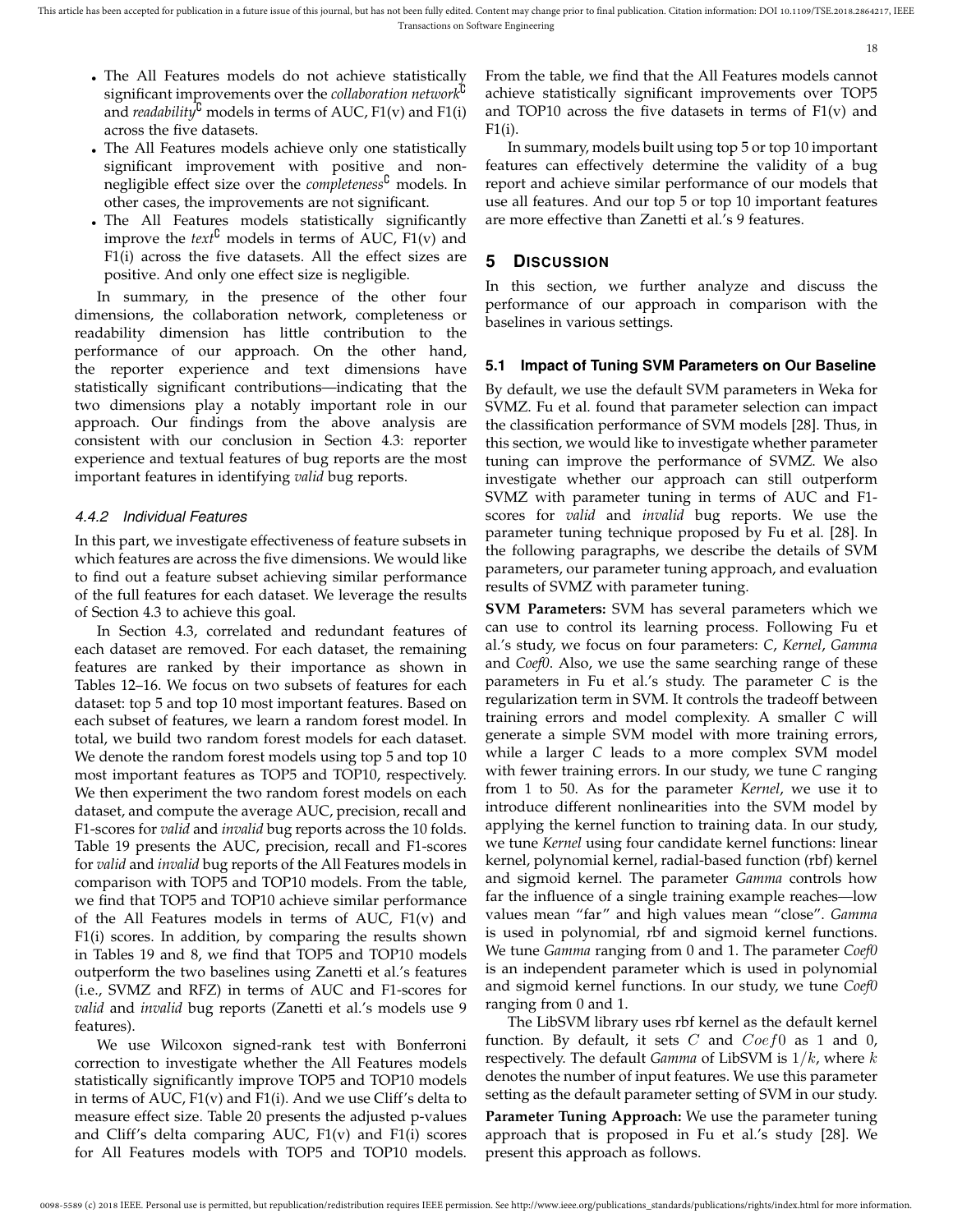18

- The All Features models do not achieve statistically significant improvements over the *collaboration network*{ and *readability*<sup> $\ddot{u}$ </sup> models in terms of AUC, F1(v) and F1(i) across the five datasets.
- The All Features models achieve only one statistically significant improvement with positive and nonnegligible effect size over the *completeness*{ models. In other cases, the improvements are not significant.
- The All Features models statistically significantly improve the  $text^0$  models in terms of AUC, F1(v) and F1(i) across the five datasets. All the effect sizes are positive. And only one effect size is negligible.

In summary, in the presence of the other four dimensions, the collaboration network, completeness or readability dimension has little contribution to the performance of our approach. On the other hand, the reporter experience and text dimensions have statistically significant contributions—indicating that the two dimensions play a notably important role in our approach. Our findings from the above analysis are consistent with our conclusion in Section 4.3: reporter experience and textual features of bug reports are the most important features in identifying *valid* bug reports.

## *4.4.2 Individual Features*

In this part, we investigate effectiveness of feature subsets in which features are across the five dimensions. We would like to find out a feature subset achieving similar performance of the full features for each dataset. We leverage the results of Section 4.3 to achieve this goal.

In Section 4.3, correlated and redundant features of each dataset are removed. For each dataset, the remaining features are ranked by their importance as shown in Tables 12–16. We focus on two subsets of features for each dataset: top 5 and top 10 most important features. Based on each subset of features, we learn a random forest model. In total, we build two random forest models for each dataset. We denote the random forest models using top 5 and top 10 most important features as TOP5 and TOP10, respectively. We then experiment the two random forest models on each dataset, and compute the average AUC, precision, recall and F1-scores for *valid* and *invalid* bug reports across the 10 folds. Table 19 presents the AUC, precision, recall and F1-scores for *valid* and *invalid* bug reports of the All Features models in comparison with TOP5 and TOP10 models. From the table, we find that TOP5 and TOP10 achieve similar performance of the All Features models in terms of AUC, F1(v) and F1(i) scores. In addition, by comparing the results shown in Tables 19 and 8, we find that TOP5 and TOP10 models outperform the two baselines using Zanetti et al.'s features (i.e., SVMZ and RFZ) in terms of AUC and F1-scores for *valid* and *invalid* bug reports (Zanetti et al.'s models use 9 features).

We use Wilcoxon signed-rank test with Bonferroni correction to investigate whether the All Features models statistically significantly improve TOP5 and TOP10 models in terms of AUC, F1(v) and F1(i). And we use Cliff's delta to measure effect size. Table 20 presents the adjusted p-values and Cliff's delta comparing AUC, F1(v) and F1(i) scores for All Features models with TOP5 and TOP10 models.

From the table, we find that the All Features models cannot achieve statistically significant improvements over TOP5 and TOP10 across the five datasets in terms of  $F1(v)$  and F1(i).

In summary, models built using top 5 or top 10 important features can effectively determine the validity of a bug report and achieve similar performance of our models that use all features. And our top 5 or top 10 important features are more effective than Zanetti et al.'s 9 features.

## **5 DISCUSSION**

In this section, we further analyze and discuss the performance of our approach in comparison with the baselines in various settings.

## **5.1 Impact of Tuning SVM Parameters on Our Baseline**

By default, we use the default SVM parameters in Weka for SVMZ. Fu et al. found that parameter selection can impact the classification performance of SVM models [28]. Thus, in this section, we would like to investigate whether parameter tuning can improve the performance of SVMZ. We also investigate whether our approach can still outperform SVMZ with parameter tuning in terms of AUC and F1 scores for *valid* and *invalid* bug reports. We use the parameter tuning technique proposed by Fu et al. [28]. In the following paragraphs, we describe the details of SVM parameters, our parameter tuning approach, and evaluation results of SVMZ with parameter tuning.

**SVM Parameters:** SVM has several parameters which we can use to control its learning process. Following Fu et al.'s study, we focus on four parameters: *C*, *Kernel*, *Gamma* and *Coef0*. Also, we use the same searching range of these parameters in Fu et al.'s study. The parameter *C* is the regularization term in SVM. It controls the tradeoff between training errors and model complexity. A smaller *C* will generate a simple SVM model with more training errors, while a larger *C* leads to a more complex SVM model with fewer training errors. In our study, we tune *C* ranging from 1 to 50. As for the parameter *Kernel*, we use it to introduce different nonlinearities into the SVM model by applying the kernel function to training data. In our study, we tune *Kernel* using four candidate kernel functions: linear kernel, polynomial kernel, radial-based function (rbf) kernel and sigmoid kernel. The parameter *Gamma* controls how far the influence of a single training example reaches—low values mean "far" and high values mean "close". *Gamma* is used in polynomial, rbf and sigmoid kernel functions. We tune *Gamma* ranging from 0 and 1. The parameter *Coef0* is an independent parameter which is used in polynomial and sigmoid kernel functions. In our study, we tune *Coef0* ranging from 0 and 1.

The LibSVM library uses rbf kernel as the default kernel function. By default, it sets  $C$  and  $Coef0$  as 1 and 0, respectively. The default *Gamma* of LibSVM is 1/k, where k denotes the number of input features. We use this parameter setting as the default parameter setting of SVM in our study.

**Parameter Tuning Approach:** We use the parameter tuning approach that is proposed in Fu et al.'s study [28]. We present this approach as follows.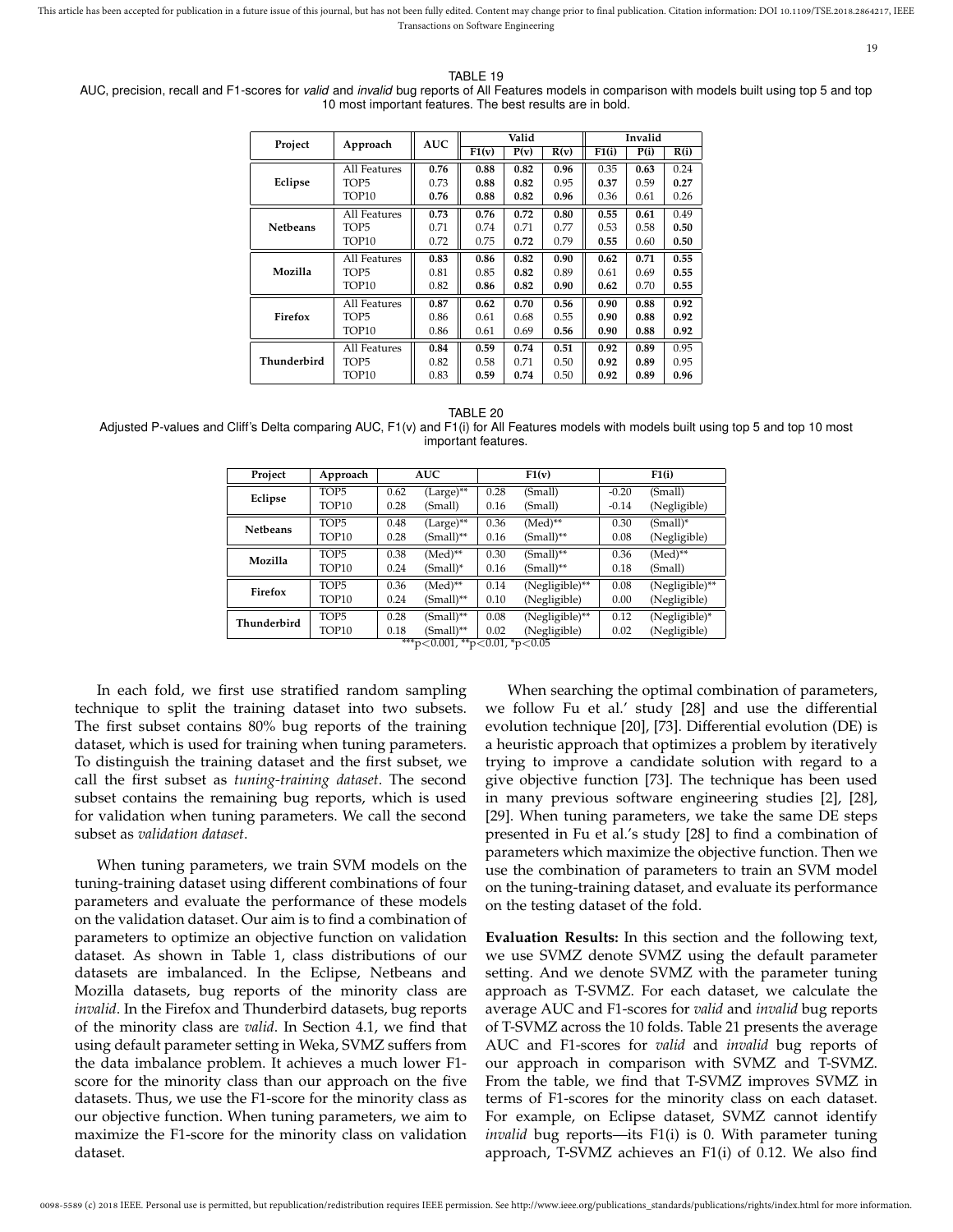19

TABLE 19

| AUC, precision, recall and F1-scores for valid and invalid bug reports of All Features models in comparison with models built using top 5 and top |
|---------------------------------------------------------------------------------------------------------------------------------------------------|
| 10 most important features. The best results are in bold.                                                                                         |

| Project         | Approach     | <b>AUC</b> |       | Valid |      |       | Invalid |      |
|-----------------|--------------|------------|-------|-------|------|-------|---------|------|
|                 |              |            | F1(v) | P(v)  | R(v) | F1(i) | P(i)    | R(i) |
|                 | All Features | 0.76       | 0.88  | 0.82  | 0.96 | 0.35  | 0.63    | 0.24 |
| Eclipse         | TOP5         | 0.73       | 0.88  | 0.82  | 0.95 | 0.37  | 0.59    | 0.27 |
|                 | TOP10        | 0.76       | 0.88  | 0.82  | 0.96 | 0.36  | 0.61    | 0.26 |
|                 | All Features | 0.73       | 0.76  | 0.72  | 0.80 | 0.55  | 0.61    | 0.49 |
| <b>Netbeans</b> | TOP5         | 0.71       | 0.74  | 0.71  | 0.77 | 0.53  | 0.58    | 0.50 |
|                 | TOP10        | 0.72       | 0.75  | 0.72  | 0.79 | 0.55  | 0.60    | 0.50 |
|                 | All Features | 0.83       | 0.86  | 0.82  | 0.90 | 0.62  | 0.71    | 0.55 |
| Mozilla         | TOP5         | 0.81       | 0.85  | 0.82  | 0.89 | 0.61  | 0.69    | 0.55 |
|                 | TOP10        | 0.82       | 0.86  | 0.82  | 0.90 | 0.62  | 0.70    | 0.55 |
|                 | All Features | 0.87       | 0.62  | 0.70  | 0.56 | 0.90  | 0.88    | 0.92 |
| Firefox         | TOP5         | 0.86       | 0.61  | 0.68  | 0.55 | 0.90  | 0.88    | 0.92 |
|                 | TOP10        | 0.86       | 0.61  | 0.69  | 0.56 | 0.90  | 0.88    | 0.92 |
|                 | All Features | 0.84       | 0.59  | 0.74  | 0.51 | 0.92  | 0.89    | 0.95 |
| Thunderbird     | TOP5         | 0.82       | 0.58  | 0.71  | 0.50 | 0.92  | 0.89    | 0.95 |
|                 | TOP10        | 0.83       | 0.59  | 0.74  | 0.50 | 0.92  | 0.89    | 0.96 |

TABLE 20

Adjusted P-values and Cliff's Delta comparing AUC, F1(v) and F1(i) for All Features models with models built using top 5 and top 10 most important features.

| Project         | Approach |                                     | <b>AUC</b>          | F1(v)                        |                           |         | F1(i)          |
|-----------------|----------|-------------------------------------|---------------------|------------------------------|---------------------------|---------|----------------|
|                 | TOP5     | 0.62                                | (Large)**           | 0.28                         | (Small)                   | $-0.20$ | (Small)        |
| Eclipse         | TOP10    | 0.28                                | (Small)             | 0.16                         | (Small)                   | $-0.14$ | (Negligible)   |
| <b>Netbeans</b> | TOP5     | 0.48                                | (Large)**           | 0.36                         | $(Med)**$                 | 0.30    | $(Small)^*$    |
|                 | TOP10    | 0.28                                | (Small)**           | 0.16                         | (Small)**                 | 0.08    | (Negligible)   |
| Mozilla         | TOP5     | 0.38                                | (Med)**             | 0.30                         | $(Small)^{**}$            | 0.36    | $(Med)**$      |
|                 | TOP10    | 0.24                                | (Small)*            | 0.16                         | $(Small)^{**}$            | 0.18    | (Small)        |
| Firefox         | TOP5     | 0.36                                | (Med)**             | 0.14                         | (Negligible)**            | 0.08    | (Negligible)** |
|                 | TOP10    | 0.24                                | (Small)**           | 0.10                         | (Negligible)              | 0.00    | (Negligible)   |
| Thunderbird     | TOP5     | 0.28                                | (Small)**           | 0.08                         | (Negligible)**            | 0.12    | (Negligible)*  |
|                 | TOP10    | 0.18<br><b><i><u>U.U.U.</u></i></b> | (Small)**<br>.0.001 | 0.02<br>$\sim$ $\sim$ $\sim$ | (Negligible)<br>$\lambda$ | 0.02    | (Negligible)   |

<sup>\*\*\*</sup>p<0.001, \*\*p<0.01, \*p<0.05

In each fold, we first use stratified random sampling technique to split the training dataset into two subsets. The first subset contains 80% bug reports of the training dataset, which is used for training when tuning parameters. To distinguish the training dataset and the first subset, we call the first subset as *tuning-training dataset*. The second subset contains the remaining bug reports, which is used for validation when tuning parameters. We call the second subset as *validation dataset*.

When tuning parameters, we train SVM models on the tuning-training dataset using different combinations of four parameters and evaluate the performance of these models on the validation dataset. Our aim is to find a combination of parameters to optimize an objective function on validation dataset. As shown in Table 1, class distributions of our datasets are imbalanced. In the Eclipse, Netbeans and Mozilla datasets, bug reports of the minority class are *invalid*. In the Firefox and Thunderbird datasets, bug reports of the minority class are *valid*. In Section 4.1, we find that using default parameter setting in Weka, SVMZ suffers from the data imbalance problem. It achieves a much lower F1 score for the minority class than our approach on the five datasets. Thus, we use the F1-score for the minority class as our objective function. When tuning parameters, we aim to maximize the F1-score for the minority class on validation dataset.

When searching the optimal combination of parameters, we follow Fu et al.' study [28] and use the differential evolution technique [20], [73]. Differential evolution (DE) is a heuristic approach that optimizes a problem by iteratively trying to improve a candidate solution with regard to a give objective function [73]. The technique has been used in many previous software engineering studies [2], [28], [29]. When tuning parameters, we take the same DE steps presented in Fu et al.'s study [28] to find a combination of parameters which maximize the objective function. Then we use the combination of parameters to train an SVM model on the tuning-training dataset, and evaluate its performance on the testing dataset of the fold.

**Evaluation Results:** In this section and the following text, we use SVMZ denote SVMZ using the default parameter setting. And we denote SVMZ with the parameter tuning approach as T-SVMZ. For each dataset, we calculate the average AUC and F1-scores for *valid* and *invalid* bug reports of T-SVMZ across the 10 folds. Table 21 presents the average AUC and F1-scores for *valid* and *invalid* bug reports of our approach in comparison with SVMZ and T-SVMZ. From the table, we find that T-SVMZ improves SVMZ in terms of F1-scores for the minority class on each dataset. For example, on Eclipse dataset, SVMZ cannot identify *invalid* bug reports—its F1(i) is 0. With parameter tuning approach, T-SVMZ achieves an F1(i) of 0.12. We also find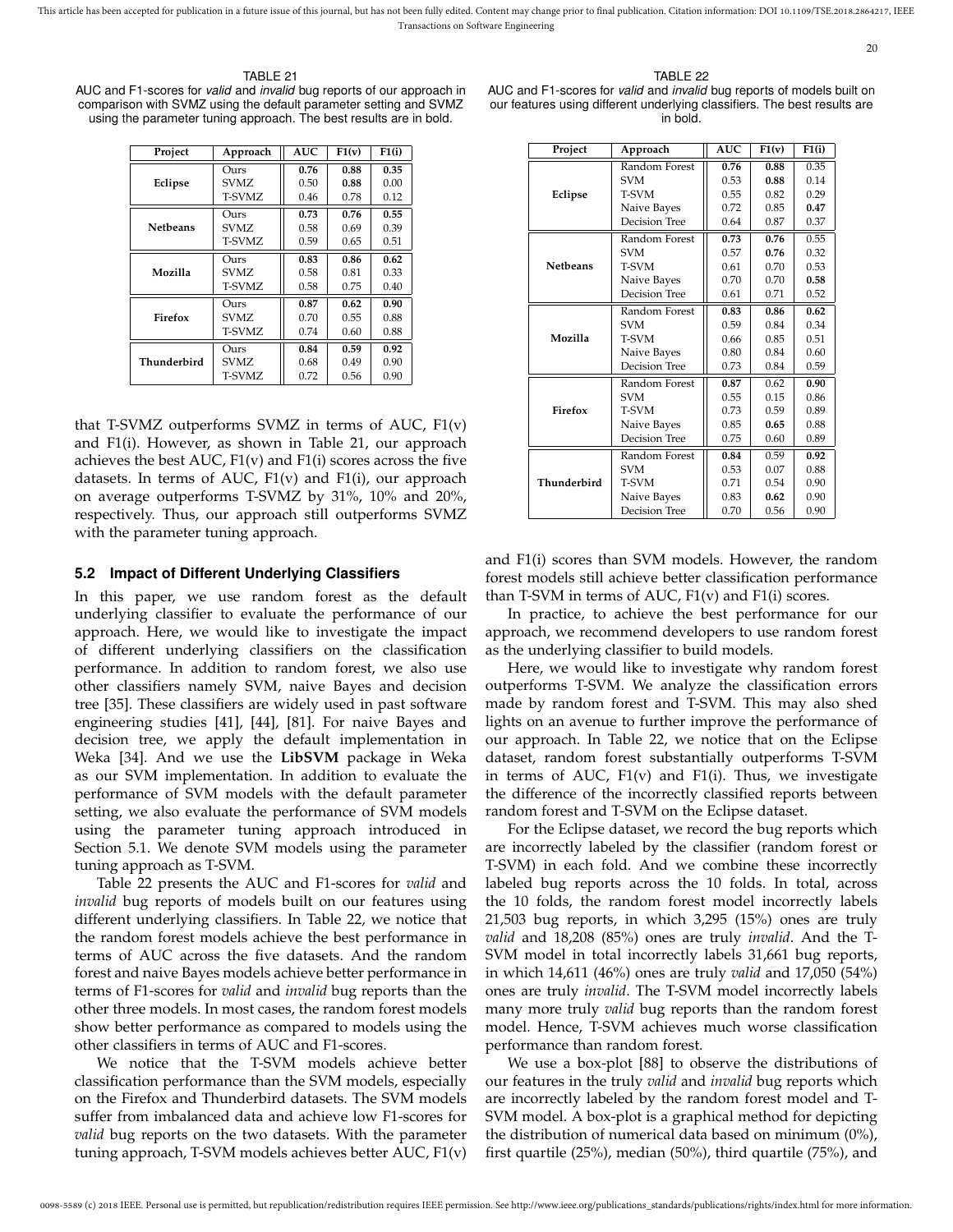TABLE 21 AUC and F1-scores for *valid* and *invalid* bug reports of our approach in comparison with SVMZ using the default parameter setting and SVMZ using the parameter tuning approach. The best results are in bold.

| Project         | Approach | <b>AUC</b> | F1(v) | F1(i) |
|-----------------|----------|------------|-------|-------|
|                 | Ours     | 0.76       | 0.88  | 0.35  |
| Eclipse         | SVMZ.    | 0.50       | 0.88  | 0.00  |
|                 | T-SVMZ   | 0.46       | 0.78  | 0.12  |
|                 | Ours     | 0.73       | 0.76  | 0.55  |
| <b>Netbeans</b> | SVMZ.    | 0.58       | 0.69  | 0.39  |
|                 | T-SVMZ   | 0.59       | 0.65  | 0.51  |
|                 | Ours     | 0.83       | 0.86  | 0.62  |
| Mozilla         | SVMZ.    | 0.58       | 0.81  | 0.33  |
|                 | T-SVMZ   | 0.58       | 0.75  | 0.40  |
|                 | Ours     | 0.87       | 0.62  | 0.90  |
| Firefox         | SVMZ.    | 0.70       | 0.55  | 0.88  |
|                 | T-SVMZ   | 0.74       | 0.60  | 0.88  |
|                 | Ours     | 0.84       | 0.59  | 0.92  |
| Thunderbird     | SVMZ.    | 0.68       | 0.49  | 0.90  |
|                 | T-SVMZ   | 0.72       | 0.56  | 0.90  |

that T-SVMZ outperforms SVMZ in terms of AUC,  $F1(v)$ and F1(i). However, as shown in Table 21, our approach achieves the best AUC,  $F1(v)$  and  $F1(i)$  scores across the five datasets. In terms of AUC,  $F1(v)$  and  $F1(i)$ , our approach on average outperforms T-SVMZ by 31%, 10% and 20%, respectively. Thus, our approach still outperforms SVMZ with the parameter tuning approach.

#### **5.2 Impact of Different Underlying Classifiers**

In this paper, we use random forest as the default underlying classifier to evaluate the performance of our approach. Here, we would like to investigate the impact of different underlying classifiers on the classification performance. In addition to random forest, we also use other classifiers namely SVM, naive Bayes and decision tree [35]. These classifiers are widely used in past software engineering studies [41], [44], [81]. For naive Bayes and decision tree, we apply the default implementation in Weka [34]. And we use the **LibSVM** package in Weka as our SVM implementation. In addition to evaluate the performance of SVM models with the default parameter setting, we also evaluate the performance of SVM models using the parameter tuning approach introduced in Section 5.1. We denote SVM models using the parameter tuning approach as T-SVM.

Table 22 presents the AUC and F1-scores for *valid* and *invalid* bug reports of models built on our features using different underlying classifiers. In Table 22, we notice that the random forest models achieve the best performance in terms of AUC across the five datasets. And the random forest and naive Bayes models achieve better performance in terms of F1-scores for *valid* and *invalid* bug reports than the other three models. In most cases, the random forest models show better performance as compared to models using the other classifiers in terms of AUC and F1-scores.

We notice that the T-SVM models achieve better classification performance than the SVM models, especially on the Firefox and Thunderbird datasets. The SVM models suffer from imbalanced data and achieve low F1-scores for *valid* bug reports on the two datasets. With the parameter tuning approach, T-SVM models achieves better AUC, F1(v)

20

TABLE 22 AUC and F1-scores for *valid* and *invalid* bug reports of models built on our features using different underlying classifiers. The best results are in bold.

| Project         | Approach      | <b>AUC</b> | F1(v) | F1(i) |
|-----------------|---------------|------------|-------|-------|
|                 | Random Forest | 0.76       | 0.88  | 0.35  |
|                 | <b>SVM</b>    | 0.53       | 0.88  | 0.14  |
| Eclipse         | T-SVM         | 0.55       | 0.82  | 0.29  |
|                 | Naive Bayes   | 0.72       | 0.85  | 0.47  |
|                 | Decision Tree | 0.64       | 0.87  | 0.37  |
|                 | Random Forest | 0.73       | 0.76  | 0.55  |
|                 | <b>SVM</b>    | 0.57       | 0.76  | 0.32  |
| <b>Netbeans</b> | T-SVM         | 0.61       | 0.70  | 0.53  |
|                 | Naive Bayes   | 0.70       | 0.70  | 0.58  |
|                 | Decision Tree | 0.61       | 0.71  | 0.52  |
|                 | Random Forest | 0.83       | 0.86  | 0.62  |
|                 | <b>SVM</b>    | 0.59       | 0.84  | 0.34  |
| Mozilla         | T-SVM         | 0.66       | 0.85  | 0.51  |
|                 | Naive Bayes   | 0.80       | 0.84  | 0.60  |
|                 | Decision Tree | 0.73       | 0.84  | 0.59  |
|                 | Random Forest | 0.87       | 0.62  | 0.90  |
|                 | <b>SVM</b>    | 0.55       | 0.15  | 0.86  |
| Firefox         | T-SVM         | 0.73       | 0.59  | 0.89  |
|                 | Naive Bayes   | 0.85       | 0.65  | 0.88  |
|                 | Decision Tree | 0.75       | 0.60  | 0.89  |
|                 | Random Forest | 0.84       | 0.59  | 0.92  |
|                 | <b>SVM</b>    | 0.53       | 0.07  | 0.88  |
| Thunderbird     | T-SVM         | 0.71       | 0.54  | 0.90  |
|                 | Naive Bayes   | 0.83       | 0.62  | 0.90  |
|                 | Decision Tree | 0.70       | 0.56  | 0.90  |

and F1(i) scores than SVM models. However, the random forest models still achieve better classification performance than T-SVM in terms of AUC, F1(v) and F1(i) scores.

In practice, to achieve the best performance for our approach, we recommend developers to use random forest as the underlying classifier to build models.

Here, we would like to investigate why random forest outperforms T-SVM. We analyze the classification errors made by random forest and T-SVM. This may also shed lights on an avenue to further improve the performance of our approach. In Table 22, we notice that on the Eclipse dataset, random forest substantially outperforms T-SVM in terms of AUC, F1(v) and F1(i). Thus, we investigate the difference of the incorrectly classified reports between random forest and T-SVM on the Eclipse dataset.

For the Eclipse dataset, we record the bug reports which are incorrectly labeled by the classifier (random forest or T-SVM) in each fold. And we combine these incorrectly labeled bug reports across the 10 folds. In total, across the 10 folds, the random forest model incorrectly labels 21,503 bug reports, in which 3,295 (15%) ones are truly *valid* and 18,208 (85%) ones are truly *invalid*. And the T-SVM model in total incorrectly labels 31,661 bug reports, in which 14,611 (46%) ones are truly *valid* and 17,050 (54%) ones are truly *invalid*. The T-SVM model incorrectly labels many more truly *valid* bug reports than the random forest model. Hence, T-SVM achieves much worse classification performance than random forest.

We use a box-plot [88] to observe the distributions of our features in the truly *valid* and *invalid* bug reports which are incorrectly labeled by the random forest model and T-SVM model. A box-plot is a graphical method for depicting the distribution of numerical data based on minimum (0%), first quartile (25%), median (50%), third quartile (75%), and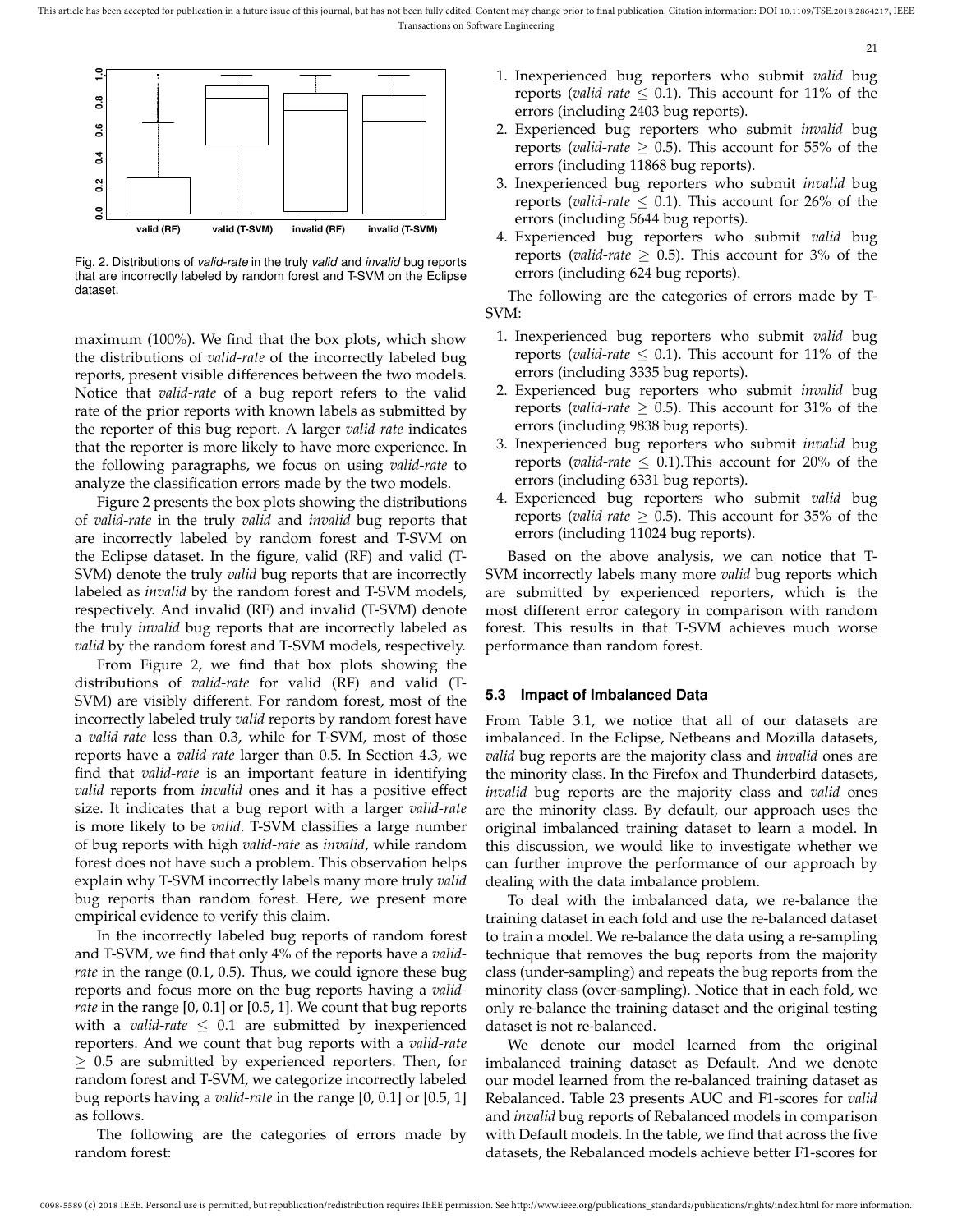

Fig. 2. Distributions of *valid-rate* in the truly *valid* and *invalid* bug reports that are incorrectly labeled by random forest and T-SVM on the Eclipse dataset.

maximum (100%). We find that the box plots, which show the distributions of *valid-rate* of the incorrectly labeled bug reports, present visible differences between the two models. Notice that *valid-rate* of a bug report refers to the valid rate of the prior reports with known labels as submitted by the reporter of this bug report. A larger *valid-rate* indicates that the reporter is more likely to have more experience. In the following paragraphs, we focus on using *valid-rate* to analyze the classification errors made by the two models.

Figure 2 presents the box plots showing the distributions of *valid-rate* in the truly *valid* and *invalid* bug reports that are incorrectly labeled by random forest and T-SVM on the Eclipse dataset. In the figure, valid (RF) and valid (T-SVM) denote the truly *valid* bug reports that are incorrectly labeled as *invalid* by the random forest and T-SVM models, respectively. And invalid (RF) and invalid (T-SVM) denote the truly *invalid* bug reports that are incorrectly labeled as *valid* by the random forest and T-SVM models, respectively.

From Figure 2, we find that box plots showing the distributions of *valid-rate* for valid (RF) and valid (T-SVM) are visibly different. For random forest, most of the incorrectly labeled truly *valid* reports by random forest have a *valid-rate* less than 0.3, while for T-SVM, most of those reports have a *valid-rate* larger than 0.5. In Section 4.3, we find that *valid-rate* is an important feature in identifying *valid* reports from *invalid* ones and it has a positive effect size. It indicates that a bug report with a larger *valid-rate* is more likely to be *valid*. T-SVM classifies a large number of bug reports with high *valid-rate* as *invalid*, while random forest does not have such a problem. This observation helps explain why T-SVM incorrectly labels many more truly *valid* bug reports than random forest. Here, we present more empirical evidence to verify this claim.

In the incorrectly labeled bug reports of random forest and T-SVM, we find that only 4% of the reports have a *validrate* in the range (0.1, 0.5). Thus, we could ignore these bug reports and focus more on the bug reports having a *validrate* in the range [0, 0.1] or [0.5, 1]. We count that bug reports with a *valid-rate*  $\leq$  0.1 are submitted by inexperienced reporters. And we count that bug reports with a *valid-rate*  $\geq$  0.5 are submitted by experienced reporters. Then, for random forest and T-SVM, we categorize incorrectly labeled bug reports having a *valid-rate* in the range [0, 0.1] or [0.5, 1] as follows.

The following are the categories of errors made by random forest:

1. Inexperienced bug reporters who submit *valid* bug reports (*valid-rate*  $\leq$  0.1). This account for 11% of the errors (including 2403 bug reports).

21

- 2. Experienced bug reporters who submit *invalid* bug reports (*valid-rate*  $\geq$  0.5). This account for 55% of the errors (including 11868 bug reports).
- 3. Inexperienced bug reporters who submit *invalid* bug reports (*valid-rate*  $\leq$  0.1). This account for 26% of the errors (including 5644 bug reports).
- 4. Experienced bug reporters who submit *valid* bug reports (*valid-rate*  $\geq$  0.5). This account for 3% of the errors (including 624 bug reports).

The following are the categories of errors made by T-SVM:

- 1. Inexperienced bug reporters who submit *valid* bug reports (*valid-rate*  $\leq$  0.1). This account for 11% of the errors (including 3335 bug reports).
- 2. Experienced bug reporters who submit *invalid* bug reports (*valid-rate*  $\geq$  0.5). This account for 31% of the errors (including 9838 bug reports).
- 3. Inexperienced bug reporters who submit *invalid* bug reports (*valid-rate*  $\leq$  0.1). This account for 20% of the errors (including 6331 bug reports).
- 4. Experienced bug reporters who submit *valid* bug reports (*valid-rate*  $\geq$  0.5). This account for 35% of the errors (including 11024 bug reports).

Based on the above analysis, we can notice that T-SVM incorrectly labels many more *valid* bug reports which are submitted by experienced reporters, which is the most different error category in comparison with random forest. This results in that T-SVM achieves much worse performance than random forest.

#### **5.3 Impact of Imbalanced Data**

From Table 3.1, we notice that all of our datasets are imbalanced. In the Eclipse, Netbeans and Mozilla datasets, *valid* bug reports are the majority class and *invalid* ones are the minority class. In the Firefox and Thunderbird datasets, *invalid* bug reports are the majority class and *valid* ones are the minority class. By default, our approach uses the original imbalanced training dataset to learn a model. In this discussion, we would like to investigate whether we can further improve the performance of our approach by dealing with the data imbalance problem.

To deal with the imbalanced data, we re-balance the training dataset in each fold and use the re-balanced dataset to train a model. We re-balance the data using a re-sampling technique that removes the bug reports from the majority class (under-sampling) and repeats the bug reports from the minority class (over-sampling). Notice that in each fold, we only re-balance the training dataset and the original testing dataset is not re-balanced.

We denote our model learned from the original imbalanced training dataset as Default. And we denote our model learned from the re-balanced training dataset as Rebalanced. Table 23 presents AUC and F1-scores for *valid* and *invalid* bug reports of Rebalanced models in comparison with Default models. In the table, we find that across the five datasets, the Rebalanced models achieve better F1-scores for

0098-5589 (c) 2018 IEEE. Personal use is permitted, but republication/redistribution requires IEEE permission. See http://www.ieee.org/publications\_standards/publications/rights/index.html for more information.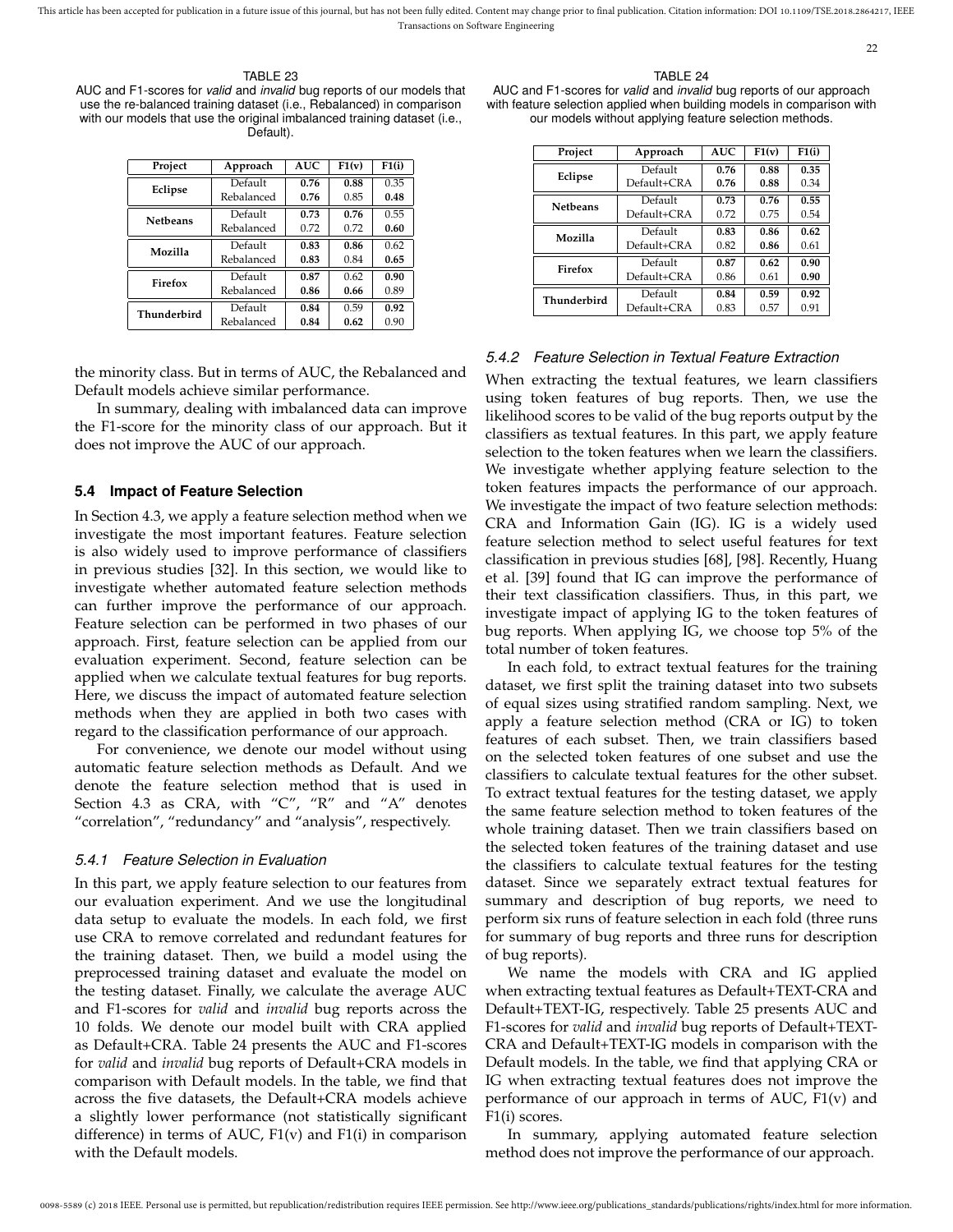#### TABLE 23

AUC and F1-scores for *valid* and *invalid* bug reports of our models that use the re-balanced training dataset (i.e., Rebalanced) in comparison with our models that use the original imbalanced training dataset (i.e., Default).

| Project         | Approach   | <b>AUC</b> | F1(v) | F1(i) |
|-----------------|------------|------------|-------|-------|
| Eclipse         | Default    | 0.76       | 0.88  | 0.35  |
|                 | Rebalanced | 0.76       | 0.85  | 0.48  |
| <b>Netbeans</b> | Default    | 0.73       | 0.76  | 0.55  |
|                 | Rebalanced | 0.72       | 0.72  | 0.60  |
| Mozilla         | Default    | 0.83       | 0.86  | 0.62  |
|                 | Rebalanced | 0.83       | 0.84  | 0.65  |
| Firefox         | Default    | 0.87       | 0.62  | 0.90  |
|                 | Rebalanced | 0.86       | 0.66  | 0.89  |
| Thunderbird     | Default    | 0.84       | 0.59  | 0.92  |
|                 | Rebalanced | 0.84       | 0.62  | 0.90  |

the minority class. But in terms of AUC, the Rebalanced and Default models achieve similar performance.

In summary, dealing with imbalanced data can improve the F1-score for the minority class of our approach. But it does not improve the AUC of our approach.

#### **5.4 Impact of Feature Selection**

In Section 4.3, we apply a feature selection method when we investigate the most important features. Feature selection is also widely used to improve performance of classifiers in previous studies [32]. In this section, we would like to investigate whether automated feature selection methods can further improve the performance of our approach. Feature selection can be performed in two phases of our approach. First, feature selection can be applied from our evaluation experiment. Second, feature selection can be applied when we calculate textual features for bug reports. Here, we discuss the impact of automated feature selection methods when they are applied in both two cases with regard to the classification performance of our approach.

For convenience, we denote our model without using automatic feature selection methods as Default. And we denote the feature selection method that is used in Section 4.3 as CRA, with "C", "R" and "A" denotes "correlation", "redundancy" and "analysis", respectively.

#### *5.4.1 Feature Selection in Evaluation*

In this part, we apply feature selection to our features from our evaluation experiment. And we use the longitudinal data setup to evaluate the models. In each fold, we first use CRA to remove correlated and redundant features for the training dataset. Then, we build a model using the preprocessed training dataset and evaluate the model on the testing dataset. Finally, we calculate the average AUC and F1-scores for *valid* and *invalid* bug reports across the 10 folds. We denote our model built with CRA applied as Default+CRA. Table 24 presents the AUC and F1-scores for *valid* and *invalid* bug reports of Default+CRA models in comparison with Default models. In the table, we find that across the five datasets, the Default+CRA models achieve a slightly lower performance (not statistically significant difference) in terms of AUC,  $F1(v)$  and  $F1(i)$  in comparison with the Default models.

22

AUC and F1-scores for *valid* and *invalid* bug reports of our approach with feature selection applied when building models in comparison with our models without applying feature selection methods.

| Project         | Approach    | <b>AUC</b> | F1(v) | F1(i) |
|-----------------|-------------|------------|-------|-------|
|                 | Default     | 0.76       | 0.88  | 0.35  |
| Eclipse         | Default+CRA | 0.76       | 0.88  | 0.34  |
| <b>Netbeans</b> | Default     | 0.73       | 0.76  | 0.55  |
|                 | Default+CRA | 0.72       | 0.75  | 0.54  |
| Mozilla         | Default     | 0.83       | 0.86  | 0.62  |
|                 | Default+CRA | 0.82       | 0.86  | 0.61  |
| Firefox         | Default     | 0.87       | 0.62  | 0.90  |
|                 | Default+CRA | 0.86       | 0.61  | 0.90  |
| Thunderbird     | Default     | 0.84       | 0.59  | 0.92  |
|                 | Default+CRA | 0.83       | 0.57  | 0.91  |

### *5.4.2 Feature Selection in Textual Feature Extraction*

When extracting the textual features, we learn classifiers using token features of bug reports. Then, we use the likelihood scores to be valid of the bug reports output by the classifiers as textual features. In this part, we apply feature selection to the token features when we learn the classifiers. We investigate whether applying feature selection to the token features impacts the performance of our approach. We investigate the impact of two feature selection methods: CRA and Information Gain (IG). IG is a widely used feature selection method to select useful features for text classification in previous studies [68], [98]. Recently, Huang et al. [39] found that IG can improve the performance of their text classification classifiers. Thus, in this part, we investigate impact of applying IG to the token features of bug reports. When applying IG, we choose top 5% of the total number of token features.

In each fold, to extract textual features for the training dataset, we first split the training dataset into two subsets of equal sizes using stratified random sampling. Next, we apply a feature selection method (CRA or IG) to token features of each subset. Then, we train classifiers based on the selected token features of one subset and use the classifiers to calculate textual features for the other subset. To extract textual features for the testing dataset, we apply the same feature selection method to token features of the whole training dataset. Then we train classifiers based on the selected token features of the training dataset and use the classifiers to calculate textual features for the testing dataset. Since we separately extract textual features for summary and description of bug reports, we need to perform six runs of feature selection in each fold (three runs for summary of bug reports and three runs for description of bug reports).

We name the models with CRA and IG applied when extracting textual features as Default+TEXT-CRA and Default+TEXT-IG, respectively. Table 25 presents AUC and F1-scores for *valid* and *invalid* bug reports of Default+TEXT-CRA and Default+TEXT-IG models in comparison with the Default models. In the table, we find that applying CRA or IG when extracting textual features does not improve the performance of our approach in terms of AUC, F1(v) and F1(i) scores.

In summary, applying automated feature selection method does not improve the performance of our approach.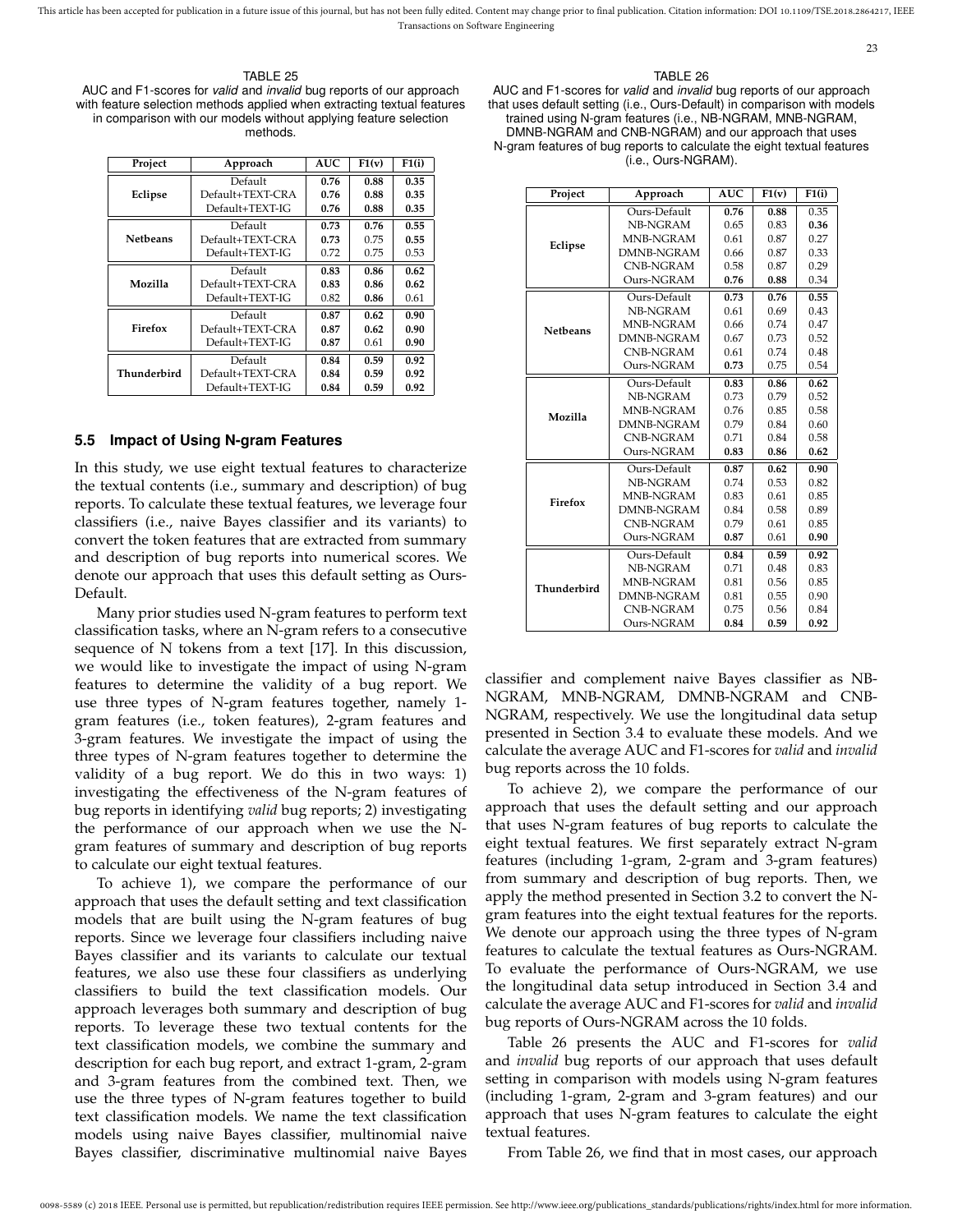#### TABLE 25

AUC and F1-scores for *valid* and *invalid* bug reports of our approach with feature selection methods applied when extracting textual features in comparison with our models without applying feature selection methods.

| Project         | Approach         | <b>AUC</b> | F1(v) | F1(i) |
|-----------------|------------------|------------|-------|-------|
|                 | Default          | 0.76       | 0.88  | 0.35  |
| Eclipse         | Default+TEXT-CRA | 0.76       | 0.88  | 0.35  |
|                 | Default+TEXT-IG  | 0.76       | 0.88  | 0.35  |
|                 | Default          | 0.73       | 0.76  | 0.55  |
| <b>Netbeans</b> | Default+TEXT-CRA | 0.73       | 0.75  | 0.55  |
|                 | Default+TEXT-IG  | 0.72       | 0.75  | 0.53  |
|                 | Default          | 0.83       | 0.86  | 0.62  |
| Mozilla         | Default+TEXT-CRA | 0.83       | 0.86  | 0.62  |
|                 | Default+TEXT-IG  | 0.82       | 0.86  | 0.61  |
|                 | Default          | 0.87       | 0.62  | 0.90  |
| Firefox         | Default+TEXT-CRA | 0.87       | 0.62  | 0.90  |
|                 | Default+TEXT-IG  | 0.87       | 0.61  | 0.90  |
|                 | Default          | 0.84       | 0.59  | 0.92  |
| Thunderbird     | Default+TEXT-CRA | 0.84       | 0.59  | 0.92  |
|                 | Default+TEXT-IG  | 0.84       | 0.59  | 0.92  |

#### **5.5 Impact of Using N-gram Features**

In this study, we use eight textual features to characterize the textual contents (i.e., summary and description) of bug reports. To calculate these textual features, we leverage four classifiers (i.e., naive Bayes classifier and its variants) to convert the token features that are extracted from summary and description of bug reports into numerical scores. We denote our approach that uses this default setting as Ours-Default.

Many prior studies used N-gram features to perform text classification tasks, where an N-gram refers to a consecutive sequence of N tokens from a text [17]. In this discussion, we would like to investigate the impact of using N-gram features to determine the validity of a bug report. We use three types of N-gram features together, namely 1 gram features (i.e., token features), 2-gram features and 3-gram features. We investigate the impact of using the three types of N-gram features together to determine the validity of a bug report. We do this in two ways: 1) investigating the effectiveness of the N-gram features of bug reports in identifying *valid* bug reports; 2) investigating the performance of our approach when we use the Ngram features of summary and description of bug reports to calculate our eight textual features.

To achieve 1), we compare the performance of our approach that uses the default setting and text classification models that are built using the N-gram features of bug reports. Since we leverage four classifiers including naive Bayes classifier and its variants to calculate our textual features, we also use these four classifiers as underlying classifiers to build the text classification models. Our approach leverages both summary and description of bug reports. To leverage these two textual contents for the text classification models, we combine the summary and description for each bug report, and extract 1-gram, 2-gram and 3-gram features from the combined text. Then, we use the three types of N-gram features together to build text classification models. We name the text classification models using naive Bayes classifier, multinomial naive Bayes classifier, discriminative multinomial naive Bayes

#### TABLE 26

23

AUC and F1-scores for *valid* and *invalid* bug reports of our approach that uses default setting (i.e., Ours-Default) in comparison with models trained using N-gram features (i.e., NB-NGRAM, MNB-NGRAM, DMNB-NGRAM and CNB-NGRAM) and our approach that uses N-gram features of bug reports to calculate the eight textual features (i.e., Ours-NGRAM).

| Project         | Approach          | <b>AUC</b> | F1(v) | F1(i) |
|-----------------|-------------------|------------|-------|-------|
|                 | Ours-Default      | 0.76       | 0.88  | 0.35  |
|                 | NB-NGRAM          | 0.65       | 0.83  | 0.36  |
| Eclipse         | MNB-NGRAM         | 0.61       | 0.87  | 0.27  |
|                 | DMNB-NGRAM        | 0.66       | 0.87  | 0.33  |
|                 | <b>CNB-NGRAM</b>  | 0.58       | 0.87  | 0.29  |
|                 | Ours-NGRAM        | 0.76       | 0.88  | 0.34  |
|                 | Ours-Default      | 0.73       | 0.76  | 0.55  |
|                 | NB-NGRAM          | 0.61       | 0.69  | 0.43  |
| <b>Netbeans</b> | MNB-NGRAM         | 0.66       | 0.74  | 0.47  |
|                 | <b>DMNB-NGRAM</b> | 0.67       | 0.73  | 0.52  |
|                 | <b>CNB-NGRAM</b>  | 0.61       | 0.74  | 0.48  |
|                 | Ours-NGRAM        | 0.73       | 0.75  | 0.54  |
|                 | Ours-Default      | 0.83       | 0.86  | 0.62  |
|                 | NB-NGRAM          | 0.73       | 0.79  | 0.52  |
| Mozilla         | MNB-NGRAM         | 0.76       | 0.85  | 0.58  |
|                 | DMNB-NGRAM        | 0.79       | 0.84  | 0.60  |
|                 | <b>CNB-NGRAM</b>  | 0.71       | 0.84  | 0.58  |
|                 | Ours-NGRAM        | 0.83       | 0.86  | 0.62  |
|                 | Ours-Default      | 0.87       | 0.62  | 0.90  |
|                 | NB-NGRAM          | 0.74       | 0.53  | 0.82  |
| Firefox         | MNB-NGRAM         | 0.83       | 0.61  | 0.85  |
|                 | DMNB-NGRAM        | 0.84       | 0.58  | 0.89  |
|                 | <b>CNB-NGRAM</b>  | 0.79       | 0.61  | 0.85  |
|                 | Ours-NGRAM        | 0.87       | 0.61  | 0.90  |
|                 | Ours-Default      | 0.84       | 0.59  | 0.92  |
|                 | NB-NGRAM          | 0.71       | 0.48  | 0.83  |
| Thunderbird     | MNB-NGRAM         | 0.81       | 0.56  | 0.85  |
|                 | DMNB-NGRAM        | 0.81       | 0.55  | 0.90  |
|                 | <b>CNB-NGRAM</b>  | 0.75       | 0.56  | 0.84  |
|                 | Ours-NGRAM        | 0.84       | 0.59  | 0.92  |

classifier and complement naive Bayes classifier as NB-NGRAM, MNB-NGRAM, DMNB-NGRAM and CNB-NGRAM, respectively. We use the longitudinal data setup presented in Section 3.4 to evaluate these models. And we calculate the average AUC and F1-scores for *valid* and *invalid* bug reports across the 10 folds.

To achieve 2), we compare the performance of our approach that uses the default setting and our approach that uses N-gram features of bug reports to calculate the eight textual features. We first separately extract N-gram features (including 1-gram, 2-gram and 3-gram features) from summary and description of bug reports. Then, we apply the method presented in Section 3.2 to convert the Ngram features into the eight textual features for the reports. We denote our approach using the three types of N-gram features to calculate the textual features as Ours-NGRAM. To evaluate the performance of Ours-NGRAM, we use the longitudinal data setup introduced in Section 3.4 and calculate the average AUC and F1-scores for *valid* and *invalid* bug reports of Ours-NGRAM across the 10 folds.

Table 26 presents the AUC and F1-scores for *valid* and *invalid* bug reports of our approach that uses default setting in comparison with models using N-gram features (including 1-gram, 2-gram and 3-gram features) and our approach that uses N-gram features to calculate the eight textual features.

From Table 26, we find that in most cases, our approach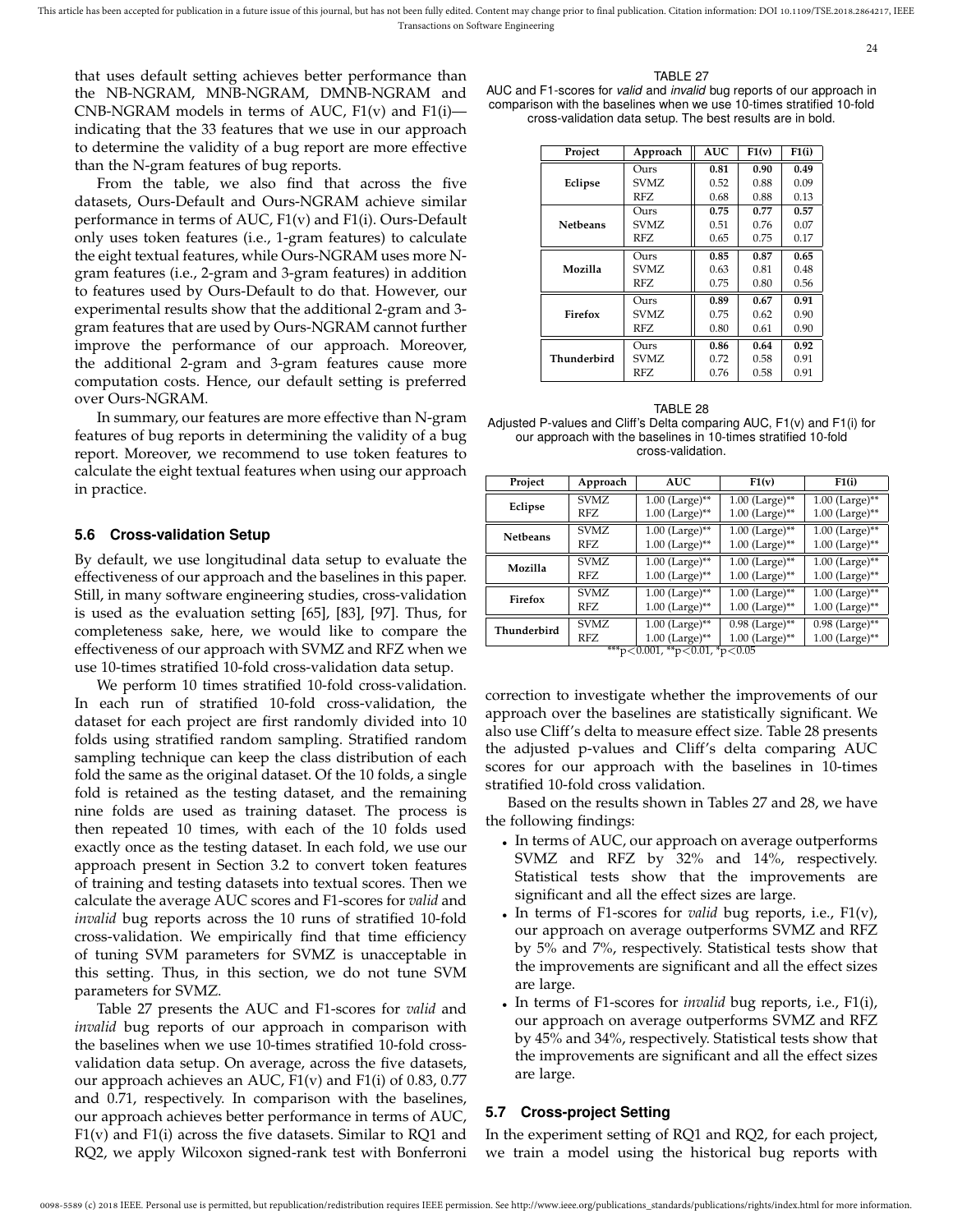that uses default setting achieves better performance than the NB-NGRAM, MNB-NGRAM, DMNB-NGRAM and CNB-NGRAM models in terms of AUC, F1(v) and F1(i) indicating that the 33 features that we use in our approach to determine the validity of a bug report are more effective than the N-gram features of bug reports.

From the table, we also find that across the five datasets, Ours-Default and Ours-NGRAM achieve similar performance in terms of AUC, F1(v) and F1(i). Ours-Default only uses token features (i.e., 1-gram features) to calculate the eight textual features, while Ours-NGRAM uses more Ngram features (i.e., 2-gram and 3-gram features) in addition to features used by Ours-Default to do that. However, our experimental results show that the additional 2-gram and 3 gram features that are used by Ours-NGRAM cannot further improve the performance of our approach. Moreover, the additional 2-gram and 3-gram features cause more computation costs. Hence, our default setting is preferred over Ours-NGRAM.

In summary, our features are more effective than N-gram features of bug reports in determining the validity of a bug report. Moreover, we recommend to use token features to calculate the eight textual features when using our approach in practice.

#### **5.6 Cross-validation Setup**

By default, we use longitudinal data setup to evaluate the effectiveness of our approach and the baselines in this paper. Still, in many software engineering studies, cross-validation is used as the evaluation setting [65], [83], [97]. Thus, for completeness sake, here, we would like to compare the effectiveness of our approach with SVMZ and RFZ when we use 10-times stratified 10-fold cross-validation data setup.

We perform 10 times stratified 10-fold cross-validation. In each run of stratified 10-fold cross-validation, the dataset for each project are first randomly divided into 10 folds using stratified random sampling. Stratified random sampling technique can keep the class distribution of each fold the same as the original dataset. Of the 10 folds, a single fold is retained as the testing dataset, and the remaining nine folds are used as training dataset. The process is then repeated 10 times, with each of the 10 folds used exactly once as the testing dataset. In each fold, we use our approach present in Section 3.2 to convert token features of training and testing datasets into textual scores. Then we calculate the average AUC scores and F1-scores for *valid* and *invalid* bug reports across the 10 runs of stratified 10-fold cross-validation. We empirically find that time efficiency of tuning SVM parameters for SVMZ is unacceptable in this setting. Thus, in this section, we do not tune SVM parameters for SVMZ.

Table 27 presents the AUC and F1-scores for *valid* and *invalid* bug reports of our approach in comparison with the baselines when we use 10-times stratified 10-fold crossvalidation data setup. On average, across the five datasets, our approach achieves an AUC, F1(v) and F1(i) of 0.83, 0.77 and 0.71, respectively. In comparison with the baselines, our approach achieves better performance in terms of AUC, F1(v) and F1(i) across the five datasets. Similar to RQ1 and RQ2, we apply Wilcoxon signed-rank test with Bonferroni

| ۱RI F<br>P |  |
|------------|--|
|            |  |

24

AUC and F1-scores for *valid* and *invalid* bug reports of our approach in comparison with the baselines when we use 10-times stratified 10-fold cross-validation data setup. The best results are in bold.

| Project         | Approach | AUC. | F1(v) | F1(i) |
|-----------------|----------|------|-------|-------|
|                 | Ours     | 0.81 | 0.90  | 0.49  |
| Eclipse         | SVMZ.    | 0.52 | 0.88  | 0.09  |
|                 | RFZ.     | 0.68 | 0.88  | 0.13  |
|                 | Ours     | 0.75 | 0.77  | 0.57  |
| <b>Netbeans</b> | SVMZ.    | 0.51 | 0.76  | 0.07  |
|                 | RFZ.     | 0.65 | 0.75  | 0.17  |
|                 | Ours     | 0.85 | 0.87  | 0.65  |
| Mozilla         | SVMZ.    | 0.63 | 0.81  | 0.48  |
|                 | RFZ.     | 0.75 | 0.80  | 0.56  |
|                 | Ours     | 0.89 | 0.67  | 0.91  |
| Firefox         | SVMZ.    | 0.75 | 0.62  | 0.90  |
|                 | RFZ.     | 0.80 | 0.61  | 0.90  |
|                 | Ours     | 0.86 | 0.64  | 0.92  |
| Thunderbird     | SVMZ.    | 0.72 | 0.58  | 0.91  |
|                 | RFZ      | 0.76 | 0.58  | 0.91  |

TABLE 28 Adjusted P-values and Cliff's Delta comparing AUC, F1(v) and F1(i) for our approach with the baselines in 10-times stratified 10-fold cross-validation.

| Project         | Approach    | <b>AUC</b>                              | F1(v)                                                   | F1(i)            |
|-----------------|-------------|-----------------------------------------|---------------------------------------------------------|------------------|
| Eclipse         | <b>SVMZ</b> | $1.00$ (Large)**                        | $1.00$ (Large)**                                        | $1.00$ (Large)** |
|                 | RFZ.        | $1.00$ (Large)**                        | $1.00$ (Large)**                                        | $1.00$ (Large)** |
| <b>Netbeans</b> | <b>SVMZ</b> | $1.00$ (Large)**                        | $1.00$ (Large)**                                        | $1.00$ (Large)** |
|                 | RFZ.        | $1.00$ (Large)**                        | $1.00$ (Large)**                                        | $1.00$ (Large)** |
| Mozilla         | SVMZ        | $1.00$ (Large)**                        | $1.00$ (Large)**                                        | $1.00$ (Large)** |
|                 | RFZ.        | $1.00$ (Large)**                        | $1.00$ (Large)**                                        | $1.00$ (Large)** |
| Firefox         | <b>SVMZ</b> | $1.00$ (Large)**                        | $1.00$ (Large)**                                        | $1.00$ (Large)** |
|                 | RFZ.        | $1.00$ (Large)**                        | $1.00$ (Large)**                                        | $1.00$ (Large)** |
| Thunderbird     | SVMZ.       | $1.00$ (Large)**                        | $0.98$ (Large)**                                        | $0.98$ (Large)** |
|                 | RFZ<br>イイイ  | $1.00$ (Large)**<br>- 0.001 11 - 0.01 1 | $1.00$ (Large)**<br>$\lambda$ or $\lambda$ or $\lambda$ | $1.00$ (Large)** |

\*\*\*p<0.001, \*\*p<0.01, \*p<0.05

correction to investigate whether the improvements of our approach over the baselines are statistically significant. We also use Cliff's delta to measure effect size. Table 28 presents the adjusted p-values and Cliff's delta comparing AUC scores for our approach with the baselines in 10-times stratified 10-fold cross validation.

Based on the results shown in Tables 27 and 28, we have the following findings:

- In terms of AUC, our approach on average outperforms SVMZ and RFZ by 32% and 14%, respectively. Statistical tests show that the improvements are significant and all the effect sizes are large.
- In terms of F1-scores for *valid* bug reports, i.e., F1(v), our approach on average outperforms SVMZ and RFZ by 5% and 7%, respectively. Statistical tests show that the improvements are significant and all the effect sizes are large.
- In terms of F1-scores for *invalid* bug reports, i.e., F1(i), our approach on average outperforms SVMZ and RFZ by 45% and 34%, respectively. Statistical tests show that the improvements are significant and all the effect sizes are large.

## **5.7 Cross-project Setting**

In the experiment setting of RQ1 and RQ2, for each project, we train a model using the historical bug reports with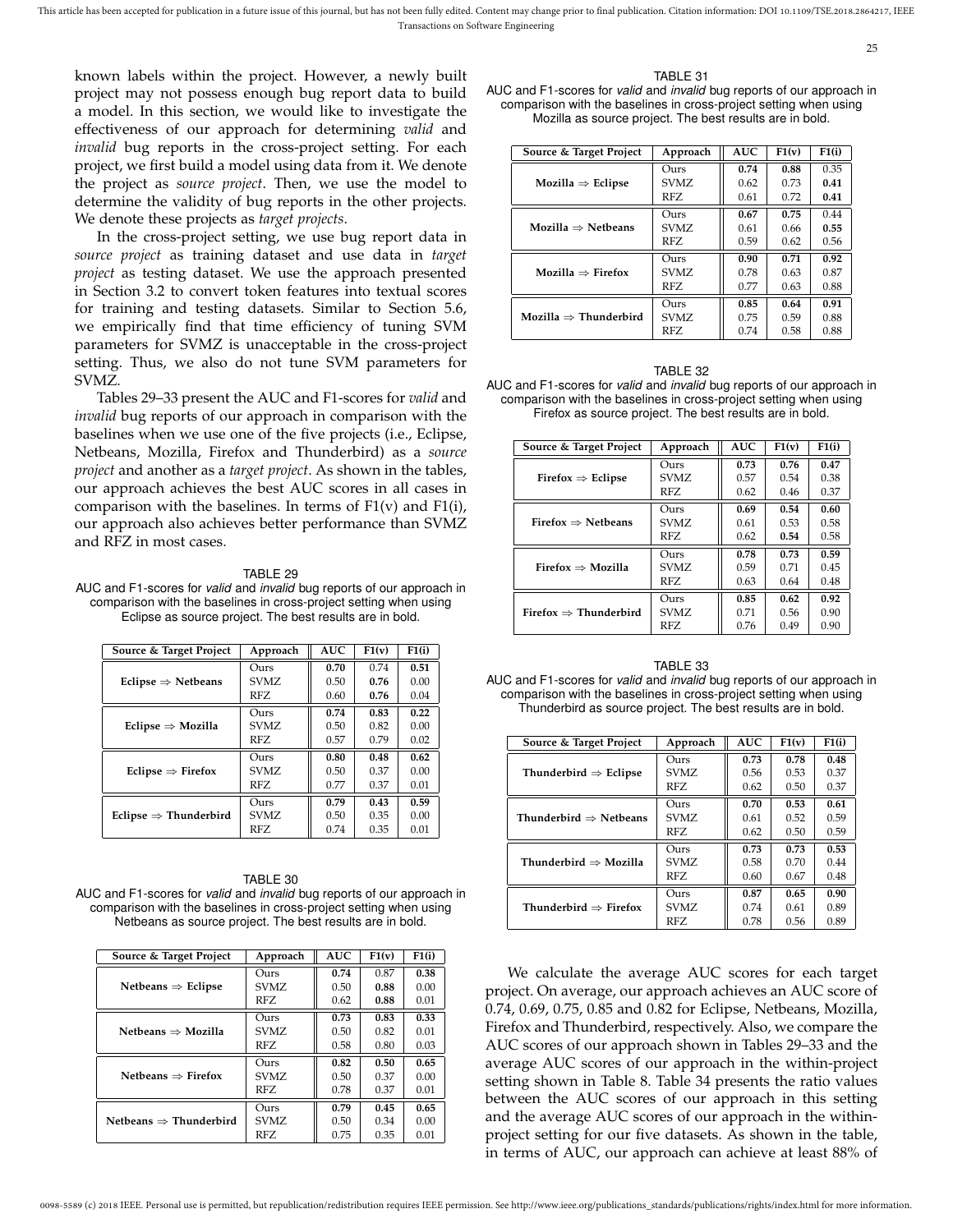known labels within the project. However, a newly built project may not possess enough bug report data to build a model. In this section, we would like to investigate the effectiveness of our approach for determining *valid* and *invalid* bug reports in the cross-project setting. For each project, we first build a model using data from it. We denote the project as *source project*. Then, we use the model to determine the validity of bug reports in the other projects. We denote these projects as *target projects*.

In the cross-project setting, we use bug report data in *source project* as training dataset and use data in *target project* as testing dataset. We use the approach presented in Section 3.2 to convert token features into textual scores for training and testing datasets. Similar to Section 5.6, we empirically find that time efficiency of tuning SVM parameters for SVMZ is unacceptable in the cross-project setting. Thus, we also do not tune SVM parameters for SVMZ.

Tables 29–33 present the AUC and F1-scores for *valid* and *invalid* bug reports of our approach in comparison with the baselines when we use one of the five projects (i.e., Eclipse, Netbeans, Mozilla, Firefox and Thunderbird) as a *source project* and another as a *target project*. As shown in the tables, our approach achieves the best AUC scores in all cases in comparison with the baselines. In terms of  $F1(v)$  and  $F1(i)$ , our approach also achieves better performance than SVMZ and RFZ in most cases.

#### TABLE 29

AUC and F1-scores for *valid* and *invalid* bug reports of our approach in comparison with the baselines in cross-project setting when using Eclipse as source project. The best results are in bold.

| Source & Target Project           | Approach | <b>AUC</b> | F1(v) | F1(i) |
|-----------------------------------|----------|------------|-------|-------|
|                                   | Ours     | 0.70       | 0.74  | 0.51  |
| Eclipse $\Rightarrow$ Netbeans    | SVMZ     | 0.50       | 0.76  | 0.00  |
|                                   | RFZ      | 0.60       | 0.76  | 0.04  |
|                                   | Ours     | 0.74       | 0.83  | 0.22  |
| Eclipse $\Rightarrow$ Mozilla     | SVMZ     | 0.50       | 0.82  | 0.00  |
|                                   | RFZ      | 0.57       | 0.79  | 0.02  |
|                                   | Ours     | 0.80       | 0.48  | 0.62  |
| Eclipse $\Rightarrow$ Firefox     | SVMZ     | 0.50       | 0.37  | 0.00  |
|                                   | RFZ      | 0.77       | 0.37  | 0.01  |
|                                   | Ours     | 0.79       | 0.43  | 0.59  |
| Eclipse $\Rightarrow$ Thunderbird | SVMZ     | 0.50       | 0.35  | 0.00  |
|                                   | RFZ      | 0.74       | 0.35  | 0.01  |

TABLE 30 AUC and F1-scores for *valid* and *invalid* bug reports of our approach in comparison with the baselines in cross-project setting when using Netbeans as source project. The best results are in bold.

| Source & Target Project            | Approach | AUC  | F1(v) | F1(i) |
|------------------------------------|----------|------|-------|-------|
|                                    | Ours     | 0.74 | 0.87  | 0.38  |
| Netbeans $\Rightarrow$ Eclipse     | SVMZ.    | 0.50 | 0.88  | 0.00  |
|                                    | RFZ.     | 0.62 | 0.88  | 0.01  |
|                                    | Ours     | 0.73 | 0.83  | 0.33  |
| Netheans $\Rightarrow$ Mozilla     | SVMZ.    | 0.50 | 0.82  | 0.01  |
|                                    | RFZ.     | 0.58 | 0.80  | 0.03  |
|                                    | Ours     | 0.82 | 0.50  | 0.65  |
| Netbeans $\Rightarrow$ Firefox     | SVMZ.    | 0.50 | 0.37  | 0.00  |
|                                    | RFZ      | 0.78 | 0.37  | 0.01  |
|                                    | Ours     | 0.79 | 0.45  | 0.65  |
| Netbeans $\Rightarrow$ Thunderbird | SVMZ.    | 0.50 | 0.34  | 0.00  |
|                                    | RFZ      | 0.75 | 0.35  | 0.01  |

#### TABLE 31

25

AUC and F1-scores for *valid* and *invalid* bug reports of our approach in comparison with the baselines in cross-project setting when using Mozilla as source project. The best results are in bold.

| Source & Target Project           | Approach      | <b>AUC</b> | F1(v) | F1(i) |
|-----------------------------------|---------------|------------|-------|-------|
|                                   | Ours          | 0.74       | 0.88  | 0.35  |
| $Mozilla \Rightarrow Eclipse$     | SVMZ.         | 0.62       | 0.73  | 0.41  |
|                                   | RFZ.          | 0.61       | 0.72  | 0.41  |
|                                   | Ours          | 0.67       | 0.75  | 0.44  |
| Mozilla $\Rightarrow$ Netheans    | SVMZ          | 0.61       | 0.66  | 0.55  |
|                                   | RFZ.          | 0.59       | 0.62  | 0.56  |
|                                   | Ours          | 0.90       | 0.71  | 0.92  |
| Mozilla $\Rightarrow$ Firefox     | SVMZ.         | 0.78       | 0.63  | 0.87  |
|                                   | RFZ.          | 0.77       | 0.63  | 0.88  |
|                                   | $_{\rm Ours}$ | 0.85       | 0.64  | 0.91  |
| Mozilla $\Rightarrow$ Thunderbird | SVMZ          | 0.75       | 0.59  | 0.88  |
|                                   | RFZ           | 0.74       | 0.58  | 0.88  |

| TABLE 32                                                               |
|------------------------------------------------------------------------|
| AUC and F1-scores for valid and invalid bug reports of our approach in |
| comparison with the baselines in cross-project setting when using      |
| Firefox as source project. The best results are in bold.               |

| Source & Target Project           | Approach | <b>AUC</b> | F1(v) | F1(i) |
|-----------------------------------|----------|------------|-------|-------|
|                                   | Ours     | 0.73       | 0.76  | 0.47  |
| Firefox $\Rightarrow$ Eclipse     | SVMZ.    | 0.57       | 0.54  | 0.38  |
|                                   | RFZ      | 0.62       | 0.46  | 0.37  |
| Firefox $\Rightarrow$ Netbeans    | Ours     | 0.69       | 0.54  | 0.60  |
|                                   | SVMZ.    | 0.61       | 0.53  | 0.58  |
|                                   | RFZ      | 0.62       | 0.54  | 0.58  |
| Firefox $\Rightarrow$ Mozilla     | Ours     | 0.78       | 0.73  | 0.59  |
|                                   | SVMZ.    | 0.59       | 0.71  | 0.45  |
|                                   | RFZ      | 0.63       | 0.64  | 0.48  |
| Firefox $\Rightarrow$ Thunderbird | Ours     | 0.85       | 0.62  | 0.92  |
|                                   | SVMZ.    | 0.71       | 0.56  | 0.90  |
|                                   | RFZ      | 0.76       | 0.49  | 0.90  |

| TABLE 33                                                                             |
|--------------------------------------------------------------------------------------|
| AUC and F1-scores for <i>valid</i> and <i>invalid</i> bug reports of our approach in |
| comparison with the baselines in cross-project setting when using                    |
| Thunderbird as source project. The best results are in bold.                         |

| Source & Target Project            | Approach      | <b>AUC</b> | F1(v) | F1(i) |
|------------------------------------|---------------|------------|-------|-------|
|                                    | Ours          | 0.73       | 0.78  | 0.48  |
| Thunderbird $\Rightarrow$ Eclipse  | SVMZ.         | 0.56       | 0.53  | 0.37  |
|                                    | RFZ           | 0.62       | 0.50  | 0.37  |
| Thunderbird $\Rightarrow$ Netbeans | Ours          | 0.70       | 0.53  | 0.61  |
|                                    | SVMZ.         | 0.61       | 0.52  | 0.59  |
|                                    | RFZ           | 0.62       | 0.50  | 0.59  |
| Thunderbird $\Rightarrow$ Mozilla  | Ours          | 0.73       | 0.73  | 0.53  |
|                                    | SVMZ.         | 0.58       | 0.70  | 0.44  |
|                                    | RFZ           | 0.60       | 0.67  | 0.48  |
| Thunderbird $\Rightarrow$ Firefox  | $_{\rm Ours}$ | 0.87       | 0.65  | 0.90  |
|                                    | SVMZ.         | 0.74       | 0.61  | 0.89  |
|                                    | RFZ           | 0.78       | 0.56  | 0.89  |

We calculate the average AUC scores for each target project. On average, our approach achieves an AUC score of 0.74, 0.69, 0.75, 0.85 and 0.82 for Eclipse, Netbeans, Mozilla, Firefox and Thunderbird, respectively. Also, we compare the AUC scores of our approach shown in Tables 29–33 and the average AUC scores of our approach in the within-project setting shown in Table 8. Table 34 presents the ratio values between the AUC scores of our approach in this setting and the average AUC scores of our approach in the withinproject setting for our five datasets. As shown in the table, in terms of AUC, our approach can achieve at least 88% of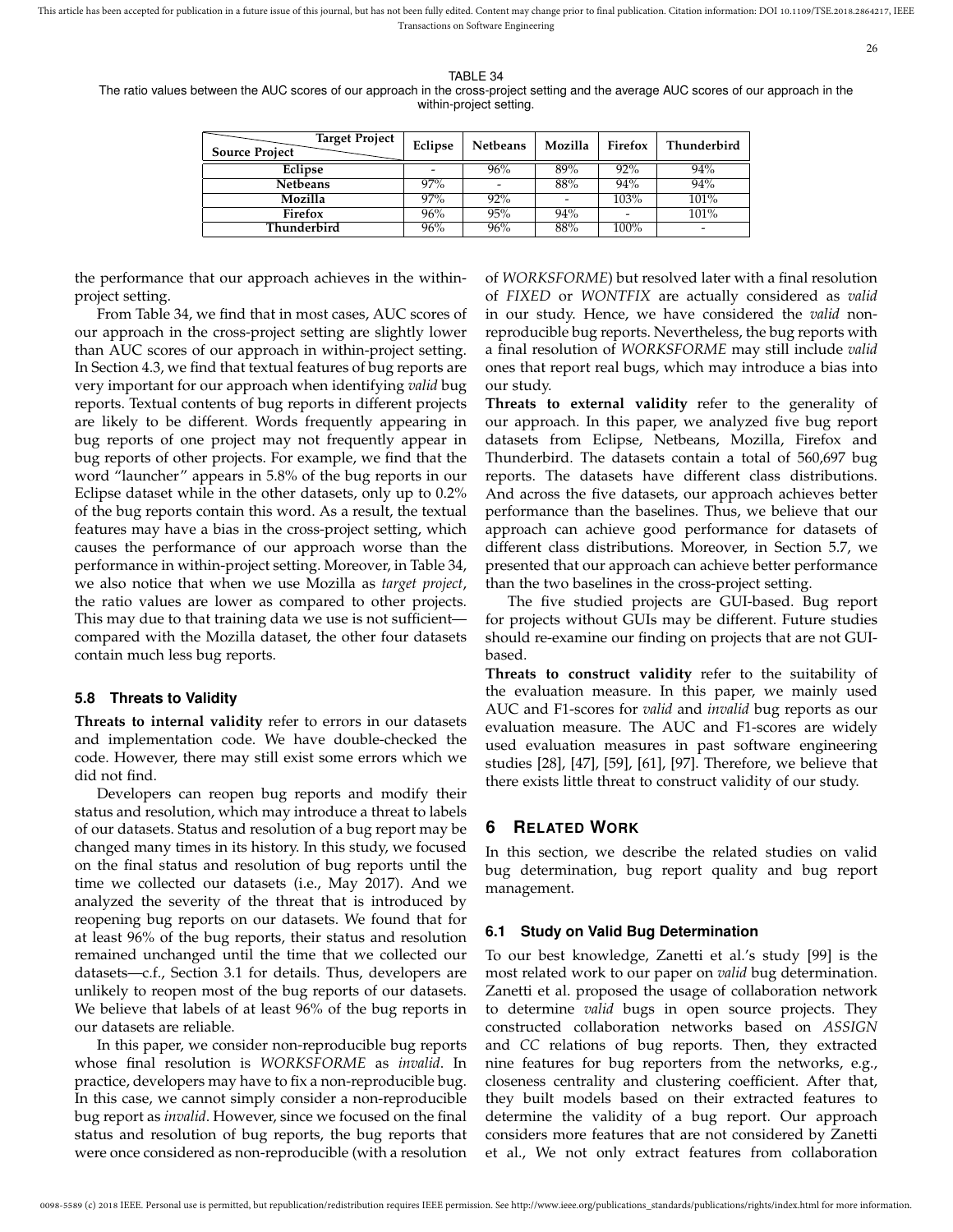26

TABLE 34

The ratio values between the AUC scores of our approach in the cross-project setting and the average AUC scores of our approach in the within-project setting.

| <b>Target Project</b><br><b>Source Project</b> | Eclipse | Netbeans | Mozilla | Firefox | Thunderbird              |
|------------------------------------------------|---------|----------|---------|---------|--------------------------|
| Eclipse                                        |         | 96%      | 89%     | 92%     | 94%                      |
| Netbeans                                       | 97%     |          | 88%     | 94%     | 94%                      |
| Mozilla                                        | 97%     | 92%      |         | 103%    | 101%                     |
| Firefox                                        | 96%     | 95%      | 94%     | -       | 101%                     |
| Thunderbird                                    | 96%     | 96%      | 88%     | 100%    | $\overline{\phantom{a}}$ |

the performance that our approach achieves in the withinproject setting.

From Table 34, we find that in most cases, AUC scores of our approach in the cross-project setting are slightly lower than AUC scores of our approach in within-project setting. In Section 4.3, we find that textual features of bug reports are very important for our approach when identifying *valid* bug reports. Textual contents of bug reports in different projects are likely to be different. Words frequently appearing in bug reports of one project may not frequently appear in bug reports of other projects. For example, we find that the word "launcher" appears in 5.8% of the bug reports in our Eclipse dataset while in the other datasets, only up to 0.2% of the bug reports contain this word. As a result, the textual features may have a bias in the cross-project setting, which causes the performance of our approach worse than the performance in within-project setting. Moreover, in Table 34, we also notice that when we use Mozilla as *target project*, the ratio values are lower as compared to other projects. This may due to that training data we use is not sufficient compared with the Mozilla dataset, the other four datasets contain much less bug reports.

#### **5.8 Threats to Validity**

**Threats to internal validity** refer to errors in our datasets and implementation code. We have double-checked the code. However, there may still exist some errors which we did not find.

Developers can reopen bug reports and modify their status and resolution, which may introduce a threat to labels of our datasets. Status and resolution of a bug report may be changed many times in its history. In this study, we focused on the final status and resolution of bug reports until the time we collected our datasets (i.e., May 2017). And we analyzed the severity of the threat that is introduced by reopening bug reports on our datasets. We found that for at least 96% of the bug reports, their status and resolution remained unchanged until the time that we collected our datasets—c.f., Section 3.1 for details. Thus, developers are unlikely to reopen most of the bug reports of our datasets. We believe that labels of at least 96% of the bug reports in our datasets are reliable.

In this paper, we consider non-reproducible bug reports whose final resolution is *WORKSFORME* as *invalid*. In practice, developers may have to fix a non-reproducible bug. In this case, we cannot simply consider a non-reproducible bug report as *invalid*. However, since we focused on the final status and resolution of bug reports, the bug reports that were once considered as non-reproducible (with a resolution

of *WORKSFORME*) but resolved later with a final resolution of *FIXED* or *WONTFIX* are actually considered as *valid* in our study. Hence, we have considered the *valid* nonreproducible bug reports. Nevertheless, the bug reports with a final resolution of *WORKSFORME* may still include *valid* ones that report real bugs, which may introduce a bias into our study.

**Threats to external validity** refer to the generality of our approach. In this paper, we analyzed five bug report datasets from Eclipse, Netbeans, Mozilla, Firefox and Thunderbird. The datasets contain a total of 560,697 bug reports. The datasets have different class distributions. And across the five datasets, our approach achieves better performance than the baselines. Thus, we believe that our approach can achieve good performance for datasets of different class distributions. Moreover, in Section 5.7, we presented that our approach can achieve better performance than the two baselines in the cross-project setting.

The five studied projects are GUI-based. Bug report for projects without GUIs may be different. Future studies should re-examine our finding on projects that are not GUIbased.

**Threats to construct validity** refer to the suitability of the evaluation measure. In this paper, we mainly used AUC and F1-scores for *valid* and *invalid* bug reports as our evaluation measure. The AUC and F1-scores are widely used evaluation measures in past software engineering studies [28], [47], [59], [61], [97]. Therefore, we believe that there exists little threat to construct validity of our study.

#### **6 RELATED WORK**

In this section, we describe the related studies on valid bug determination, bug report quality and bug report management.

#### **6.1 Study on Valid Bug Determination**

To our best knowledge, Zanetti et al.'s study [99] is the most related work to our paper on *valid* bug determination. Zanetti et al. proposed the usage of collaboration network to determine *valid* bugs in open source projects. They constructed collaboration networks based on *ASSIGN* and *CC* relations of bug reports. Then, they extracted nine features for bug reporters from the networks, e.g., closeness centrality and clustering coefficient. After that, they built models based on their extracted features to determine the validity of a bug report. Our approach considers more features that are not considered by Zanetti et al., We not only extract features from collaboration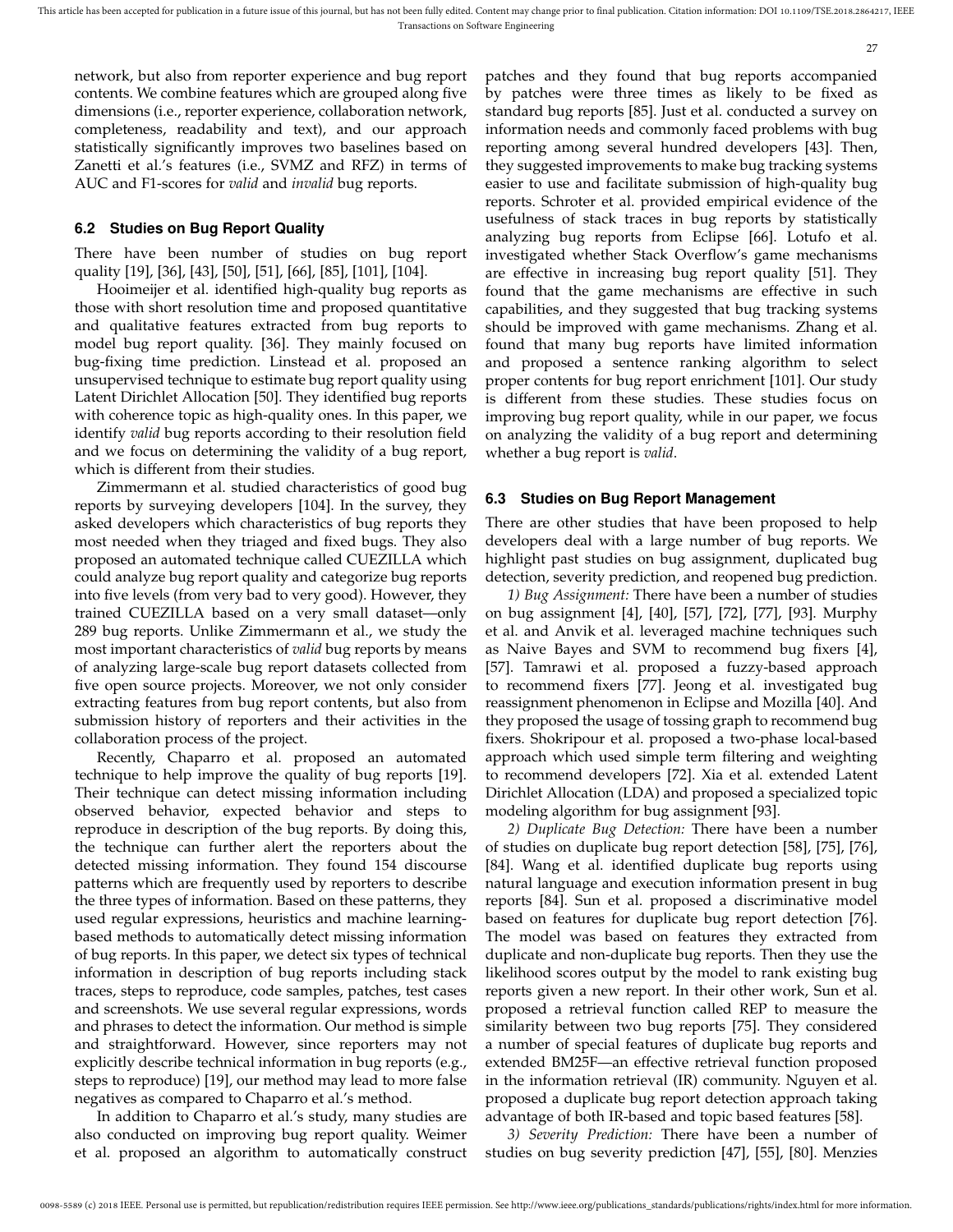network, but also from reporter experience and bug report contents. We combine features which are grouped along five dimensions (i.e., reporter experience, collaboration network, completeness, readability and text), and our approach statistically significantly improves two baselines based on Zanetti et al.'s features (i.e., SVMZ and RFZ) in terms of AUC and F1-scores for *valid* and *invalid* bug reports.

#### **6.2 Studies on Bug Report Quality**

There have been number of studies on bug report quality [19], [36], [43], [50], [51], [66], [85], [101], [104].

Hooimeijer et al. identified high-quality bug reports as those with short resolution time and proposed quantitative and qualitative features extracted from bug reports to model bug report quality. [36]. They mainly focused on bug-fixing time prediction. Linstead et al. proposed an unsupervised technique to estimate bug report quality using Latent Dirichlet Allocation [50]. They identified bug reports with coherence topic as high-quality ones. In this paper, we identify *valid* bug reports according to their resolution field and we focus on determining the validity of a bug report, which is different from their studies.

Zimmermann et al. studied characteristics of good bug reports by surveying developers [104]. In the survey, they asked developers which characteristics of bug reports they most needed when they triaged and fixed bugs. They also proposed an automated technique called CUEZILLA which could analyze bug report quality and categorize bug reports into five levels (from very bad to very good). However, they trained CUEZILLA based on a very small dataset—only 289 bug reports. Unlike Zimmermann et al., we study the most important characteristics of *valid* bug reports by means of analyzing large-scale bug report datasets collected from five open source projects. Moreover, we not only consider extracting features from bug report contents, but also from submission history of reporters and their activities in the collaboration process of the project.

Recently, Chaparro et al. proposed an automated technique to help improve the quality of bug reports [19]. Their technique can detect missing information including observed behavior, expected behavior and steps to reproduce in description of the bug reports. By doing this, the technique can further alert the reporters about the detected missing information. They found 154 discourse patterns which are frequently used by reporters to describe the three types of information. Based on these patterns, they used regular expressions, heuristics and machine learningbased methods to automatically detect missing information of bug reports. In this paper, we detect six types of technical information in description of bug reports including stack traces, steps to reproduce, code samples, patches, test cases and screenshots. We use several regular expressions, words and phrases to detect the information. Our method is simple and straightforward. However, since reporters may not explicitly describe technical information in bug reports (e.g., steps to reproduce) [19], our method may lead to more false negatives as compared to Chaparro et al.'s method.

In addition to Chaparro et al.'s study, many studies are also conducted on improving bug report quality. Weimer et al. proposed an algorithm to automatically construct patches and they found that bug reports accompanied by patches were three times as likely to be fixed as standard bug reports [85]. Just et al. conducted a survey on information needs and commonly faced problems with bug reporting among several hundred developers [43]. Then, they suggested improvements to make bug tracking systems easier to use and facilitate submission of high-quality bug reports. Schroter et al. provided empirical evidence of the usefulness of stack traces in bug reports by statistically analyzing bug reports from Eclipse [66]. Lotufo et al. investigated whether Stack Overflow's game mechanisms are effective in increasing bug report quality [51]. They found that the game mechanisms are effective in such capabilities, and they suggested that bug tracking systems should be improved with game mechanisms. Zhang et al. found that many bug reports have limited information and proposed a sentence ranking algorithm to select proper contents for bug report enrichment [101]. Our study is different from these studies. These studies focus on improving bug report quality, while in our paper, we focus on analyzing the validity of a bug report and determining whether a bug report is *valid*.

#### **6.3 Studies on Bug Report Management**

There are other studies that have been proposed to help developers deal with a large number of bug reports. We highlight past studies on bug assignment, duplicated bug detection, severity prediction, and reopened bug prediction.

*1) Bug Assignment:* There have been a number of studies on bug assignment [4], [40], [57], [72], [77], [93]. Murphy et al. and Anvik et al. leveraged machine techniques such as Naive Bayes and SVM to recommend bug fixers [4], [57]. Tamrawi et al. proposed a fuzzy-based approach to recommend fixers [77]. Jeong et al. investigated bug reassignment phenomenon in Eclipse and Mozilla [40]. And they proposed the usage of tossing graph to recommend bug fixers. Shokripour et al. proposed a two-phase local-based approach which used simple term filtering and weighting to recommend developers [72]. Xia et al. extended Latent Dirichlet Allocation (LDA) and proposed a specialized topic modeling algorithm for bug assignment [93].

*2) Duplicate Bug Detection:* There have been a number of studies on duplicate bug report detection [58], [75], [76], [84]. Wang et al. identified duplicate bug reports using natural language and execution information present in bug reports [84]. Sun et al. proposed a discriminative model based on features for duplicate bug report detection [76]. The model was based on features they extracted from duplicate and non-duplicate bug reports. Then they use the likelihood scores output by the model to rank existing bug reports given a new report. In their other work, Sun et al. proposed a retrieval function called REP to measure the similarity between two bug reports [75]. They considered a number of special features of duplicate bug reports and extended BM25F—an effective retrieval function proposed in the information retrieval (IR) community. Nguyen et al. proposed a duplicate bug report detection approach taking advantage of both IR-based and topic based features [58].

*3) Severity Prediction:* There have been a number of studies on bug severity prediction [47], [55], [80]. Menzies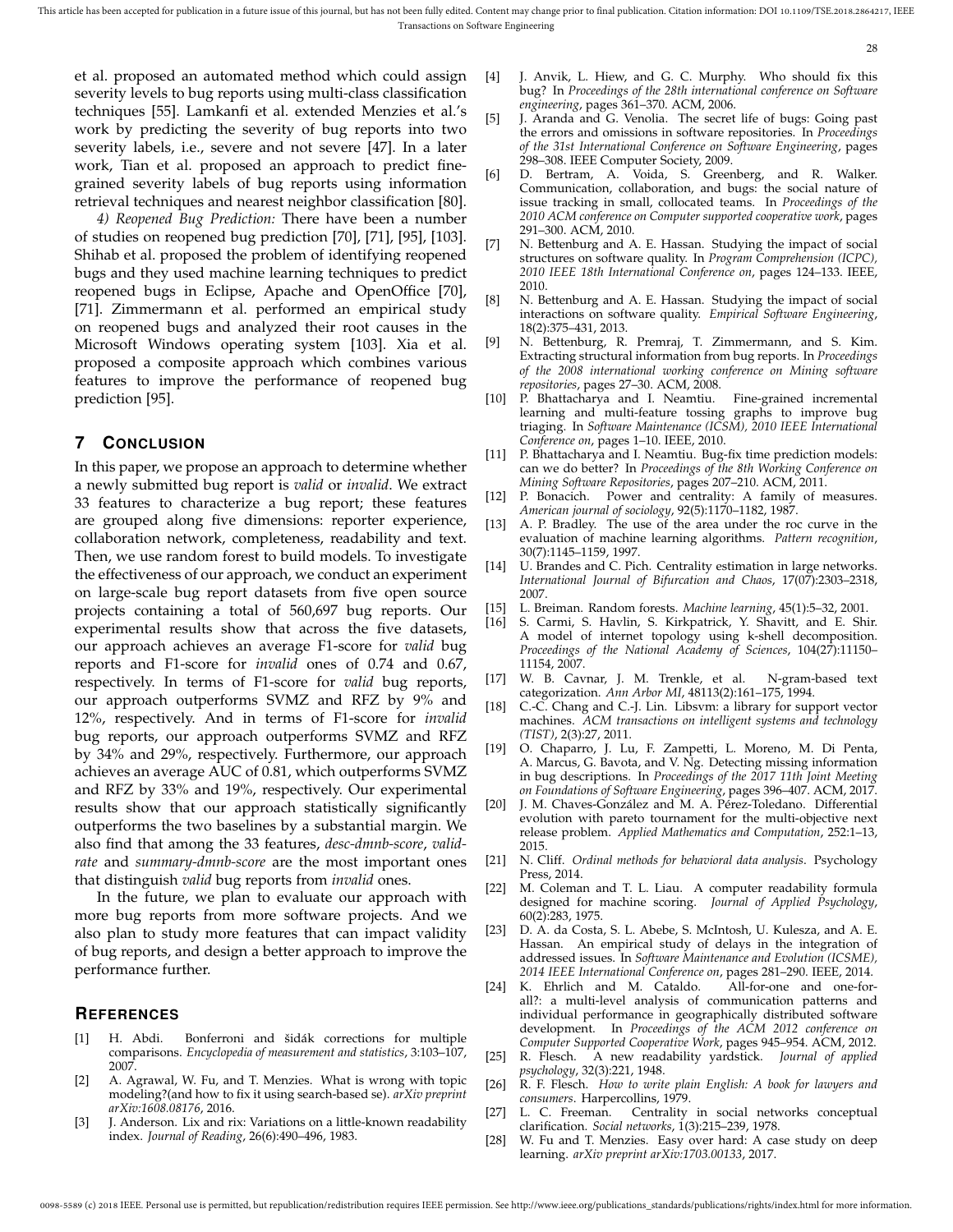et al. proposed an automated method which could assign severity levels to bug reports using multi-class classification techniques [55]. Lamkanfi et al. extended Menzies et al.'s work by predicting the severity of bug reports into two severity labels, i.e., severe and not severe [47]. In a later work, Tian et al. proposed an approach to predict finegrained severity labels of bug reports using information retrieval techniques and nearest neighbor classification [80].

*4) Reopened Bug Prediction:* There have been a number of studies on reopened bug prediction [70], [71], [95], [103]. Shihab et al. proposed the problem of identifying reopened bugs and they used machine learning techniques to predict reopened bugs in Eclipse, Apache and OpenOffice [70], [71]. Zimmermann et al. performed an empirical study on reopened bugs and analyzed their root causes in the Microsoft Windows operating system [103]. Xia et al. proposed a composite approach which combines various features to improve the performance of reopened bug prediction [95].

## **7 CONCLUSION**

In this paper, we propose an approach to determine whether a newly submitted bug report is *valid* or *invalid*. We extract 33 features to characterize a bug report; these features are grouped along five dimensions: reporter experience, collaboration network, completeness, readability and text. Then, we use random forest to build models. To investigate the effectiveness of our approach, we conduct an experiment on large-scale bug report datasets from five open source projects containing a total of 560,697 bug reports. Our experimental results show that across the five datasets, our approach achieves an average F1-score for *valid* bug reports and F1-score for *invalid* ones of 0.74 and 0.67, respectively. In terms of F1-score for *valid* bug reports, our approach outperforms SVMZ and RFZ by 9% and 12%, respectively. And in terms of F1-score for *invalid* bug reports, our approach outperforms SVMZ and RFZ by 34% and 29%, respectively. Furthermore, our approach achieves an average AUC of 0.81, which outperforms SVMZ and RFZ by 33% and 19%, respectively. Our experimental results show that our approach statistically significantly outperforms the two baselines by a substantial margin. We also find that among the 33 features, *desc-dmnb-score*, *validrate* and *summary-dmnb-score* are the most important ones that distinguish *valid* bug reports from *invalid* ones.

In the future, we plan to evaluate our approach with more bug reports from more software projects. And we also plan to study more features that can impact validity of bug reports, and design a better approach to improve the performance further.

## **REFERENCES**

- [1] H. Abdi. Bonferroni and šidák corrections for multiple comparisons. *Encyclopedia of measurement and statistics*, 3:103–107, 2007.
- [2] A. Agrawal, W. Fu, and T. Menzies. What is wrong with topic modeling?(and how to fix it using search-based se). *arXiv preprint arXiv:1608.08176*, 2016.
- [3] J. Anderson. Lix and rix: Variations on a little-known readability index. *Journal of Reading*, 26(6):490–496, 1983.
- [4] J. Anvik, L. Hiew, and G. C. Murphy. Who should fix this bug? In *Proceedings of the 28th international conference on Software engineering*, pages 361–370. ACM, 2006.
- [5] J. Aranda and G. Venolia. The secret life of bugs: Going past the errors and omissions in software repositories. In *Proceedings of the 31st International Conference on Software Engineering*, pages 298–308. IEEE Computer Society, 2009.
- [6] D. Bertram, A. Voida, S. Greenberg, and R. Walker. Communication, collaboration, and bugs: the social nature of issue tracking in small, collocated teams. In *Proceedings of the 2010 ACM conference on Computer supported cooperative work*, pages 291–300. ACM, 2010.
- [7] N. Bettenburg and A. E. Hassan. Studying the impact of social structures on software quality. In *Program Comprehension (ICPC), 2010 IEEE 18th International Conference on*, pages 124–133. IEEE, 2010.
- [8] N. Bettenburg and A. E. Hassan. Studying the impact of social interactions on software quality. *Empirical Software Engineering*, 18(2):375–431, 2013.
- [9] N. Bettenburg, R. Premraj, T. Zimmermann, and S. Kim. Extracting structural information from bug reports. In *Proceedings of the 2008 international working conference on Mining software repositories*, pages 27–30. ACM, 2008.
- [10] P. Bhattacharya and I. Neamtiu. Fine-grained incremental learning and multi-feature tossing graphs to improve bug triaging. In *Software Maintenance (ICSM), 2010 IEEE International Conference on*, pages 1–10. IEEE, 2010.
- [11] P. Bhattacharya and I. Neamtiu. Bug-fix time prediction models: can we do better? In *Proceedings of the 8th Working Conference on Mining Software Repositories*, pages 207–210. ACM, 2011.
- [12] P. Bonacich. Power and centrality: A family of measures. *American journal of sociology*, 92(5):1170–1182, 1987.
- [13] A. P. Bradley. The use of the area under the roc curve in the evaluation of machine learning algorithms. *Pattern recognition*, 30(7):1145–1159, 1997.
- [14] U. Brandes and C. Pich. Centrality estimation in large networks. *International Journal of Bifurcation and Chaos*, 17(07):2303–2318, 2007.
- [15] L. Breiman. Random forests. *Machine learning*, 45(1):5–32, 2001.
- [16] S. Carmi, S. Havlin, S. Kirkpatrick, Y. Shavitt, and E. Shir. A model of internet topology using k-shell decomposition. *Proceedings of the National Academy of Sciences*, 104(27):11150– 11154, 2007.
- [17] W. B. Cavnar, J. M. Trenkle, et al. N-gram-based text categorization. *Ann Arbor MI*, 48113(2):161–175, 1994.
- [18] C.-C. Chang and C.-J. Lin. Libsvm: a library for support vector machines. *ACM transactions on intelligent systems and technology (TIST)*, 2(3):27, 2011.
- [19] O. Chaparro, J. Lu, F. Zampetti, L. Moreno, M. Di Penta, A. Marcus, G. Bavota, and V. Ng. Detecting missing information in bug descriptions. In *Proceedings of the 2017 11th Joint Meeting on Foundations of Software Engineering*, pages 396–407. ACM, 2017.
- [20] J. M. Chaves-González and M. A. Pérez-Toledano. Differential evolution with pareto tournament for the multi-objective next release problem. *Applied Mathematics and Computation*, 252:1–13, 2015.
- [21] N. Cliff. *Ordinal methods for behavioral data analysis*. Psychology Press, 2014.
- [22] M. Coleman and T. L. Liau. A computer readability formula designed for machine scoring. *Journal of Applied Psychology*, 60(2):283, 1975.
- [23] D. A. da Costa, S. L. Abebe, S. McIntosh, U. Kulesza, and A. E. Hassan. An empirical study of delays in the integration of addressed issues. In *Software Maintenance and Evolution (ICSME), 2014 IEEE International Conference on*, pages 281–290. IEEE, 2014.
- [24] K. Ehrlich and M. Cataldo. all?: a multi-level analysis of communication patterns and individual performance in geographically distributed software development. In *Proceedings of the ACM 2012 conference on Computer Supported Cooperative Work*, pages 945–954. ACM, 2012.
- [25] R. Flesch. A new readability yardstick. *Journal of applied psychology*, 32(3):221, 1948.
- [26] R. F. Flesch. *How to write plain English: A book for lawyers and consumers*. Harpercollins, 1979.
- [27] L. C. Freeman. Centrality in social networks conceptual clarification. *Social networks*, 1(3):215–239, 1978.
- [28] W. Fu and T. Menzies. Easy over hard: A case study on deep learning. *arXiv preprint arXiv:1703.00133*, 2017.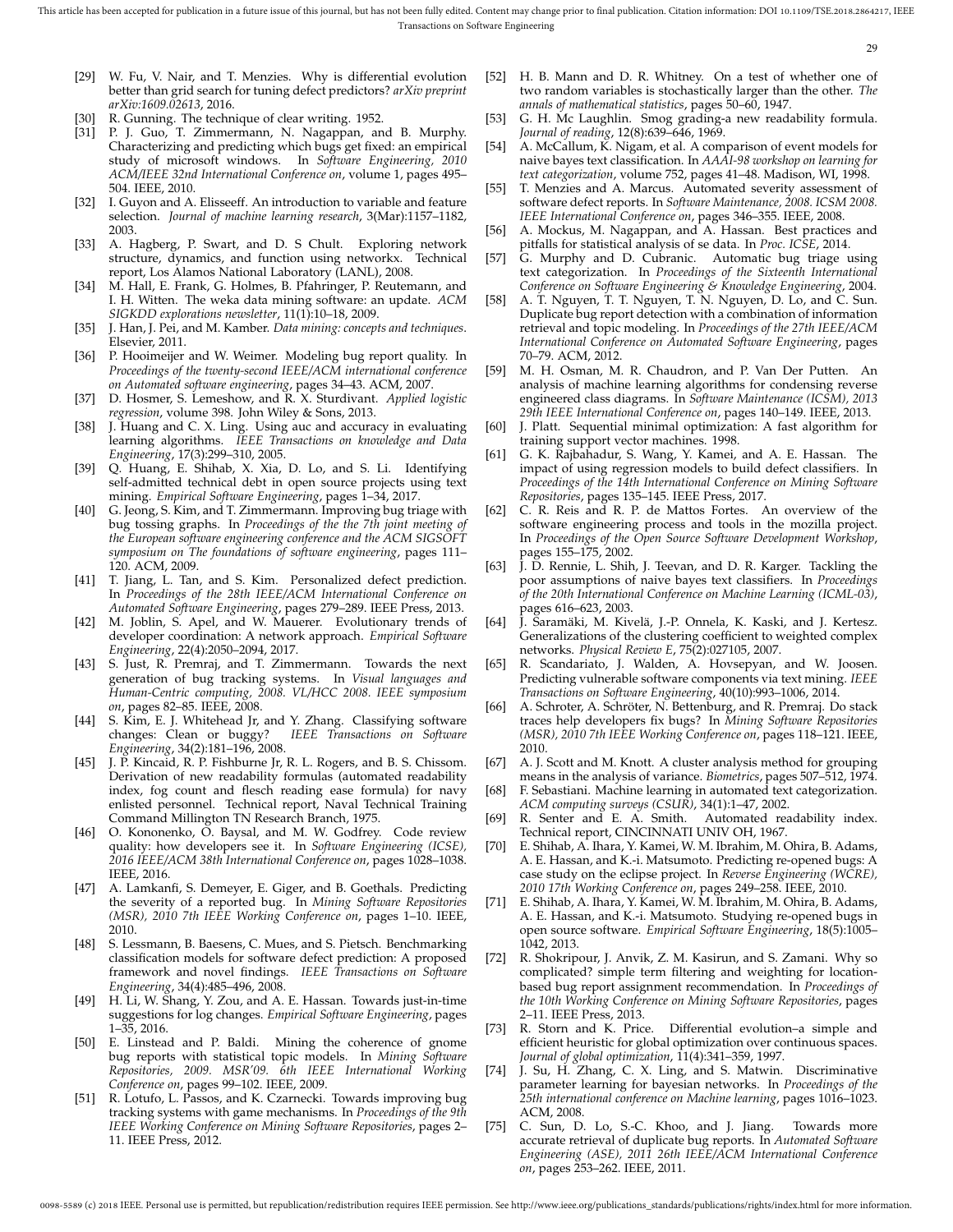- [29] W. Fu, V. Nair, and T. Menzies. Why is differential evolution better than grid search for tuning defect predictors? *arXiv preprint arXiv:1609.02613*, 2016.
- [30] R. Gunning. The technique of clear writing. 1952.
- [31] P. J. Guo, T. Zimmermann, N. Nagappan, and B. Murphy. Characterizing and predicting which bugs get fixed: an empirical study of microsoft windows. In *Software Engineering, 2010 ACM/IEEE 32nd International Conference on*, volume 1, pages 495– 504. IEEE, 2010.
- [32] I. Guyon and A. Elisseeff. An introduction to variable and feature selection. *Journal of machine learning research*, 3(Mar):1157–1182, 2003.
- [33] A. Hagberg, P. Swart, and D. S Chult. Exploring network structure, dynamics, and function using networkx. Technical report, Los Alamos National Laboratory (LANL), 2008.
- [34] M. Hall, E. Frank, G. Holmes, B. Pfahringer, P. Reutemann, and I. H. Witten. The weka data mining software: an update. *ACM SIGKDD explorations newsletter*, 11(1):10–18, 2009.
- [35] J. Han, J. Pei, and M. Kamber. *Data mining: concepts and techniques*. Elsevier, 2011.
- [36] P. Hooimeijer and W. Weimer. Modeling bug report quality. In *Proceedings of the twenty-second IEEE/ACM international conference on Automated software engineering*, pages 34–43. ACM, 2007.
- [37] D. Hosmer, S. Lemeshow, and R. X. Sturdivant. *Applied logistic regression*, volume 398. John Wiley & Sons, 2013.
- [38] J. Huang and C. X. Ling. Using auc and accuracy in evaluating learning algorithms. *IEEE Transactions on knowledge and Data Engineering*, 17(3):299–310, 2005.
- [39] Q. Huang, E. Shihab, X. Xia, D. Lo, and S. Li. Identifying self-admitted technical debt in open source projects using text mining. *Empirical Software Engineering*, pages 1–34, 2017.
- [40] G. Jeong, S. Kim, and T. Zimmermann. Improving bug triage with bug tossing graphs. In *Proceedings of the the 7th joint meeting of the European software engineering conference and the ACM SIGSOFT symposium on The foundations of software engineering*, pages 111– 120. ACM, 2009.
- [41] T. Jiang, L. Tan, and S. Kim. Personalized defect prediction. In *Proceedings of the 28th IEEE/ACM International Conference on Automated Software Engineering*, pages 279–289. IEEE Press, 2013.
- [42] M. Joblin, S. Apel, and W. Mauerer. Evolutionary trends of developer coordination: A network approach. *Empirical Software Engineering*, 22(4):2050–2094, 2017.
- [43] S. Just, R. Premraj, and T. Zimmermann. Towards the next generation of bug tracking systems. In *Visual languages and Human-Centric computing, 2008. VL/HCC 2008. IEEE symposium on*, pages 82–85. IEEE, 2008.
- [44] S. Kim, E. J. Whitehead Jr, and Y. Zhang. Classifying software changes: Clean or buggy? IEEE Transactions on Software changes: Clean or buggy? *IEEE Transactions on Software Engineering*, 34(2):181–196, 2008.
- J. P. Kincaid, R. P. Fishburne Jr, R. L. Rogers, and B. S. Chissom. Derivation of new readability formulas (automated readability index, fog count and flesch reading ease formula) for navy enlisted personnel. Technical report, Naval Technical Training Command Millington TN Research Branch, 1975.
- [46] O. Kononenko, O. Baysal, and M. W. Godfrey. Code review quality: how developers see it. In *Software Engineering (ICSE), 2016 IEEE/ACM 38th International Conference on*, pages 1028–1038. IEEE, 2016.
- [47] A. Lamkanfi, S. Demeyer, E. Giger, and B. Goethals. Predicting the severity of a reported bug. In *Mining Software Repositories (MSR), 2010 7th IEEE Working Conference on*, pages 1–10. IEEE, 2010.
- [48] S. Lessmann, B. Baesens, C. Mues, and S. Pietsch. Benchmarking classification models for software defect prediction: A proposed framework and novel findings. *IEEE Transactions on Software Engineering*, 34(4):485–496, 2008.
- [49] H. Li, W. Shang, Y. Zou, and A. E. Hassan. Towards just-in-time suggestions for log changes. *Empirical Software Engineering*, pages 1–35, 2016.
- [50] E. Linstead and P. Baldi. Mining the coherence of gnome bug reports with statistical topic models. In *Mining Software Repositories, 2009. MSR'09. 6th IEEE International Working Conference on*, pages 99–102. IEEE, 2009.
- [51] R. Lotufo, L. Passos, and K. Czarnecki. Towards improving bug tracking systems with game mechanisms. In *Proceedings of the 9th IEEE Working Conference on Mining Software Repositories*, pages 2– 11. IEEE Press, 2012.
- [52] H. B. Mann and D. R. Whitney. On a test of whether one of two random variables is stochastically larger than the other. *The annals of mathematical statistics*, pages 50–60, 1947.
- G. H. Mc Laughlin. Smog grading-a new readability formula. *Journal of reading*, 12(8):639–646, 1969.
- [54] A. McCallum, K. Nigam, et al. A comparison of event models for naive bayes text classification. In *AAAI-98 workshop on learning for text categorization*, volume 752, pages 41–48. Madison, WI, 1998.
- [55] T. Menzies and A. Marcus. Automated severity assessment of software defect reports. In *Software Maintenance, 2008. ICSM 2008. IEEE International Conference on*, pages 346–355. IEEE, 2008.
- [56] A. Mockus, M. Nagappan, and A. Hassan. Best practices and pitfalls for statistical analysis of se data. In *Proc. ICSE*, 2014.
- [57] G. Murphy and D. Cubranic. Automatic bug triage using text categorization. In *Proceedings of the Sixteenth International Conference on Software Engineering & Knowledge Engineering*, 2004.
- [58] A. T. Nguyen, T. T. Nguyen, T. N. Nguyen, D. Lo, and C. Sun. Duplicate bug report detection with a combination of information retrieval and topic modeling. In *Proceedings of the 27th IEEE/ACM International Conference on Automated Software Engineering*, pages 70–79. ACM, 2012.
- [59] M. H. Osman, M. R. Chaudron, and P. Van Der Putten. An analysis of machine learning algorithms for condensing reverse engineered class diagrams. In *Software Maintenance (ICSM), 2013 29th IEEE International Conference on*, pages 140–149. IEEE, 2013.
- [60] J. Platt. Sequential minimal optimization: A fast algorithm for training support vector machines. 1998.
- [61] G. K. Rajbahadur, S. Wang, Y. Kamei, and A. E. Hassan. The impact of using regression models to build defect classifiers. In *Proceedings of the 14th International Conference on Mining Software Repositories*, pages 135–145. IEEE Press, 2017.
- [62] C. R. Reis and R. P. de Mattos Fortes. An overview of the software engineering process and tools in the mozilla project. In *Proceedings of the Open Source Software Development Workshop*, pages 155–175, 2002.
- [63] J. D. Rennie, L. Shih, J. Teevan, and D. R. Karger. Tackling the poor assumptions of naive bayes text classifiers. In *Proceedings of the 20th International Conference on Machine Learning (ICML-03)*, pages 616–623, 2003.
- [64] J. Saramäki, M. Kivelä, J.-P. Onnela, K. Kaski, and J. Kertesz. Generalizations of the clustering coefficient to weighted complex networks. *Physical Review E*, 75(2):027105, 2007.
- [65] R. Scandariato, J. Walden, A. Hovsepyan, and W. Joosen. Predicting vulnerable software components via text mining. *IEEE Transactions on Software Engineering*, 40(10):993–1006, 2014.
- [66] A. Schroter, A. Schröter, N. Bettenburg, and R. Premraj. Do stack traces help developers fix bugs? In *Mining Software Repositories (MSR), 2010 7th IEEE Working Conference on*, pages 118–121. IEEE, 2010.
- [67] A. J. Scott and M. Knott. A cluster analysis method for grouping means in the analysis of variance. *Biometrics*, pages 507–512, 1974.
- [68] F. Sebastiani. Machine learning in automated text categorization. *ACM computing surveys (CSUR)*, 34(1):1–47, 2002.
- [69] R. Senter and E. A. Smith. Automated readability index. Technical report, CINCINNATI UNIV OH, 1967.
- [70] E. Shihab, A. Ihara, Y. Kamei, W. M. Ibrahim, M. Ohira, B. Adams, A. E. Hassan, and K.-i. Matsumoto. Predicting re-opened bugs: A case study on the eclipse project. In *Reverse Engineering (WCRE), 2010 17th Working Conference on*, pages 249–258. IEEE, 2010.
- [71] E. Shihab, A. Ihara, Y. Kamei, W. M. Ibrahim, M. Ohira, B. Adams, A. E. Hassan, and K.-i. Matsumoto. Studying re-opened bugs in open source software. *Empirical Software Engineering*, 18(5):1005– 1042, 2013.
- [72] R. Shokripour, J. Anvik, Z. M. Kasirun, and S. Zamani. Why so complicated? simple term filtering and weighting for locationbased bug report assignment recommendation. In *Proceedings of the 10th Working Conference on Mining Software Repositories*, pages 2–11. IEEE Press, 2013.
- [73] R. Storn and K. Price. Differential evolution–a simple and efficient heuristic for global optimization over continuous spaces. *Journal of global optimization*, 11(4):341–359, 1997.
- [74] J. Su, H. Zhang, C. X. Ling, and S. Matwin. Discriminative parameter learning for bayesian networks. In *Proceedings of the 25th international conference on Machine learning*, pages 1016–1023. ACM, 2008.
- [75] C. Sun, D. Lo, S.-C. Khoo, and J. Jiang. Towards more accurate retrieval of duplicate bug reports. In *Automated Software Engineering (ASE), 2011 26th IEEE/ACM International Conference on*, pages 253–262. IEEE, 2011.